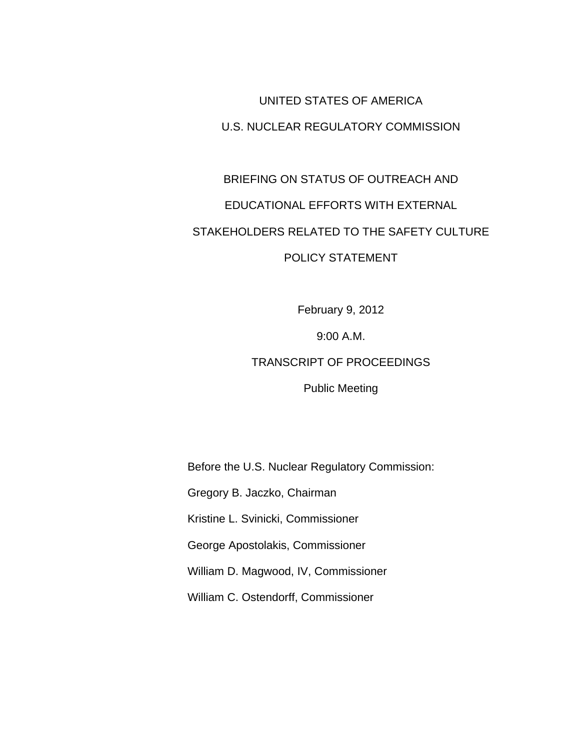## UNITED STATES OF AMERICA U.S. NUCLEAR REGULATORY COMMISSION

## BRIEFING ON STATUS OF OUTREACH AND EDUCATIONAL EFFORTS WITH EXTERNAL STAKEHOLDERS RELATED TO THE SAFETY CULTURE POLICY STATEMENT

February 9, 2012

9:00 A.M.

## TRANSCRIPT OF PROCEEDINGS

Public Meeting

Before the U.S. Nuclear Regulatory Commission:

Gregory B. Jaczko, Chairman

Kristine L. Svinicki, Commissioner

George Apostolakis, Commissioner

William D. Magwood, IV, Commissioner

William C. Ostendorff, Commissioner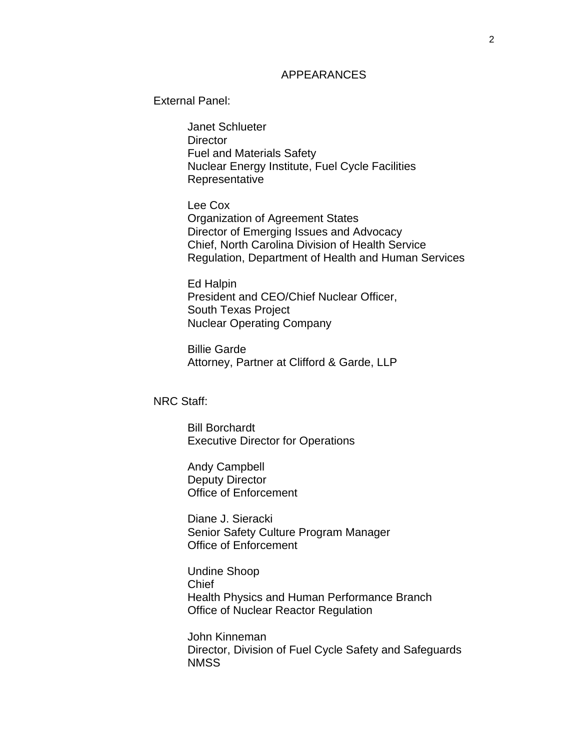## APPEARANCES

External Panel:

Janet Schlueter **Director** Fuel and Materials Safety Nuclear Energy Institute, Fuel Cycle Facilities **Representative** 

Lee Cox Organization of Agreement States Director of Emerging Issues and Advocacy Chief, North Carolina Division of Health Service Regulation, Department of Health and Human Services

Ed Halpin President and CEO/Chief Nuclear Officer, South Texas Project Nuclear Operating Company

Billie Garde Attorney, Partner at Clifford & Garde, LLP

NRC Staff:

Bill Borchardt Executive Director for Operations

Andy Campbell Deputy Director Office of Enforcement

Diane J. Sieracki Senior Safety Culture Program Manager Office of Enforcement

Undine Shoop Chief Health Physics and Human Performance Branch Office of Nuclear Reactor Regulation

John Kinneman Director, Division of Fuel Cycle Safety and Safeguards **NMSS**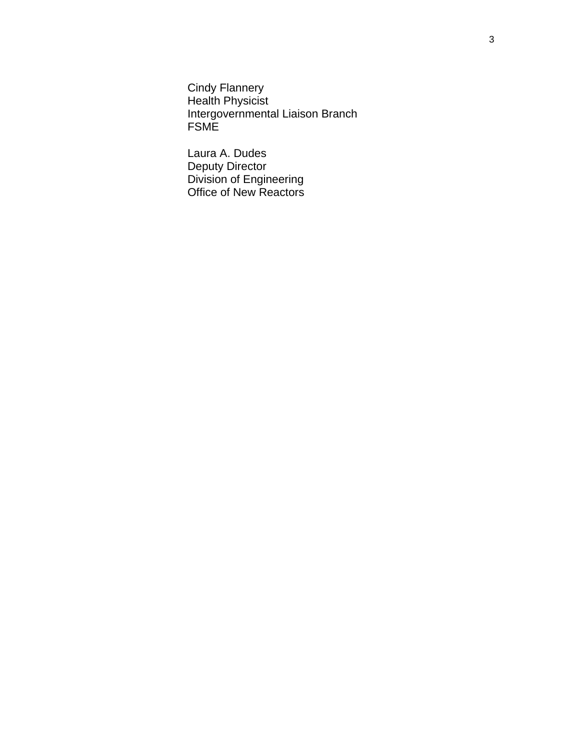Cindy Flannery Health Physicist Intergovernmental Liaison Branch FSME

Laura A. Dudes Deputy Director Division of Engineering Office of New Reactors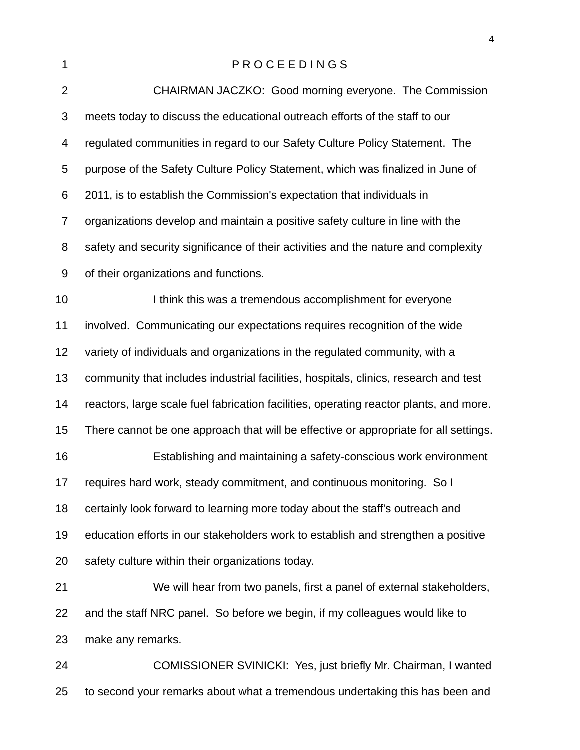| 1                | PROCEEDINGS                                                                            |
|------------------|----------------------------------------------------------------------------------------|
| $\overline{2}$   | CHAIRMAN JACZKO: Good morning everyone. The Commission                                 |
| 3                | meets today to discuss the educational outreach efforts of the staff to our            |
| 4                | regulated communities in regard to our Safety Culture Policy Statement. The            |
| 5                | purpose of the Safety Culture Policy Statement, which was finalized in June of         |
| 6                | 2011, is to establish the Commission's expectation that individuals in                 |
| $\overline{7}$   | organizations develop and maintain a positive safety culture in line with the          |
| 8                | safety and security significance of their activities and the nature and complexity     |
| $\boldsymbol{9}$ | of their organizations and functions.                                                  |
| 10               | I think this was a tremendous accomplishment for everyone                              |
| 11               | involved. Communicating our expectations requires recognition of the wide              |
| 12               | variety of individuals and organizations in the regulated community, with a            |
| 13               | community that includes industrial facilities, hospitals, clinics, research and test   |
| 14               | reactors, large scale fuel fabrication facilities, operating reactor plants, and more. |
| 15               | There cannot be one approach that will be effective or appropriate for all settings.   |
| 16               | Establishing and maintaining a safety-conscious work environment                       |
| 17               | requires hard work, steady commitment, and continuous monitoring. So I                 |
| 18               | certainly look forward to learning more today about the staff's outreach and           |
| 19               | education efforts in our stakeholders work to establish and strengthen a positive      |
| 20               | safety culture within their organizations today.                                       |
| 21               | We will hear from two panels, first a panel of external stakeholders,                  |
| 22               | and the staff NRC panel. So before we begin, if my colleagues would like to            |
| 23               | make any remarks.                                                                      |
| 24               | COMISSIONER SVINICKI: Yes, just briefly Mr. Chairman, I wanted                         |

to second your remarks about what a tremendous undertaking this has been and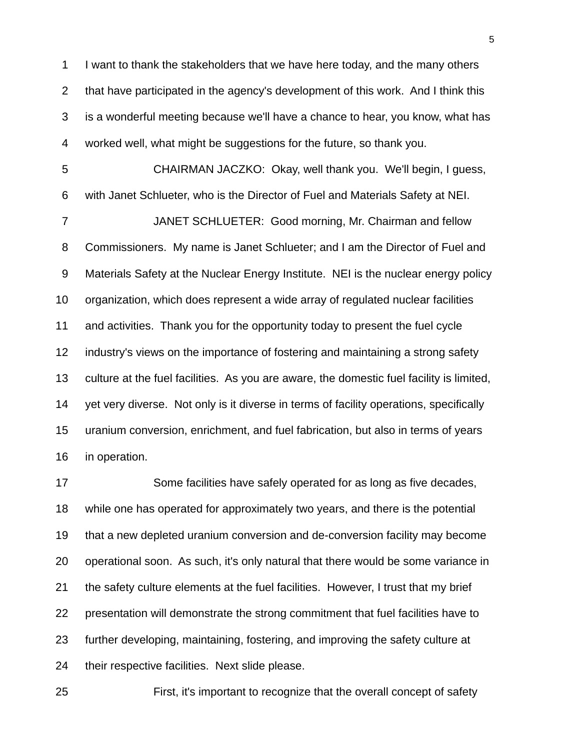I want to thank the stakeholders that we have here today, and the many others that have participated in the agency's development of this work. And I think this is a wonderful meeting because we'll have a chance to hear, you know, what has worked well, what might be suggestions for the future, so thank you.

 CHAIRMAN JACZKO: Okay, well thank you. We'll begin, I guess, with Janet Schlueter, who is the Director of Fuel and Materials Safety at NEI. JANET SCHLUETER: Good morning, Mr. Chairman and fellow Commissioners. My name is Janet Schlueter; and I am the Director of Fuel and Materials Safety at the Nuclear Energy Institute. NEI is the nuclear energy policy organization, which does represent a wide array of regulated nuclear facilities and activities. Thank you for the opportunity today to present the fuel cycle industry's views on the importance of fostering and maintaining a strong safety culture at the fuel facilities. As you are aware, the domestic fuel facility is limited, yet very diverse. Not only is it diverse in terms of facility operations, specifically uranium conversion, enrichment, and fuel fabrication, but also in terms of years in operation.

 Some facilities have safely operated for as long as five decades, while one has operated for approximately two years, and there is the potential that a new depleted uranium conversion and de-conversion facility may become operational soon. As such, it's only natural that there would be some variance in the safety culture elements at the fuel facilities. However, I trust that my brief presentation will demonstrate the strong commitment that fuel facilities have to further developing, maintaining, fostering, and improving the safety culture at their respective facilities. Next slide please.

First, it's important to recognize that the overall concept of safety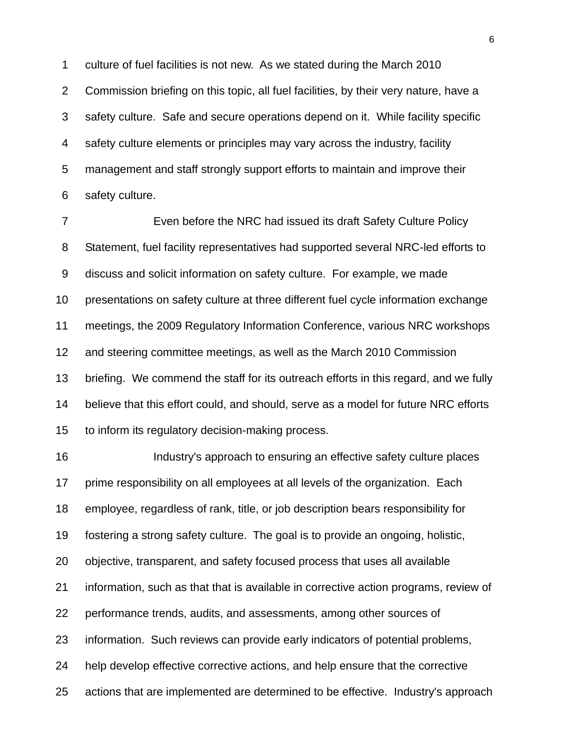culture of fuel facilities is not new. As we stated during the March 2010 Commission briefing on this topic, all fuel facilities, by their very nature, have a safety culture. Safe and secure operations depend on it. While facility specific safety culture elements or principles may vary across the industry, facility management and staff strongly support efforts to maintain and improve their safety culture.

 Even before the NRC had issued its draft Safety Culture Policy Statement, fuel facility representatives had supported several NRC-led efforts to discuss and solicit information on safety culture. For example, we made presentations on safety culture at three different fuel cycle information exchange meetings, the 2009 Regulatory Information Conference, various NRC workshops and steering committee meetings, as well as the March 2010 Commission briefing. We commend the staff for its outreach efforts in this regard, and we fully believe that this effort could, and should, serve as a model for future NRC efforts to inform its regulatory decision-making process.

 Industry's approach to ensuring an effective safety culture places prime responsibility on all employees at all levels of the organization. Each employee, regardless of rank, title, or job description bears responsibility for fostering a strong safety culture. The goal is to provide an ongoing, holistic, objective, transparent, and safety focused process that uses all available information, such as that that is available in corrective action programs, review of performance trends, audits, and assessments, among other sources of information. Such reviews can provide early indicators of potential problems, help develop effective corrective actions, and help ensure that the corrective actions that are implemented are determined to be effective. Industry's approach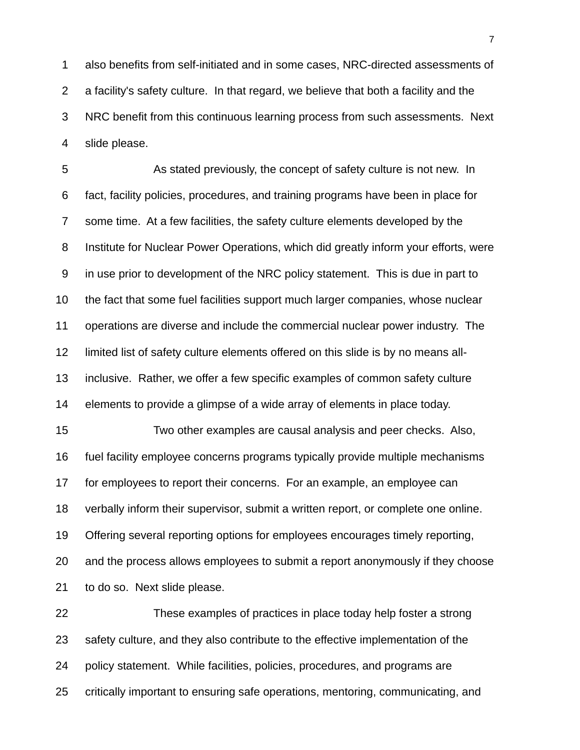also benefits from self-initiated and in some cases, NRC-directed assessments of a facility's safety culture. In that regard, we believe that both a facility and the NRC benefit from this continuous learning process from such assessments. Next slide please.

 As stated previously, the concept of safety culture is not new. In fact, facility policies, procedures, and training programs have been in place for some time. At a few facilities, the safety culture elements developed by the Institute for Nuclear Power Operations, which did greatly inform your efforts, were in use prior to development of the NRC policy statement. This is due in part to the fact that some fuel facilities support much larger companies, whose nuclear operations are diverse and include the commercial nuclear power industry. The limited list of safety culture elements offered on this slide is by no means all- inclusive. Rather, we offer a few specific examples of common safety culture elements to provide a glimpse of a wide array of elements in place today. Two other examples are causal analysis and peer checks. Also, fuel facility employee concerns programs typically provide multiple mechanisms

for employees to report their concerns. For an example, an employee can

verbally inform their supervisor, submit a written report, or complete one online.

Offering several reporting options for employees encourages timely reporting,

and the process allows employees to submit a report anonymously if they choose

to do so. Next slide please.

 These examples of practices in place today help foster a strong safety culture, and they also contribute to the effective implementation of the policy statement. While facilities, policies, procedures, and programs are critically important to ensuring safe operations, mentoring, communicating, and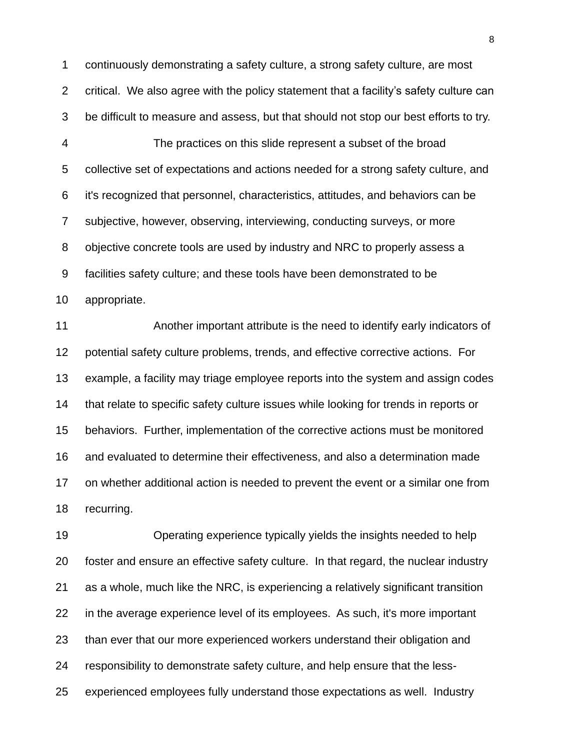continuously demonstrating a safety culture, a strong safety culture, are most critical. We also agree with the policy statement that a facility"s safety culture can be difficult to measure and assess, but that should not stop our best efforts to try.

 The practices on this slide represent a subset of the broad collective set of expectations and actions needed for a strong safety culture, and it's recognized that personnel, characteristics, attitudes, and behaviors can be subjective, however, observing, interviewing, conducting surveys, or more objective concrete tools are used by industry and NRC to properly assess a facilities safety culture; and these tools have been demonstrated to be appropriate.

 Another important attribute is the need to identify early indicators of potential safety culture problems, trends, and effective corrective actions. For example, a facility may triage employee reports into the system and assign codes that relate to specific safety culture issues while looking for trends in reports or behaviors. Further, implementation of the corrective actions must be monitored and evaluated to determine their effectiveness, and also a determination made on whether additional action is needed to prevent the event or a similar one from recurring.

 Operating experience typically yields the insights needed to help foster and ensure an effective safety culture. In that regard, the nuclear industry as a whole, much like the NRC, is experiencing a relatively significant transition in the average experience level of its employees. As such, it's more important than ever that our more experienced workers understand their obligation and responsibility to demonstrate safety culture, and help ensure that the less-experienced employees fully understand those expectations as well. Industry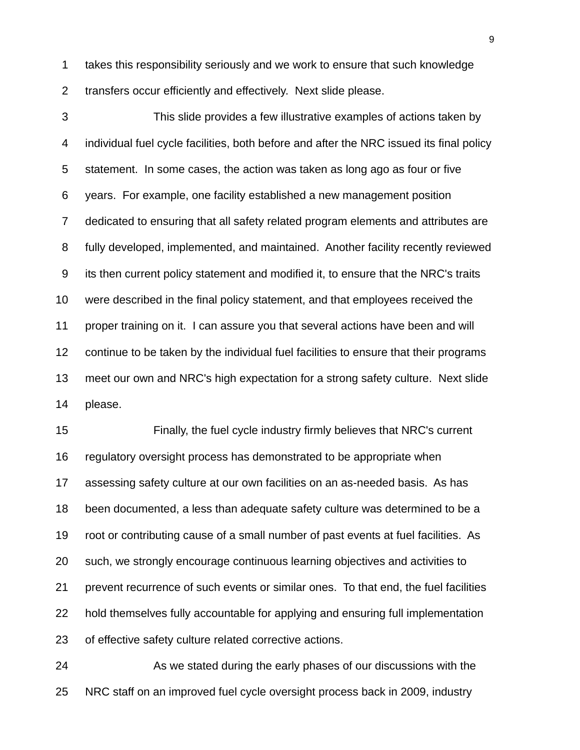takes this responsibility seriously and we work to ensure that such knowledge transfers occur efficiently and effectively. Next slide please.

 This slide provides a few illustrative examples of actions taken by individual fuel cycle facilities, both before and after the NRC issued its final policy statement. In some cases, the action was taken as long ago as four or five years. For example, one facility established a new management position dedicated to ensuring that all safety related program elements and attributes are fully developed, implemented, and maintained. Another facility recently reviewed its then current policy statement and modified it, to ensure that the NRC's traits were described in the final policy statement, and that employees received the proper training on it. I can assure you that several actions have been and will continue to be taken by the individual fuel facilities to ensure that their programs meet our own and NRC's high expectation for a strong safety culture. Next slide please.

 Finally, the fuel cycle industry firmly believes that NRC's current regulatory oversight process has demonstrated to be appropriate when assessing safety culture at our own facilities on an as-needed basis. As has been documented, a less than adequate safety culture was determined to be a root or contributing cause of a small number of past events at fuel facilities. As such, we strongly encourage continuous learning objectives and activities to prevent recurrence of such events or similar ones. To that end, the fuel facilities hold themselves fully accountable for applying and ensuring full implementation of effective safety culture related corrective actions.

 As we stated during the early phases of our discussions with the NRC staff on an improved fuel cycle oversight process back in 2009, industry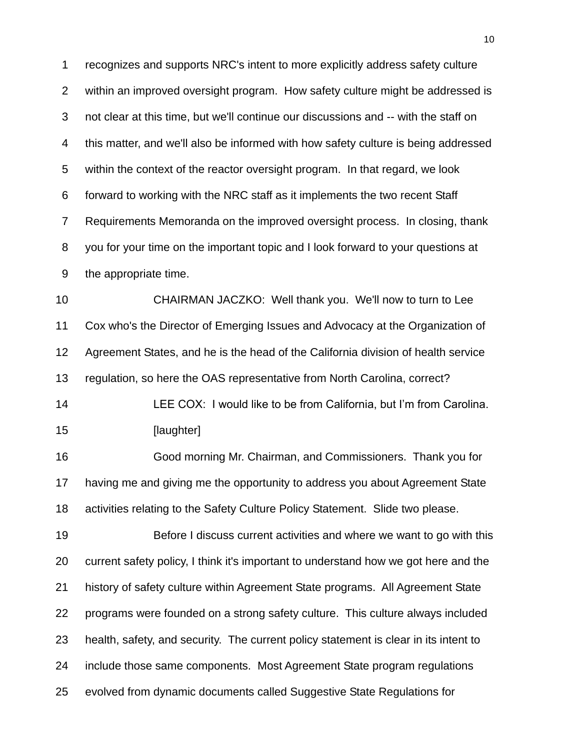recognizes and supports NRC's intent to more explicitly address safety culture within an improved oversight program. How safety culture might be addressed is not clear at this time, but we'll continue our discussions and -- with the staff on this matter, and we'll also be informed with how safety culture is being addressed within the context of the reactor oversight program. In that regard, we look forward to working with the NRC staff as it implements the two recent Staff Requirements Memoranda on the improved oversight process. In closing, thank you for your time on the important topic and I look forward to your questions at the appropriate time. CHAIRMAN JACZKO: Well thank you. We'll now to turn to Lee

 Cox who's the Director of Emerging Issues and Advocacy at the Organization of Agreement States, and he is the head of the California division of health service regulation, so here the OAS representative from North Carolina, correct?

 LEE COX: I would like to be from California, but I"m from Carolina. **[laughter]** 

 Good morning Mr. Chairman, and Commissioners. Thank you for having me and giving me the opportunity to address you about Agreement State activities relating to the Safety Culture Policy Statement. Slide two please.

 Before I discuss current activities and where we want to go with this current safety policy, I think it's important to understand how we got here and the history of safety culture within Agreement State programs. All Agreement State programs were founded on a strong safety culture. This culture always included health, safety, and security. The current policy statement is clear in its intent to include those same components. Most Agreement State program regulations evolved from dynamic documents called Suggestive State Regulations for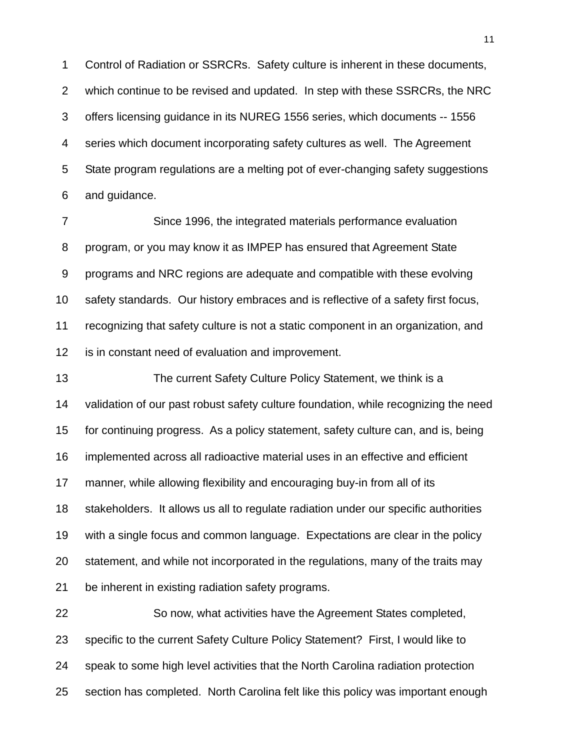Control of Radiation or SSRCRs. Safety culture is inherent in these documents, which continue to be revised and updated. In step with these SSRCRs, the NRC offers licensing guidance in its NUREG 1556 series, which documents -- 1556 series which document incorporating safety cultures as well. The Agreement State program regulations are a melting pot of ever-changing safety suggestions and guidance.

 Since 1996, the integrated materials performance evaluation program, or you may know it as IMPEP has ensured that Agreement State programs and NRC regions are adequate and compatible with these evolving safety standards. Our history embraces and is reflective of a safety first focus, recognizing that safety culture is not a static component in an organization, and is in constant need of evaluation and improvement.

 The current Safety Culture Policy Statement, we think is a validation of our past robust safety culture foundation, while recognizing the need for continuing progress. As a policy statement, safety culture can, and is, being implemented across all radioactive material uses in an effective and efficient manner, while allowing flexibility and encouraging buy-in from all of its stakeholders. It allows us all to regulate radiation under our specific authorities with a single focus and common language. Expectations are clear in the policy statement, and while not incorporated in the regulations, many of the traits may be inherent in existing radiation safety programs.

 So now, what activities have the Agreement States completed, specific to the current Safety Culture Policy Statement? First, I would like to speak to some high level activities that the North Carolina radiation protection section has completed. North Carolina felt like this policy was important enough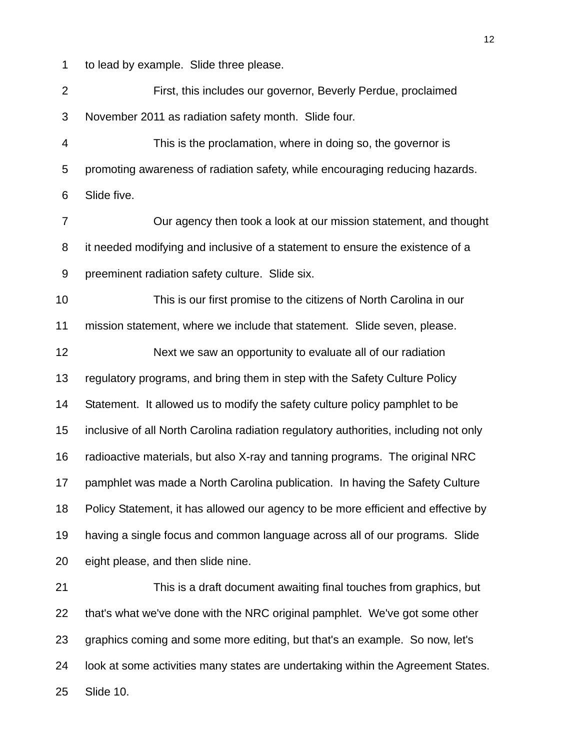to lead by example. Slide three please.

 First, this includes our governor, Beverly Perdue, proclaimed November 2011 as radiation safety month. Slide four.

 This is the proclamation, where in doing so, the governor is promoting awareness of radiation safety, while encouraging reducing hazards. Slide five.

 Our agency then took a look at our mission statement, and thought it needed modifying and inclusive of a statement to ensure the existence of a preeminent radiation safety culture. Slide six.

 This is our first promise to the citizens of North Carolina in our mission statement, where we include that statement. Slide seven, please.

 Next we saw an opportunity to evaluate all of our radiation regulatory programs, and bring them in step with the Safety Culture Policy Statement. It allowed us to modify the safety culture policy pamphlet to be inclusive of all North Carolina radiation regulatory authorities, including not only radioactive materials, but also X-ray and tanning programs. The original NRC pamphlet was made a North Carolina publication. In having the Safety Culture Policy Statement, it has allowed our agency to be more efficient and effective by having a single focus and common language across all of our programs. Slide eight please, and then slide nine.

 This is a draft document awaiting final touches from graphics, but that's what we've done with the NRC original pamphlet. We've got some other graphics coming and some more editing, but that's an example. So now, let's look at some activities many states are undertaking within the Agreement States. Slide 10.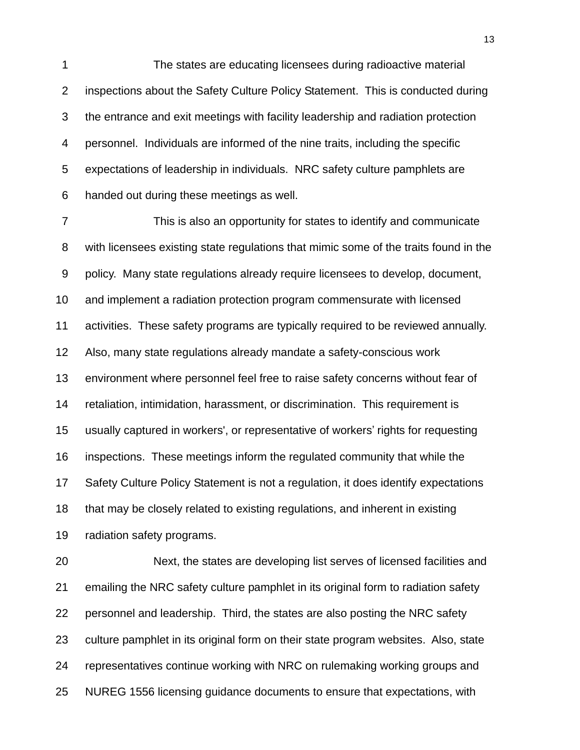The states are educating licensees during radioactive material inspections about the Safety Culture Policy Statement. This is conducted during the entrance and exit meetings with facility leadership and radiation protection personnel. Individuals are informed of the nine traits, including the specific expectations of leadership in individuals. NRC safety culture pamphlets are handed out during these meetings as well.

 This is also an opportunity for states to identify and communicate with licensees existing state regulations that mimic some of the traits found in the policy. Many state regulations already require licensees to develop, document, and implement a radiation protection program commensurate with licensed activities. These safety programs are typically required to be reviewed annually. Also, many state regulations already mandate a safety-conscious work environment where personnel feel free to raise safety concerns without fear of retaliation, intimidation, harassment, or discrimination. This requirement is usually captured in workers', or representative of workers" rights for requesting inspections. These meetings inform the regulated community that while the Safety Culture Policy Statement is not a regulation, it does identify expectations that may be closely related to existing regulations, and inherent in existing radiation safety programs.

 Next, the states are developing list serves of licensed facilities and emailing the NRC safety culture pamphlet in its original form to radiation safety personnel and leadership. Third, the states are also posting the NRC safety culture pamphlet in its original form on their state program websites. Also, state representatives continue working with NRC on rulemaking working groups and NUREG 1556 licensing guidance documents to ensure that expectations, with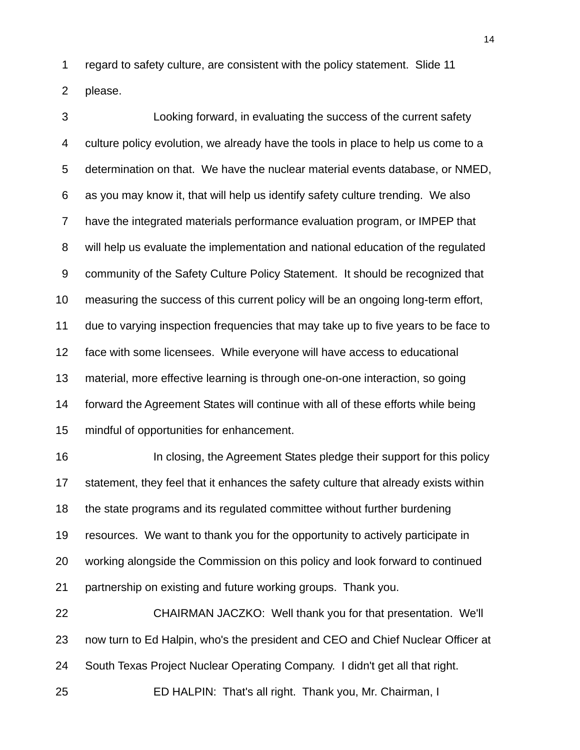regard to safety culture, are consistent with the policy statement. Slide 11

please.

 Looking forward, in evaluating the success of the current safety culture policy evolution, we already have the tools in place to help us come to a determination on that. We have the nuclear material events database, or NMED, as you may know it, that will help us identify safety culture trending. We also have the integrated materials performance evaluation program, or IMPEP that will help us evaluate the implementation and national education of the regulated community of the Safety Culture Policy Statement. It should be recognized that measuring the success of this current policy will be an ongoing long-term effort, due to varying inspection frequencies that may take up to five years to be face to face with some licensees. While everyone will have access to educational material, more effective learning is through one-on-one interaction, so going forward the Agreement States will continue with all of these efforts while being mindful of opportunities for enhancement.

**In closing, the Agreement States pledge their support for this policy**  statement, they feel that it enhances the safety culture that already exists within the state programs and its regulated committee without further burdening resources. We want to thank you for the opportunity to actively participate in working alongside the Commission on this policy and look forward to continued partnership on existing and future working groups. Thank you.

 CHAIRMAN JACZKO: Well thank you for that presentation. We'll now turn to Ed Halpin, who's the president and CEO and Chief Nuclear Officer at South Texas Project Nuclear Operating Company. I didn't get all that right. ED HALPIN: That's all right. Thank you, Mr. Chairman, I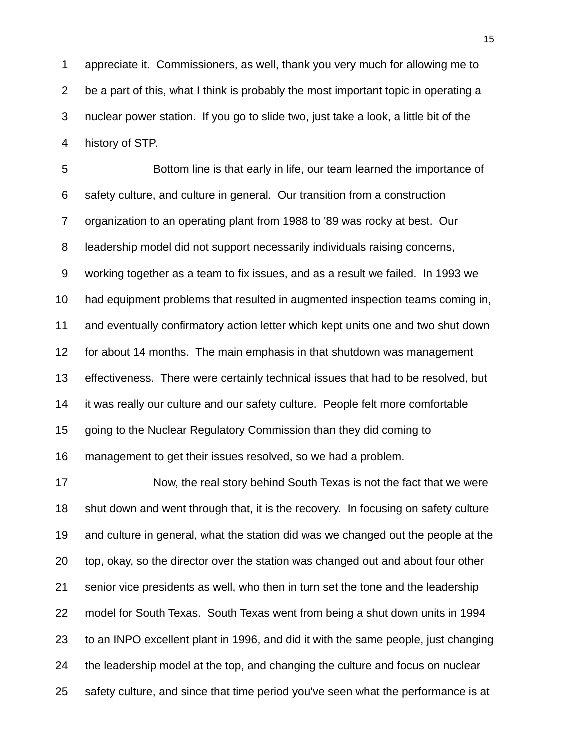appreciate it. Commissioners, as well, thank you very much for allowing me to be a part of this, what I think is probably the most important topic in operating a nuclear power station. If you go to slide two, just take a look, a little bit of the history of STP.

 Bottom line is that early in life, our team learned the importance of safety culture, and culture in general. Our transition from a construction organization to an operating plant from 1988 to '89 was rocky at best. Our leadership model did not support necessarily individuals raising concerns, working together as a team to fix issues, and as a result we failed. In 1993 we had equipment problems that resulted in augmented inspection teams coming in, and eventually confirmatory action letter which kept units one and two shut down for about 14 months. The main emphasis in that shutdown was management effectiveness. There were certainly technical issues that had to be resolved, but it was really our culture and our safety culture. People felt more comfortable going to the Nuclear Regulatory Commission than they did coming to management to get their issues resolved, so we had a problem.

 Now, the real story behind South Texas is not the fact that we were shut down and went through that, it is the recovery. In focusing on safety culture and culture in general, what the station did was we changed out the people at the top, okay, so the director over the station was changed out and about four other senior vice presidents as well, who then in turn set the tone and the leadership model for South Texas. South Texas went from being a shut down units in 1994 to an INPO excellent plant in 1996, and did it with the same people, just changing the leadership model at the top, and changing the culture and focus on nuclear safety culture, and since that time period you've seen what the performance is at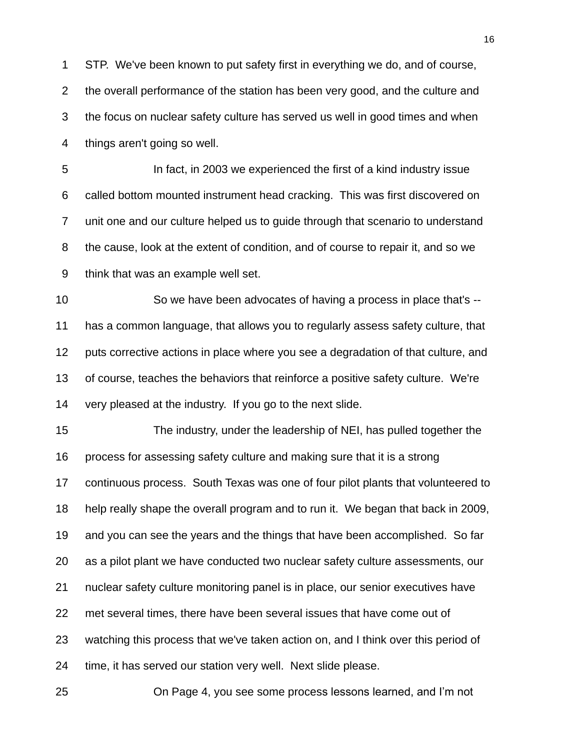STP. We've been known to put safety first in everything we do, and of course, the overall performance of the station has been very good, and the culture and the focus on nuclear safety culture has served us well in good times and when things aren't going so well.

 In fact, in 2003 we experienced the first of a kind industry issue called bottom mounted instrument head cracking. This was first discovered on unit one and our culture helped us to guide through that scenario to understand the cause, look at the extent of condition, and of course to repair it, and so we think that was an example well set.

 So we have been advocates of having a process in place that's -- has a common language, that allows you to regularly assess safety culture, that puts corrective actions in place where you see a degradation of that culture, and of course, teaches the behaviors that reinforce a positive safety culture. We're very pleased at the industry. If you go to the next slide.

 The industry, under the leadership of NEI, has pulled together the process for assessing safety culture and making sure that it is a strong continuous process. South Texas was one of four pilot plants that volunteered to help really shape the overall program and to run it. We began that back in 2009, and you can see the years and the things that have been accomplished. So far as a pilot plant we have conducted two nuclear safety culture assessments, our nuclear safety culture monitoring panel is in place, our senior executives have met several times, there have been several issues that have come out of watching this process that we've taken action on, and I think over this period of time, it has served our station very well. Next slide please.

On Page 4, you see some process lessons learned, and I"m not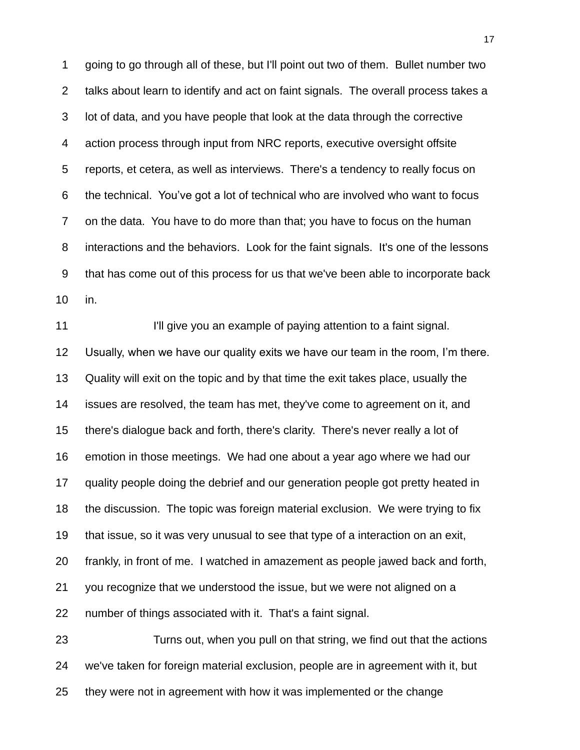going to go through all of these, but I'll point out two of them. Bullet number two talks about learn to identify and act on faint signals. The overall process takes a lot of data, and you have people that look at the data through the corrective action process through input from NRC reports, executive oversight offsite reports, et cetera, as well as interviews. There's a tendency to really focus on the technical. You"ve got a lot of technical who are involved who want to focus on the data. You have to do more than that; you have to focus on the human interactions and the behaviors. Look for the faint signals. It's one of the lessons that has come out of this process for us that we've been able to incorporate back in.

**I'll give you an example of paying attention to a faint signal.**  Usually, when we have our quality exits we have our team in the room, I"m there. Quality will exit on the topic and by that time the exit takes place, usually the issues are resolved, the team has met, they've come to agreement on it, and there's dialogue back and forth, there's clarity. There's never really a lot of emotion in those meetings. We had one about a year ago where we had our quality people doing the debrief and our generation people got pretty heated in the discussion. The topic was foreign material exclusion. We were trying to fix that issue, so it was very unusual to see that type of a interaction on an exit, frankly, in front of me. I watched in amazement as people jawed back and forth, you recognize that we understood the issue, but we were not aligned on a number of things associated with it. That's a faint signal.

 Turns out, when you pull on that string, we find out that the actions we've taken for foreign material exclusion, people are in agreement with it, but they were not in agreement with how it was implemented or the change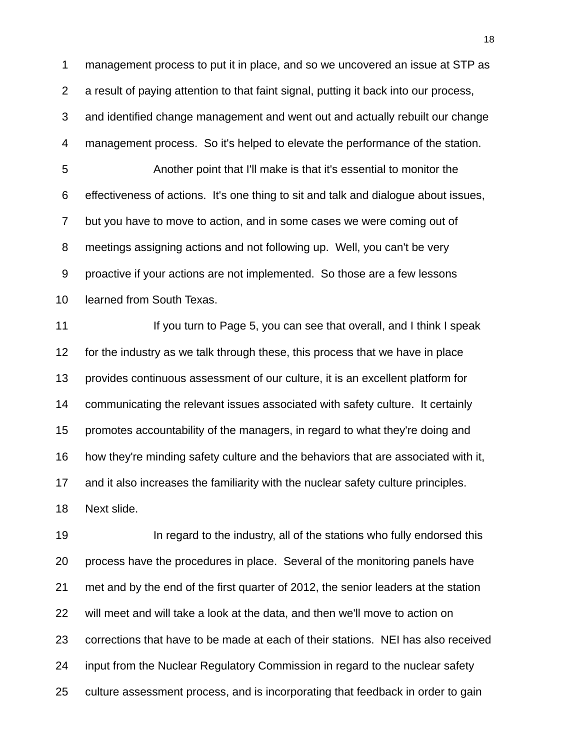management process to put it in place, and so we uncovered an issue at STP as a result of paying attention to that faint signal, putting it back into our process, and identified change management and went out and actually rebuilt our change management process. So it's helped to elevate the performance of the station. Another point that I'll make is that it's essential to monitor the effectiveness of actions. It's one thing to sit and talk and dialogue about issues, but you have to move to action, and in some cases we were coming out of meetings assigning actions and not following up. Well, you can't be very proactive if your actions are not implemented. So those are a few lessons learned from South Texas.

**If you turn to Page 5, you can see that overall, and I think I speak**  for the industry as we talk through these, this process that we have in place provides continuous assessment of our culture, it is an excellent platform for communicating the relevant issues associated with safety culture. It certainly promotes accountability of the managers, in regard to what they're doing and how they're minding safety culture and the behaviors that are associated with it, and it also increases the familiarity with the nuclear safety culture principles. Next slide.

**In regard to the industry, all of the stations who fully endorsed this**  process have the procedures in place. Several of the monitoring panels have met and by the end of the first quarter of 2012, the senior leaders at the station will meet and will take a look at the data, and then we'll move to action on corrections that have to be made at each of their stations. NEI has also received input from the Nuclear Regulatory Commission in regard to the nuclear safety culture assessment process, and is incorporating that feedback in order to gain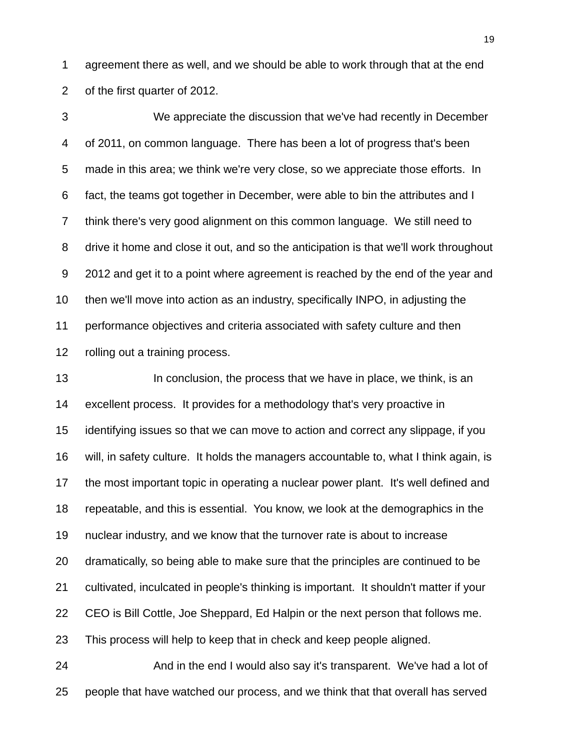agreement there as well, and we should be able to work through that at the end of the first quarter of 2012.

 We appreciate the discussion that we've had recently in December of 2011, on common language. There has been a lot of progress that's been made in this area; we think we're very close, so we appreciate those efforts. In fact, the teams got together in December, were able to bin the attributes and I think there's very good alignment on this common language. We still need to drive it home and close it out, and so the anticipation is that we'll work throughout 2012 and get it to a point where agreement is reached by the end of the year and then we'll move into action as an industry, specifically INPO, in adjusting the performance objectives and criteria associated with safety culture and then rolling out a training process.

13 In conclusion, the process that we have in place, we think, is an excellent process. It provides for a methodology that's very proactive in identifying issues so that we can move to action and correct any slippage, if you will, in safety culture. It holds the managers accountable to, what I think again, is the most important topic in operating a nuclear power plant. It's well defined and repeatable, and this is essential. You know, we look at the demographics in the nuclear industry, and we know that the turnover rate is about to increase dramatically, so being able to make sure that the principles are continued to be cultivated, inculcated in people's thinking is important. It shouldn't matter if your CEO is Bill Cottle, Joe Sheppard, Ed Halpin or the next person that follows me. This process will help to keep that in check and keep people aligned.

24 And in the end I would also say it's transparent. We've had a lot of people that have watched our process, and we think that that overall has served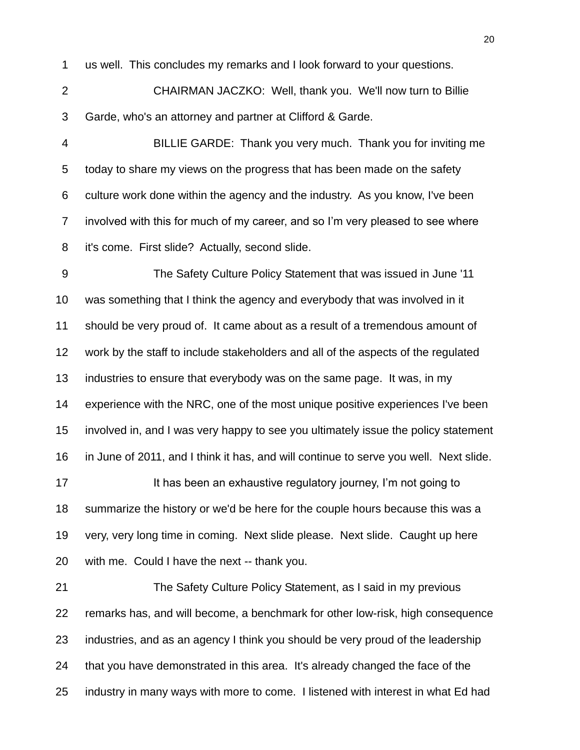us well. This concludes my remarks and I look forward to your questions.

 CHAIRMAN JACZKO: Well, thank you. We'll now turn to Billie Garde, who's an attorney and partner at Clifford & Garde.

 BILLIE GARDE: Thank you very much. Thank you for inviting me today to share my views on the progress that has been made on the safety culture work done within the agency and the industry. As you know, I've been involved with this for much of my career, and so I"m very pleased to see where it's come. First slide? Actually, second slide.

 The Safety Culture Policy Statement that was issued in June '11 was something that I think the agency and everybody that was involved in it should be very proud of. It came about as a result of a tremendous amount of work by the staff to include stakeholders and all of the aspects of the regulated industries to ensure that everybody was on the same page. It was, in my experience with the NRC, one of the most unique positive experiences I've been involved in, and I was very happy to see you ultimately issue the policy statement in June of 2011, and I think it has, and will continue to serve you well. Next slide. **It has been an exhaustive regulatory journey, I'm not going to** 

 summarize the history or we'd be here for the couple hours because this was a very, very long time in coming. Next slide please. Next slide. Caught up here with me. Could I have the next -- thank you.

 The Safety Culture Policy Statement, as I said in my previous remarks has, and will become, a benchmark for other low-risk, high consequence industries, and as an agency I think you should be very proud of the leadership that you have demonstrated in this area. It's already changed the face of the industry in many ways with more to come. I listened with interest in what Ed had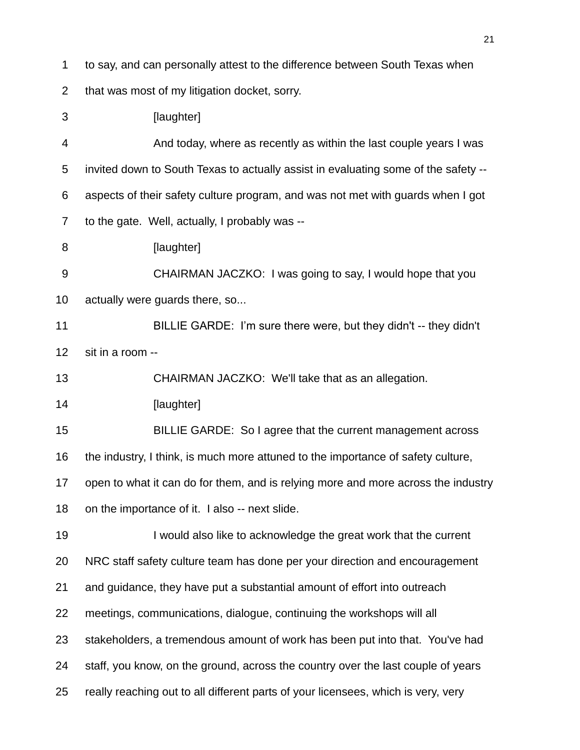to say, and can personally attest to the difference between South Texas when

that was most of my litigation docket, sorry.

3 [laughter]

 And today, where as recently as within the last couple years I was invited down to South Texas to actually assist in evaluating some of the safety -- aspects of their safety culture program, and was not met with guards when I got to the gate. Well, actually, I probably was --

**[laughter]** 

 CHAIRMAN JACZKO: I was going to say, I would hope that you actually were guards there, so...

 BILLIE GARDE: I"m sure there were, but they didn't -- they didn't sit in a room --

CHAIRMAN JACZKO: We'll take that as an allegation.

**[laughter]** 

BILLIE GARDE: So I agree that the current management across

the industry, I think, is much more attuned to the importance of safety culture,

open to what it can do for them, and is relying more and more across the industry

on the importance of it. I also -- next slide.

 I would also like to acknowledge the great work that the current NRC staff safety culture team has done per your direction and encouragement and guidance, they have put a substantial amount of effort into outreach meetings, communications, dialogue, continuing the workshops will all stakeholders, a tremendous amount of work has been put into that. You've had staff, you know, on the ground, across the country over the last couple of years

really reaching out to all different parts of your licensees, which is very, very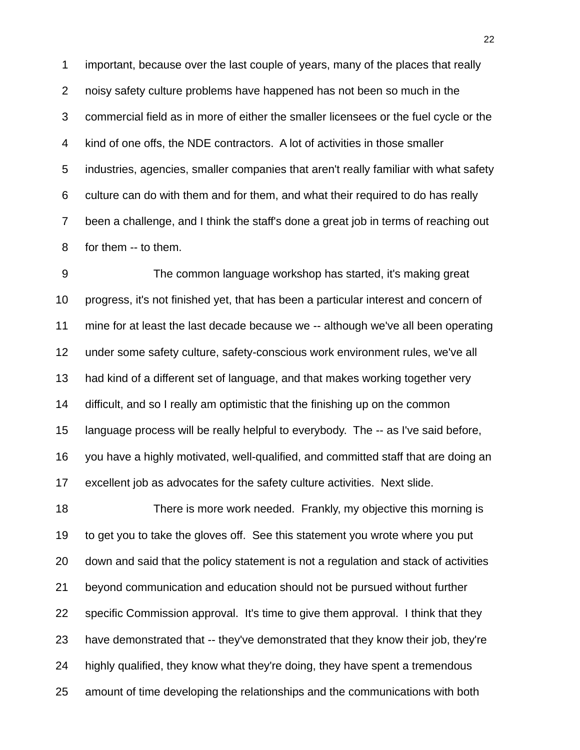important, because over the last couple of years, many of the places that really noisy safety culture problems have happened has not been so much in the commercial field as in more of either the smaller licensees or the fuel cycle or the kind of one offs, the NDE contractors. A lot of activities in those smaller industries, agencies, smaller companies that aren't really familiar with what safety culture can do with them and for them, and what their required to do has really been a challenge, and I think the staff's done a great job in terms of reaching out for them -- to them.

 The common language workshop has started, it's making great progress, it's not finished yet, that has been a particular interest and concern of mine for at least the last decade because we -- although we've all been operating under some safety culture, safety-conscious work environment rules, we've all had kind of a different set of language, and that makes working together very difficult, and so I really am optimistic that the finishing up on the common language process will be really helpful to everybody. The -- as I've said before, you have a highly motivated, well-qualified, and committed staff that are doing an excellent job as advocates for the safety culture activities. Next slide.

 There is more work needed. Frankly, my objective this morning is to get you to take the gloves off. See this statement you wrote where you put down and said that the policy statement is not a regulation and stack of activities beyond communication and education should not be pursued without further specific Commission approval. It's time to give them approval. I think that they have demonstrated that -- they've demonstrated that they know their job, they're highly qualified, they know what they're doing, they have spent a tremendous amount of time developing the relationships and the communications with both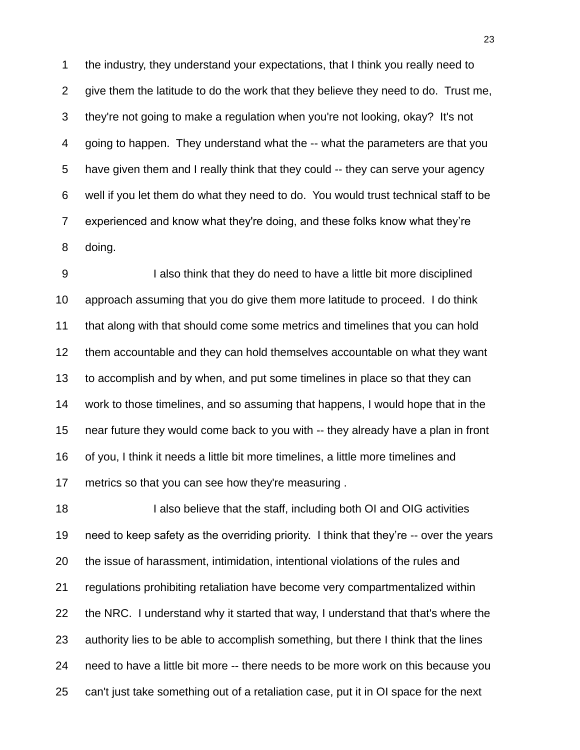the industry, they understand your expectations, that I think you really need to give them the latitude to do the work that they believe they need to do. Trust me, they're not going to make a regulation when you're not looking, okay? It's not going to happen. They understand what the -- what the parameters are that you have given them and I really think that they could -- they can serve your agency well if you let them do what they need to do. You would trust technical staff to be experienced and know what they're doing, and these folks know what they"re doing.

 I also think that they do need to have a little bit more disciplined approach assuming that you do give them more latitude to proceed. I do think that along with that should come some metrics and timelines that you can hold them accountable and they can hold themselves accountable on what they want to accomplish and by when, and put some timelines in place so that they can work to those timelines, and so assuming that happens, I would hope that in the near future they would come back to you with -- they already have a plan in front of you, I think it needs a little bit more timelines, a little more timelines and metrics so that you can see how they're measuring .

**I also believe that the staff, including both OI and OIG activities**  need to keep safety as the overriding priority. I think that they"re -- over the years the issue of harassment, intimidation, intentional violations of the rules and regulations prohibiting retaliation have become very compartmentalized within the NRC. I understand why it started that way, I understand that that's where the authority lies to be able to accomplish something, but there I think that the lines need to have a little bit more -- there needs to be more work on this because you can't just take something out of a retaliation case, put it in OI space for the next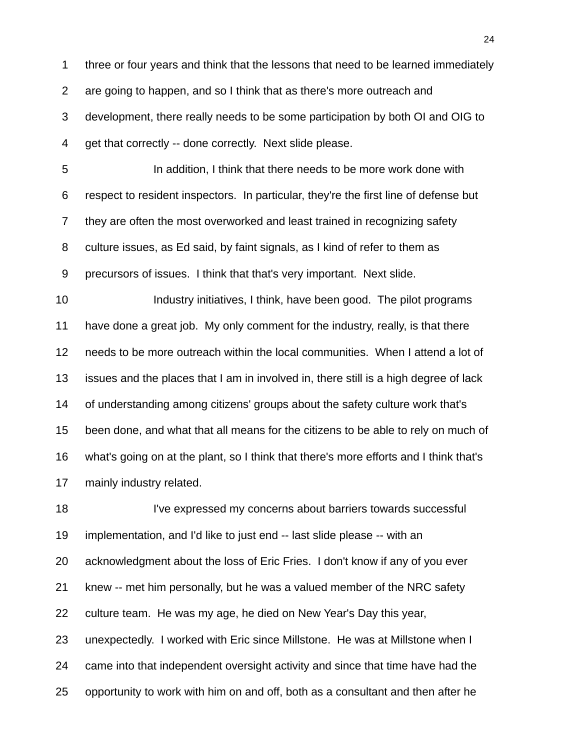three or four years and think that the lessons that need to be learned immediately are going to happen, and so I think that as there's more outreach and development, there really needs to be some participation by both OI and OIG to get that correctly -- done correctly. Next slide please.

 In addition, I think that there needs to be more work done with respect to resident inspectors. In particular, they're the first line of defense but they are often the most overworked and least trained in recognizing safety culture issues, as Ed said, by faint signals, as I kind of refer to them as precursors of issues. I think that that's very important. Next slide.

**Industry initiatives, I think, have been good.** The pilot programs have done a great job. My only comment for the industry, really, is that there needs to be more outreach within the local communities. When I attend a lot of issues and the places that I am in involved in, there still is a high degree of lack of understanding among citizens' groups about the safety culture work that's been done, and what that all means for the citizens to be able to rely on much of what's going on at the plant, so I think that there's more efforts and I think that's mainly industry related.

18 I've expressed my concerns about barriers towards successful implementation, and I'd like to just end -- last slide please -- with an acknowledgment about the loss of Eric Fries. I don't know if any of you ever knew -- met him personally, but he was a valued member of the NRC safety culture team. He was my age, he died on New Year's Day this year, unexpectedly. I worked with Eric since Millstone. He was at Millstone when I came into that independent oversight activity and since that time have had the opportunity to work with him on and off, both as a consultant and then after he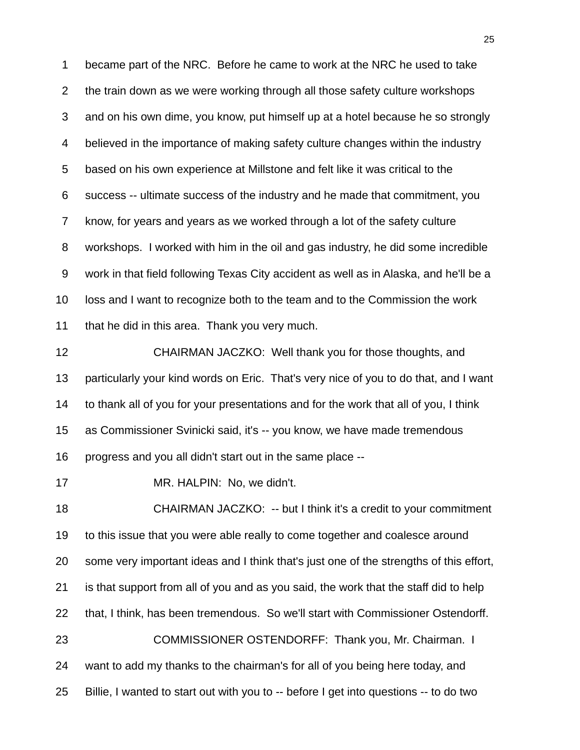became part of the NRC. Before he came to work at the NRC he used to take the train down as we were working through all those safety culture workshops and on his own dime, you know, put himself up at a hotel because he so strongly believed in the importance of making safety culture changes within the industry based on his own experience at Millstone and felt like it was critical to the success -- ultimate success of the industry and he made that commitment, you know, for years and years as we worked through a lot of the safety culture workshops. I worked with him in the oil and gas industry, he did some incredible work in that field following Texas City accident as well as in Alaska, and he'll be a loss and I want to recognize both to the team and to the Commission the work that he did in this area. Thank you very much.

 CHAIRMAN JACZKO: Well thank you for those thoughts, and particularly your kind words on Eric. That's very nice of you to do that, and I want to thank all of you for your presentations and for the work that all of you, I think as Commissioner Svinicki said, it's -- you know, we have made tremendous progress and you all didn't start out in the same place --

MR. HALPIN: No, we didn't.

 CHAIRMAN JACZKO: -- but I think it's a credit to your commitment to this issue that you were able really to come together and coalesce around some very important ideas and I think that's just one of the strengths of this effort, is that support from all of you and as you said, the work that the staff did to help that, I think, has been tremendous. So we'll start with Commissioner Ostendorff. 23 COMMISSIONER OSTENDORFF: Thank you, Mr. Chairman. I want to add my thanks to the chairman's for all of you being here today, and Billie, I wanted to start out with you to -- before I get into questions -- to do two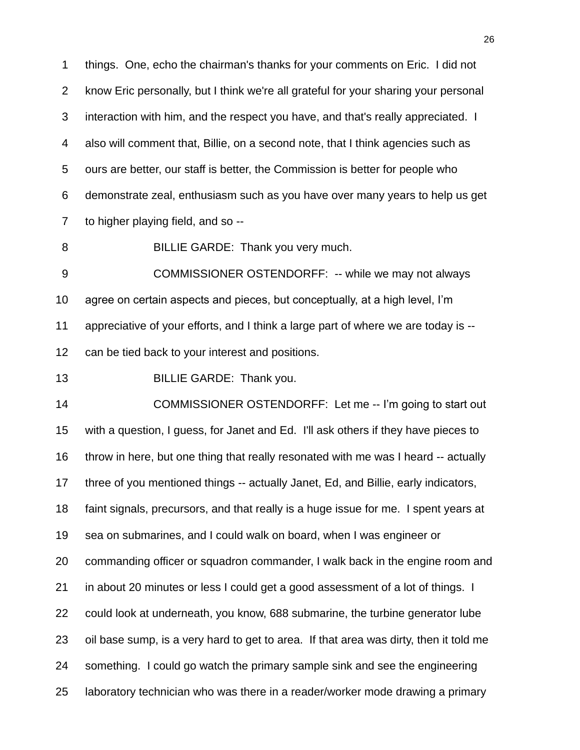things. One, echo the chairman's thanks for your comments on Eric. I did not know Eric personally, but I think we're all grateful for your sharing your personal interaction with him, and the respect you have, and that's really appreciated. I also will comment that, Billie, on a second note, that I think agencies such as ours are better, our staff is better, the Commission is better for people who demonstrate zeal, enthusiasm such as you have over many years to help us get to higher playing field, and so --

BILLIE GARDE: Thank you very much.

 COMMISSIONER OSTENDORFF: -- while we may not always agree on certain aspects and pieces, but conceptually, at a high level, I"m appreciative of your efforts, and I think a large part of where we are today is -- can be tied back to your interest and positions.

BILLIE GARDE: Thank you.

14 COMMISSIONER OSTENDORFF: Let me -- I'm going to start out with a question, I guess, for Janet and Ed. I'll ask others if they have pieces to throw in here, but one thing that really resonated with me was I heard -- actually three of you mentioned things -- actually Janet, Ed, and Billie, early indicators, faint signals, precursors, and that really is a huge issue for me. I spent years at sea on submarines, and I could walk on board, when I was engineer or commanding officer or squadron commander, I walk back in the engine room and in about 20 minutes or less I could get a good assessment of a lot of things. I could look at underneath, you know, 688 submarine, the turbine generator lube oil base sump, is a very hard to get to area. If that area was dirty, then it told me something. I could go watch the primary sample sink and see the engineering laboratory technician who was there in a reader/worker mode drawing a primary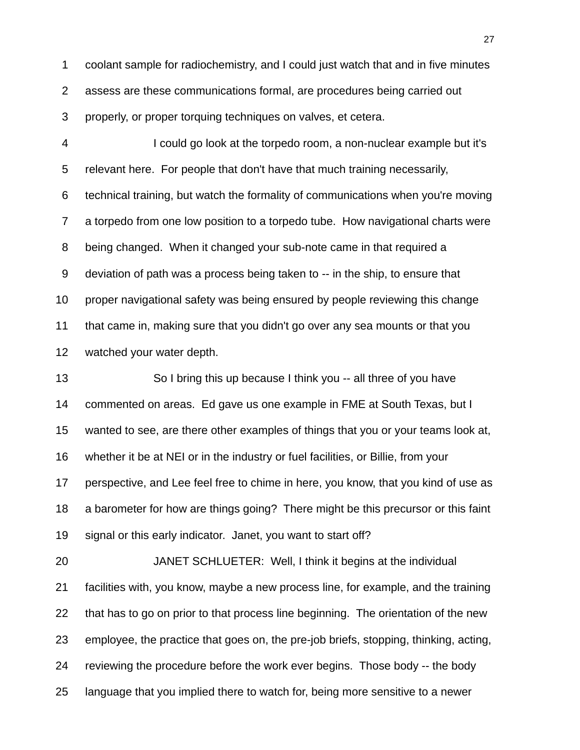coolant sample for radiochemistry, and I could just watch that and in five minutes assess are these communications formal, are procedures being carried out properly, or proper torquing techniques on valves, et cetera.

 I could go look at the torpedo room, a non-nuclear example but it's relevant here. For people that don't have that much training necessarily, technical training, but watch the formality of communications when you're moving a torpedo from one low position to a torpedo tube. How navigational charts were being changed. When it changed your sub-note came in that required a deviation of path was a process being taken to -- in the ship, to ensure that proper navigational safety was being ensured by people reviewing this change that came in, making sure that you didn't go over any sea mounts or that you watched your water depth.

 So I bring this up because I think you -- all three of you have commented on areas. Ed gave us one example in FME at South Texas, but I wanted to see, are there other examples of things that you or your teams look at, whether it be at NEI or in the industry or fuel facilities, or Billie, from your perspective, and Lee feel free to chime in here, you know, that you kind of use as a barometer for how are things going? There might be this precursor or this faint signal or this early indicator. Janet, you want to start off?

 JANET SCHLUETER: Well, I think it begins at the individual facilities with, you know, maybe a new process line, for example, and the training that has to go on prior to that process line beginning. The orientation of the new employee, the practice that goes on, the pre-job briefs, stopping, thinking, acting, reviewing the procedure before the work ever begins. Those body -- the body language that you implied there to watch for, being more sensitive to a newer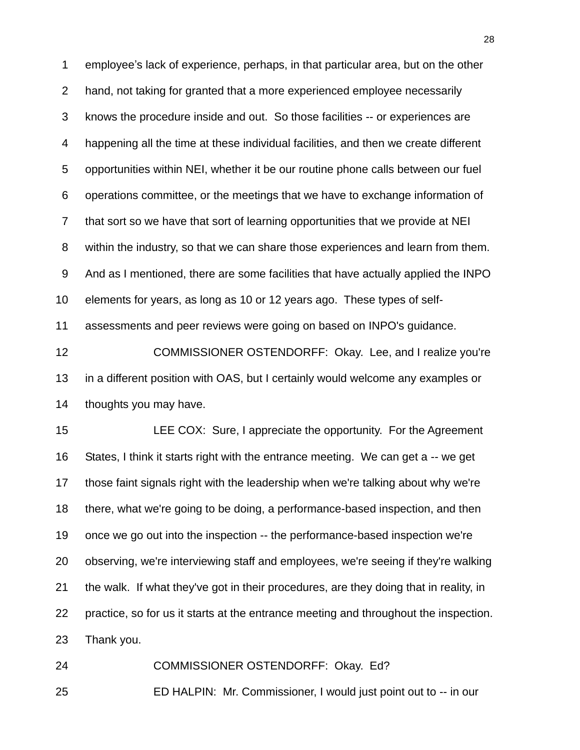employee"s lack of experience, perhaps, in that particular area, but on the other hand, not taking for granted that a more experienced employee necessarily knows the procedure inside and out. So those facilities -- or experiences are happening all the time at these individual facilities, and then we create different opportunities within NEI, whether it be our routine phone calls between our fuel operations committee, or the meetings that we have to exchange information of that sort so we have that sort of learning opportunities that we provide at NEI within the industry, so that we can share those experiences and learn from them. And as I mentioned, there are some facilities that have actually applied the INPO elements for years, as long as 10 or 12 years ago. These types of self-assessments and peer reviews were going on based on INPO's guidance.

 COMMISSIONER OSTENDORFF: Okay. Lee, and I realize you're in a different position with OAS, but I certainly would welcome any examples or thoughts you may have.

 LEE COX: Sure, I appreciate the opportunity. For the Agreement States, I think it starts right with the entrance meeting. We can get a -- we get those faint signals right with the leadership when we're talking about why we're there, what we're going to be doing, a performance-based inspection, and then once we go out into the inspection -- the performance-based inspection we're observing, we're interviewing staff and employees, we're seeing if they're walking the walk. If what they've got in their procedures, are they doing that in reality, in practice, so for us it starts at the entrance meeting and throughout the inspection. Thank you.

 COMMISSIONER OSTENDORFF: Okay. Ed? ED HALPIN: Mr. Commissioner, I would just point out to -- in our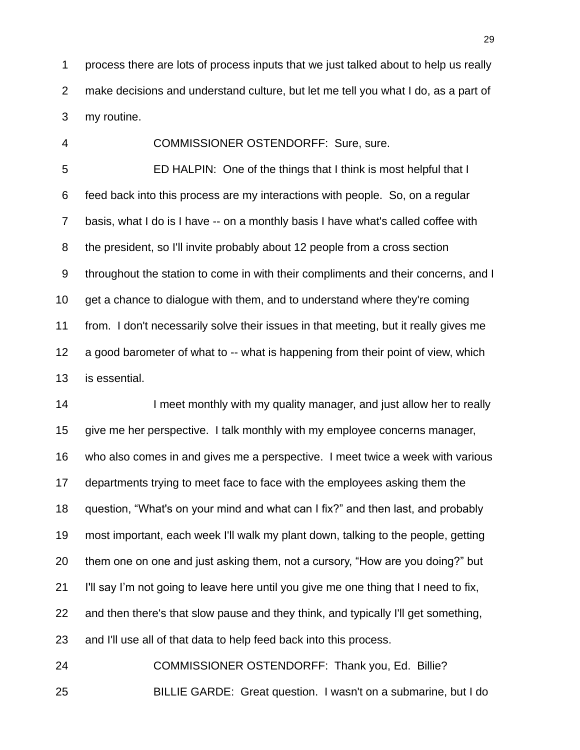process there are lots of process inputs that we just talked about to help us really make decisions and understand culture, but let me tell you what I do, as a part of my routine.

COMMISSIONER OSTENDORFF: Sure, sure.

 ED HALPIN: One of the things that I think is most helpful that I feed back into this process are my interactions with people. So, on a regular basis, what I do is I have -- on a monthly basis I have what's called coffee with the president, so I'll invite probably about 12 people from a cross section throughout the station to come in with their compliments and their concerns, and I get a chance to dialogue with them, and to understand where they're coming from. I don't necessarily solve their issues in that meeting, but it really gives me a good barometer of what to -- what is happening from their point of view, which is essential.

14 I meet monthly with my quality manager, and just allow her to really give me her perspective. I talk monthly with my employee concerns manager, who also comes in and gives me a perspective. I meet twice a week with various departments trying to meet face to face with the employees asking them the question, "What's on your mind and what can I fix?" and then last, and probably most important, each week I'll walk my plant down, talking to the people, getting them one on one and just asking them, not a cursory, "How are you doing?" but I'll say I"m not going to leave here until you give me one thing that I need to fix, and then there's that slow pause and they think, and typically I'll get something, and I'll use all of that data to help feed back into this process.

 COMMISSIONER OSTENDORFF: Thank you, Ed. Billie? BILLIE GARDE: Great question. I wasn't on a submarine, but I do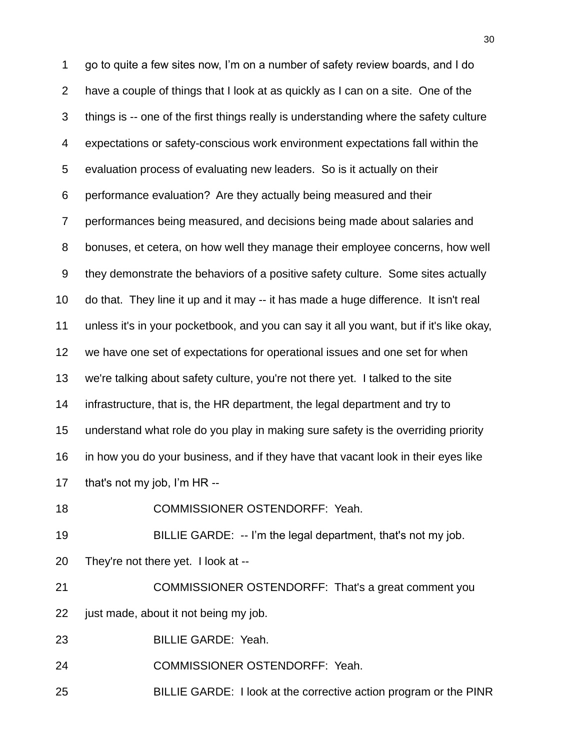go to quite a few sites now, I"m on a number of safety review boards, and I do have a couple of things that I look at as quickly as I can on a site. One of the things is -- one of the first things really is understanding where the safety culture expectations or safety-conscious work environment expectations fall within the evaluation process of evaluating new leaders. So is it actually on their performance evaluation? Are they actually being measured and their performances being measured, and decisions being made about salaries and bonuses, et cetera, on how well they manage their employee concerns, how well they demonstrate the behaviors of a positive safety culture. Some sites actually do that. They line it up and it may -- it has made a huge difference. It isn't real unless it's in your pocketbook, and you can say it all you want, but if it's like okay, we have one set of expectations for operational issues and one set for when we're talking about safety culture, you're not there yet. I talked to the site infrastructure, that is, the HR department, the legal department and try to understand what role do you play in making sure safety is the overriding priority in how you do your business, and if they have that vacant look in their eyes like 17 that's not my job, I'm HR --

COMMISSIONER OSTENDORFF: Yeah.

BILLIE GARDE: -- I"m the legal department, that's not my job.

They're not there yet. I look at --

 COMMISSIONER OSTENDORFF: That's a great comment you just made, about it not being my job.

BILLIE GARDE: Yeah.

COMMISSIONER OSTENDORFF: Yeah.

BILLIE GARDE: I look at the corrective action program or the PINR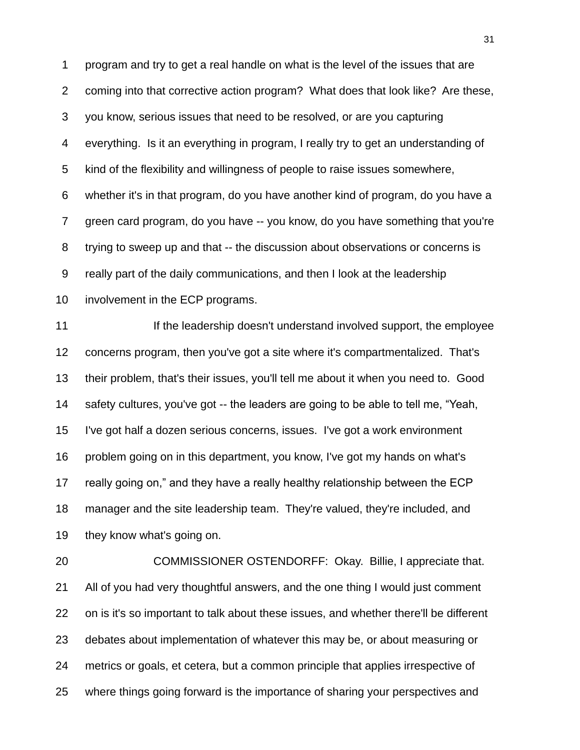program and try to get a real handle on what is the level of the issues that are coming into that corrective action program? What does that look like? Are these, you know, serious issues that need to be resolved, or are you capturing everything. Is it an everything in program, I really try to get an understanding of kind of the flexibility and willingness of people to raise issues somewhere, whether it's in that program, do you have another kind of program, do you have a green card program, do you have -- you know, do you have something that you're trying to sweep up and that -- the discussion about observations or concerns is really part of the daily communications, and then I look at the leadership involvement in the ECP programs.

**If the leadership doesn't understand involved support, the employee**  concerns program, then you've got a site where it's compartmentalized. That's their problem, that's their issues, you'll tell me about it when you need to. Good safety cultures, you've got -- the leaders are going to be able to tell me, "Yeah, I've got half a dozen serious concerns, issues. I've got a work environment problem going on in this department, you know, I've got my hands on what's really going on," and they have a really healthy relationship between the ECP manager and the site leadership team. They're valued, they're included, and they know what's going on.

 COMMISSIONER OSTENDORFF: Okay. Billie, I appreciate that. All of you had very thoughtful answers, and the one thing I would just comment on is it's so important to talk about these issues, and whether there'll be different debates about implementation of whatever this may be, or about measuring or metrics or goals, et cetera, but a common principle that applies irrespective of where things going forward is the importance of sharing your perspectives and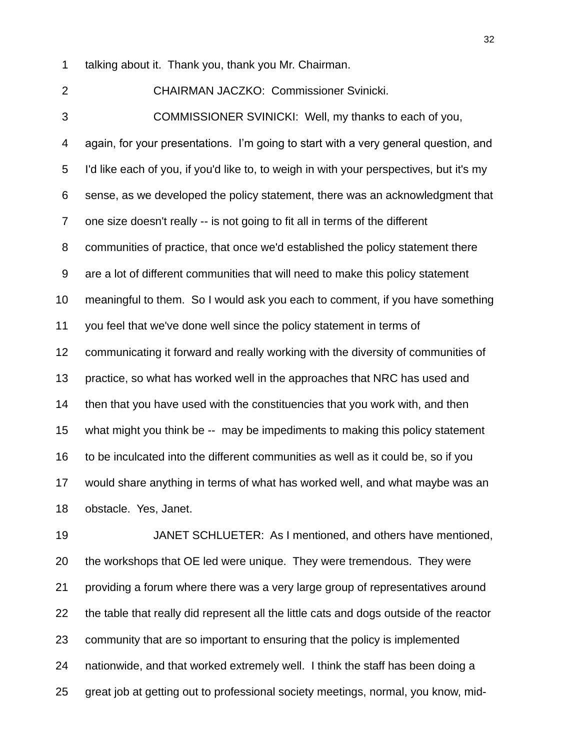talking about it. Thank you, thank you Mr. Chairman.

 CHAIRMAN JACZKO: Commissioner Svinicki. COMMISSIONER SVINICKI: Well, my thanks to each of you, again, for your presentations. I"m going to start with a very general question, and I'd like each of you, if you'd like to, to weigh in with your perspectives, but it's my sense, as we developed the policy statement, there was an acknowledgment that one size doesn't really -- is not going to fit all in terms of the different communities of practice, that once we'd established the policy statement there are a lot of different communities that will need to make this policy statement meaningful to them. So I would ask you each to comment, if you have something you feel that we've done well since the policy statement in terms of communicating it forward and really working with the diversity of communities of practice, so what has worked well in the approaches that NRC has used and then that you have used with the constituencies that you work with, and then what might you think be -- may be impediments to making this policy statement to be inculcated into the different communities as well as it could be, so if you would share anything in terms of what has worked well, and what maybe was an obstacle. Yes, Janet.

 JANET SCHLUETER: As I mentioned, and others have mentioned, the workshops that OE led were unique. They were tremendous. They were providing a forum where there was a very large group of representatives around the table that really did represent all the little cats and dogs outside of the reactor community that are so important to ensuring that the policy is implemented nationwide, and that worked extremely well. I think the staff has been doing a great job at getting out to professional society meetings, normal, you know, mid-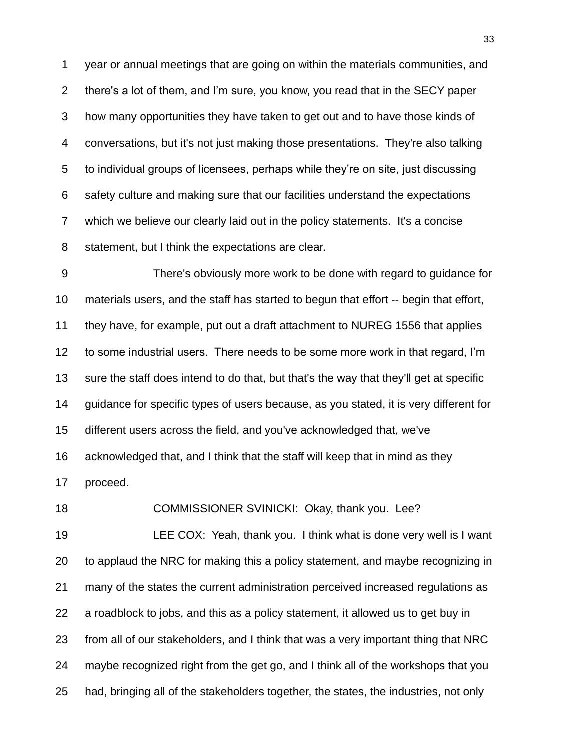year or annual meetings that are going on within the materials communities, and there's a lot of them, and I"m sure, you know, you read that in the SECY paper how many opportunities they have taken to get out and to have those kinds of conversations, but it's not just making those presentations. They're also talking to individual groups of licensees, perhaps while they"re on site, just discussing safety culture and making sure that our facilities understand the expectations which we believe our clearly laid out in the policy statements. It's a concise statement, but I think the expectations are clear.

 There's obviously more work to be done with regard to guidance for materials users, and the staff has started to begun that effort -- begin that effort, they have, for example, put out a draft attachment to NUREG 1556 that applies to some industrial users. There needs to be some more work in that regard, I"m sure the staff does intend to do that, but that's the way that they'll get at specific guidance for specific types of users because, as you stated, it is very different for different users across the field, and you've acknowledged that, we've acknowledged that, and I think that the staff will keep that in mind as they proceed.

 LEE COX: Yeah, thank you. I think what is done very well is I want to applaud the NRC for making this a policy statement, and maybe recognizing in many of the states the current administration perceived increased regulations as a roadblock to jobs, and this as a policy statement, it allowed us to get buy in from all of our stakeholders, and I think that was a very important thing that NRC maybe recognized right from the get go, and I think all of the workshops that you had, bringing all of the stakeholders together, the states, the industries, not only

COMMISSIONER SVINICKI: Okay, thank you. Lee?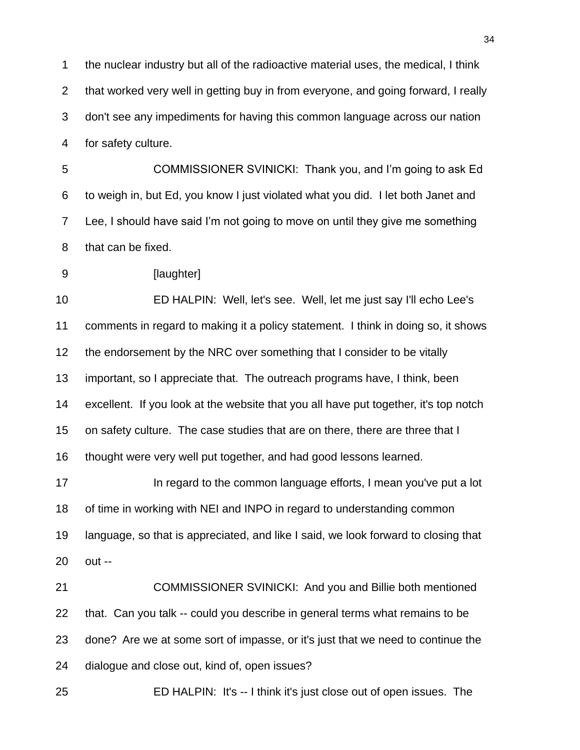the nuclear industry but all of the radioactive material uses, the medical, I think that worked very well in getting buy in from everyone, and going forward, I really don't see any impediments for having this common language across our nation for safety culture.

 COMMISSIONER SVINICKI: Thank you, and I"m going to ask Ed to weigh in, but Ed, you know I just violated what you did. I let both Janet and Lee, I should have said I"m not going to move on until they give me something that can be fixed.

**[laughter]** 

 ED HALPIN: Well, let's see. Well, let me just say I'll echo Lee's comments in regard to making it a policy statement. I think in doing so, it shows 12 the endorsement by the NRC over something that I consider to be vitally important, so I appreciate that. The outreach programs have, I think, been excellent. If you look at the website that you all have put together, it's top notch on safety culture. The case studies that are on there, there are three that I thought were very well put together, and had good lessons learned.

**In regard to the common language efforts, I mean you've put a lot**  of time in working with NEI and INPO in regard to understanding common language, so that is appreciated, and like I said, we look forward to closing that out --

 COMMISSIONER SVINICKI: And you and Billie both mentioned that. Can you talk -- could you describe in general terms what remains to be done? Are we at some sort of impasse, or it's just that we need to continue the dialogue and close out, kind of, open issues?

ED HALPIN: It's -- I think it's just close out of open issues. The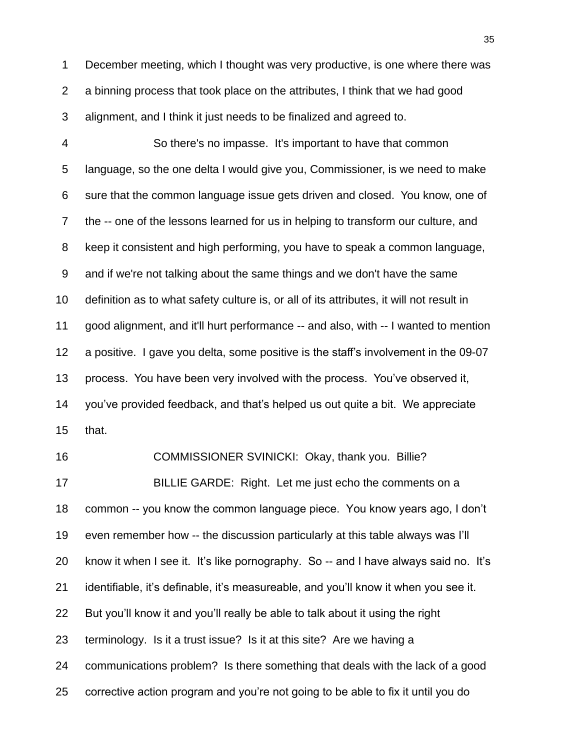December meeting, which I thought was very productive, is one where there was a binning process that took place on the attributes, I think that we had good alignment, and I think it just needs to be finalized and agreed to.

 So there's no impasse. It's important to have that common language, so the one delta I would give you, Commissioner, is we need to make sure that the common language issue gets driven and closed. You know, one of the -- one of the lessons learned for us in helping to transform our culture, and keep it consistent and high performing, you have to speak a common language, and if we're not talking about the same things and we don't have the same definition as to what safety culture is, or all of its attributes, it will not result in good alignment, and it'll hurt performance -- and also, with -- I wanted to mention a positive. I gave you delta, some positive is the staff"s involvement in the 09-07 process. You have been very involved with the process. You"ve observed it, you"ve provided feedback, and that"s helped us out quite a bit. We appreciate that.

 COMMISSIONER SVINICKI: Okay, thank you. Billie? BILLIE GARDE: Right. Let me just echo the comments on a common -- you know the common language piece. You know years ago, I don"t even remember how -- the discussion particularly at this table always was I"ll know it when I see it. It"s like pornography. So -- and I have always said no. It"s identifiable, it"s definable, it"s measureable, and you"ll know it when you see it. But you"ll know it and you"ll really be able to talk about it using the right terminology. Is it a trust issue? Is it at this site? Are we having a communications problem? Is there something that deals with the lack of a good corrective action program and you"re not going to be able to fix it until you do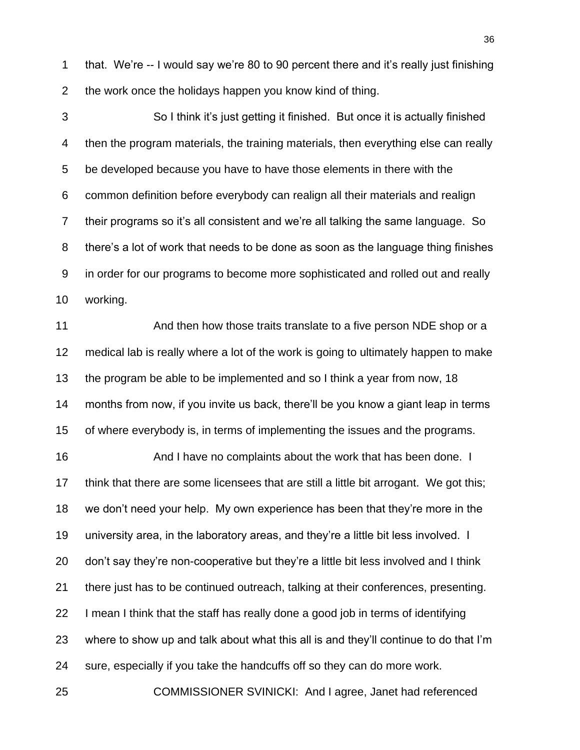1 that. We're -- I would say we're 80 to 90 percent there and it's really just finishing the work once the holidays happen you know kind of thing.

 So I think it"s just getting it finished. But once it is actually finished then the program materials, the training materials, then everything else can really be developed because you have to have those elements in there with the common definition before everybody can realign all their materials and realign their programs so it"s all consistent and we"re all talking the same language. So there"s a lot of work that needs to be done as soon as the language thing finishes in order for our programs to become more sophisticated and rolled out and really working.

11 And then how those traits translate to a five person NDE shop or a medical lab is really where a lot of the work is going to ultimately happen to make the program be able to be implemented and so I think a year from now, 18 months from now, if you invite us back, there"ll be you know a giant leap in terms of where everybody is, in terms of implementing the issues and the programs.

 And I have no complaints about the work that has been done. I think that there are some licensees that are still a little bit arrogant. We got this; we don"t need your help. My own experience has been that they"re more in the university area, in the laboratory areas, and they"re a little bit less involved. I don"t say they"re non-cooperative but they"re a little bit less involved and I think there just has to be continued outreach, talking at their conferences, presenting. I mean I think that the staff has really done a good job in terms of identifying where to show up and talk about what this all is and they"ll continue to do that I"m sure, especially if you take the handcuffs off so they can do more work.

COMMISSIONER SVINICKI: And I agree, Janet had referenced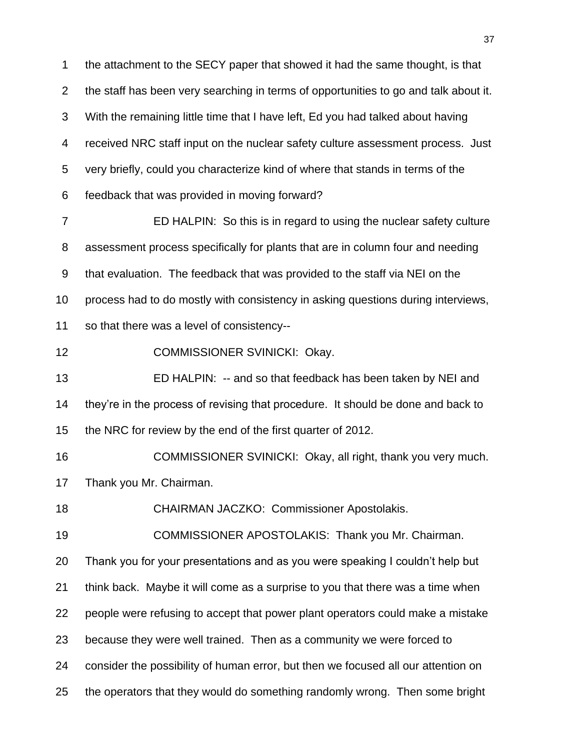the attachment to the SECY paper that showed it had the same thought, is that the staff has been very searching in terms of opportunities to go and talk about it. With the remaining little time that I have left, Ed you had talked about having received NRC staff input on the nuclear safety culture assessment process. Just very briefly, could you characterize kind of where that stands in terms of the feedback that was provided in moving forward? ED HALPIN: So this is in regard to using the nuclear safety culture

 assessment process specifically for plants that are in column four and needing that evaluation. The feedback that was provided to the staff via NEI on the process had to do mostly with consistency in asking questions during interviews,

so that there was a level of consistency--

COMMISSIONER SVINICKI: Okay.

 ED HALPIN: -- and so that feedback has been taken by NEI and they"re in the process of revising that procedure. It should be done and back to the NRC for review by the end of the first quarter of 2012.

 COMMISSIONER SVINICKI: Okay, all right, thank you very much. Thank you Mr. Chairman.

CHAIRMAN JACZKO: Commissioner Apostolakis.

COMMISSIONER APOSTOLAKIS: Thank you Mr. Chairman.

Thank you for your presentations and as you were speaking I couldn"t help but

think back. Maybe it will come as a surprise to you that there was a time when

people were refusing to accept that power plant operators could make a mistake

because they were well trained. Then as a community we were forced to

consider the possibility of human error, but then we focused all our attention on

the operators that they would do something randomly wrong. Then some bright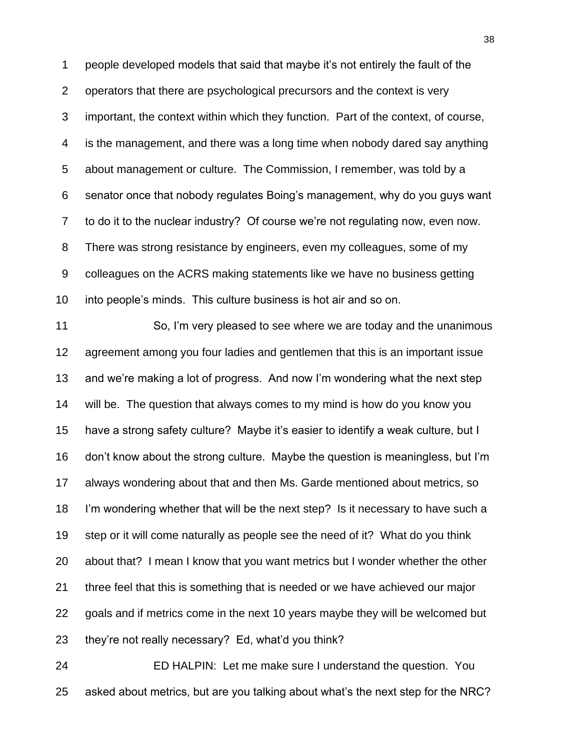people developed models that said that maybe it"s not entirely the fault of the operators that there are psychological precursors and the context is very important, the context within which they function. Part of the context, of course, is the management, and there was a long time when nobody dared say anything about management or culture. The Commission, I remember, was told by a senator once that nobody regulates Boing"s management, why do you guys want to do it to the nuclear industry? Of course we"re not regulating now, even now. There was strong resistance by engineers, even my colleagues, some of my colleagues on the ACRS making statements like we have no business getting into people"s minds. This culture business is hot air and so on.

 So, I"m very pleased to see where we are today and the unanimous agreement among you four ladies and gentlemen that this is an important issue and we"re making a lot of progress. And now I"m wondering what the next step will be. The question that always comes to my mind is how do you know you have a strong safety culture? Maybe it"s easier to identify a weak culture, but I don"t know about the strong culture. Maybe the question is meaningless, but I"m always wondering about that and then Ms. Garde mentioned about metrics, so 18 I'm wondering whether that will be the next step? Is it necessary to have such a step or it will come naturally as people see the need of it? What do you think about that? I mean I know that you want metrics but I wonder whether the other three feel that this is something that is needed or we have achieved our major goals and if metrics come in the next 10 years maybe they will be welcomed but they"re not really necessary? Ed, what"d you think?

 ED HALPIN: Let me make sure I understand the question. You asked about metrics, but are you talking about what"s the next step for the NRC?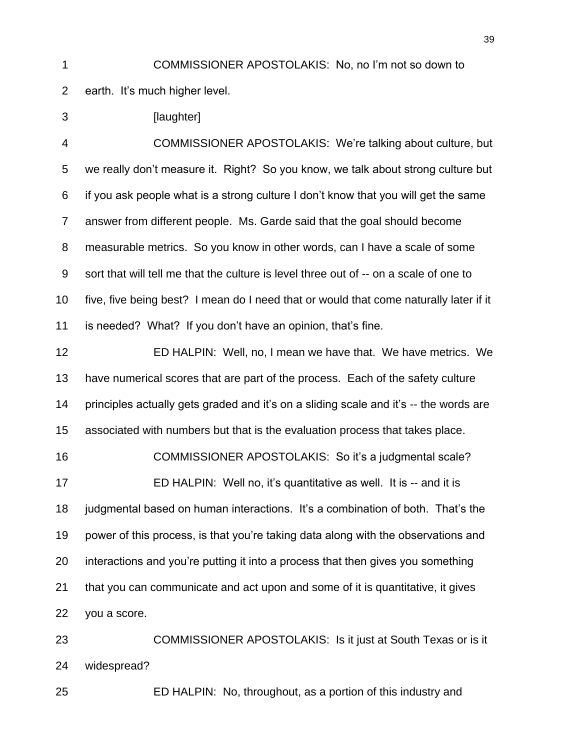COMMISSIONER APOSTOLAKIS: No, no I"m not so down to

earth. It"s much higher level.

3 [laughter]

 COMMISSIONER APOSTOLAKIS: We"re talking about culture, but we really don"t measure it. Right? So you know, we talk about strong culture but if you ask people what is a strong culture I don"t know that you will get the same answer from different people. Ms. Garde said that the goal should become measurable metrics. So you know in other words, can I have a scale of some sort that will tell me that the culture is level three out of -- on a scale of one to five, five being best? I mean do I need that or would that come naturally later if it 11 is needed? What? If you don't have an opinion, that's fine.

 ED HALPIN: Well, no, I mean we have that. We have metrics. We have numerical scores that are part of the process. Each of the safety culture principles actually gets graded and it"s on a sliding scale and it"s -- the words are associated with numbers but that is the evaluation process that takes place.

 COMMISSIONER APOSTOLAKIS: So it"s a judgmental scale? ED HALPIN: Well no, it"s quantitative as well. It is -- and it is judgmental based on human interactions. It"s a combination of both. That"s the power of this process, is that you"re taking data along with the observations and interactions and you"re putting it into a process that then gives you something that you can communicate and act upon and some of it is quantitative, it gives you a score.

 COMMISSIONER APOSTOLAKIS: Is it just at South Texas or is it widespread?

ED HALPIN: No, throughout, as a portion of this industry and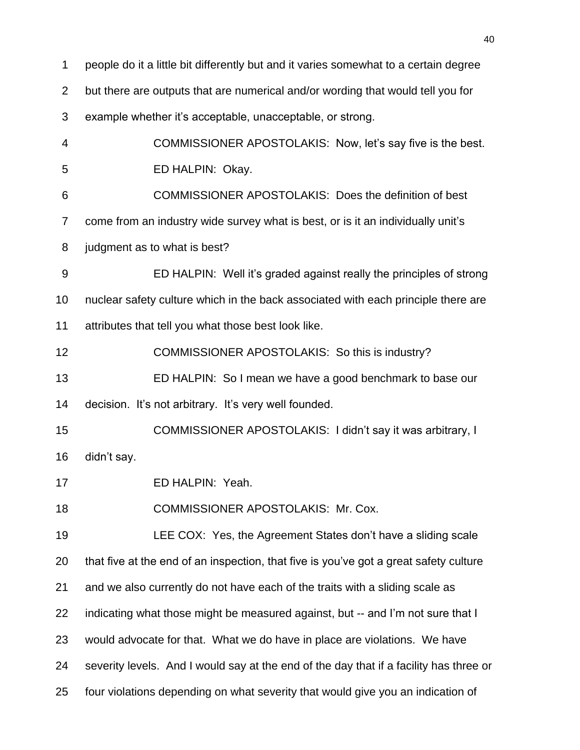people do it a little bit differently but and it varies somewhat to a certain degree but there are outputs that are numerical and/or wording that would tell you for example whether it"s acceptable, unacceptable, or strong. COMMISSIONER APOSTOLAKIS: Now, let"s say five is the best. ED HALPIN: Okay. COMMISSIONER APOSTOLAKIS: Does the definition of best come from an industry wide survey what is best, or is it an individually unit"s judgment as to what is best? ED HALPIN: Well it"s graded against really the principles of strong nuclear safety culture which in the back associated with each principle there are attributes that tell you what those best look like. COMMISSIONER APOSTOLAKIS: So this is industry? ED HALPIN: So I mean we have a good benchmark to base our 14 decision. It's not arbitrary. It's very well founded. COMMISSIONER APOSTOLAKIS: I didn"t say it was arbitrary, I didn"t say. ED HALPIN: Yeah. COMMISSIONER APOSTOLAKIS: Mr. Cox. LEE COX: Yes, the Agreement States don"t have a sliding scale that five at the end of an inspection, that five is you"ve got a great safety culture and we also currently do not have each of the traits with a sliding scale as 22 indicating what those might be measured against, but -- and I'm not sure that I would advocate for that. What we do have in place are violations. We have severity levels. And I would say at the end of the day that if a facility has three or four violations depending on what severity that would give you an indication of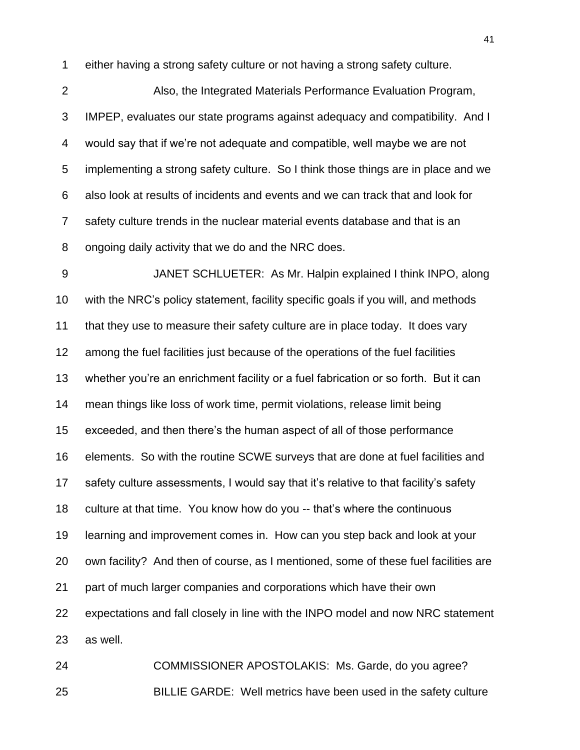either having a strong safety culture or not having a strong safety culture.

 Also, the Integrated Materials Performance Evaluation Program, IMPEP, evaluates our state programs against adequacy and compatibility. And I would say that if we"re not adequate and compatible, well maybe we are not implementing a strong safety culture. So I think those things are in place and we also look at results of incidents and events and we can track that and look for safety culture trends in the nuclear material events database and that is an ongoing daily activity that we do and the NRC does.

 JANET SCHLUETER: As Mr. Halpin explained I think INPO, along with the NRC"s policy statement, facility specific goals if you will, and methods that they use to measure their safety culture are in place today. It does vary among the fuel facilities just because of the operations of the fuel facilities whether you"re an enrichment facility or a fuel fabrication or so forth. But it can mean things like loss of work time, permit violations, release limit being exceeded, and then there"s the human aspect of all of those performance elements. So with the routine SCWE surveys that are done at fuel facilities and safety culture assessments, I would say that it"s relative to that facility"s safety culture at that time. You know how do you -- that"s where the continuous learning and improvement comes in. How can you step back and look at your own facility? And then of course, as I mentioned, some of these fuel facilities are part of much larger companies and corporations which have their own expectations and fall closely in line with the INPO model and now NRC statement as well.

 COMMISSIONER APOSTOLAKIS: Ms. Garde, do you agree? BILLIE GARDE: Well metrics have been used in the safety culture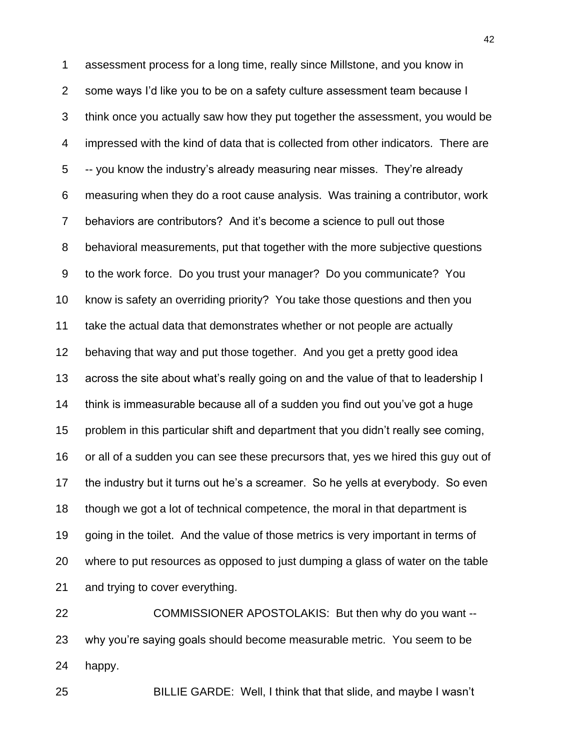assessment process for a long time, really since Millstone, and you know in some ways I"d like you to be on a safety culture assessment team because I think once you actually saw how they put together the assessment, you would be impressed with the kind of data that is collected from other indicators. There are -- you know the industry"s already measuring near misses. They"re already measuring when they do a root cause analysis. Was training a contributor, work behaviors are contributors? And it"s become a science to pull out those behavioral measurements, put that together with the more subjective questions to the work force. Do you trust your manager? Do you communicate? You know is safety an overriding priority? You take those questions and then you take the actual data that demonstrates whether or not people are actually behaving that way and put those together. And you get a pretty good idea across the site about what"s really going on and the value of that to leadership I think is immeasurable because all of a sudden you find out you"ve got a huge problem in this particular shift and department that you didn"t really see coming, or all of a sudden you can see these precursors that, yes we hired this guy out of the industry but it turns out he"s a screamer. So he yells at everybody. So even though we got a lot of technical competence, the moral in that department is going in the toilet. And the value of those metrics is very important in terms of where to put resources as opposed to just dumping a glass of water on the table and trying to cover everything.

 COMMISSIONER APOSTOLAKIS: But then why do you want -- why you"re saying goals should become measurable metric. You seem to be happy.

BILLIE GARDE: Well, I think that that slide, and maybe I wasn"t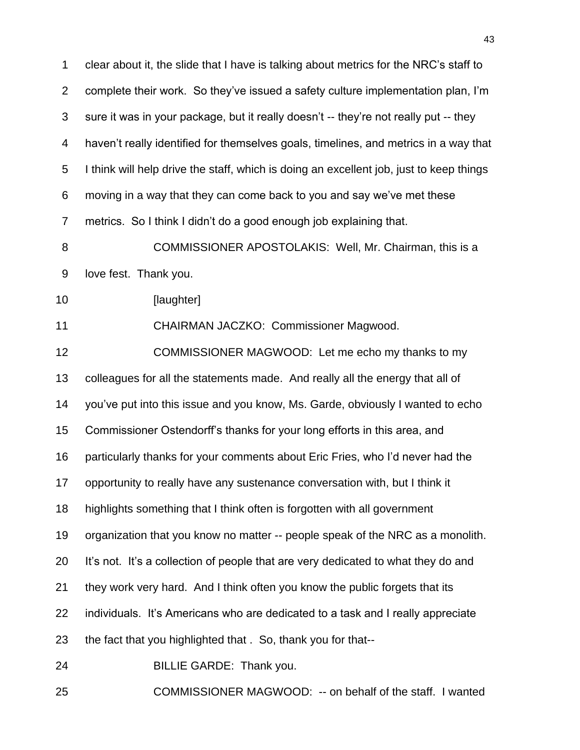clear about it, the slide that I have is talking about metrics for the NRC"s staff to complete their work. So they"ve issued a safety culture implementation plan, I"m sure it was in your package, but it really doesn"t -- they"re not really put -- they haven"t really identified for themselves goals, timelines, and metrics in a way that I think will help drive the staff, which is doing an excellent job, just to keep things moving in a way that they can come back to you and say we"ve met these metrics. So I think I didn"t do a good enough job explaining that.

**COMMISSIONER APOSTOLAKIS: Well, Mr. Chairman, this is a** love fest. Thank you.

10 [laughter]

CHAIRMAN JACZKO: Commissioner Magwood.

 COMMISSIONER MAGWOOD: Let me echo my thanks to my colleagues for all the statements made. And really all the energy that all of you"ve put into this issue and you know, Ms. Garde, obviously I wanted to echo Commissioner Ostendorff"s thanks for your long efforts in this area, and particularly thanks for your comments about Eric Fries, who I"d never had the opportunity to really have any sustenance conversation with, but I think it highlights something that I think often is forgotten with all government organization that you know no matter -- people speak of the NRC as a monolith. It"s not. It"s a collection of people that are very dedicated to what they do and they work very hard. And I think often you know the public forgets that its individuals. It"s Americans who are dedicated to a task and I really appreciate the fact that you highlighted that . So, thank you for that-- BILLIE GARDE: Thank you.

COMMISSIONER MAGWOOD: -- on behalf of the staff. I wanted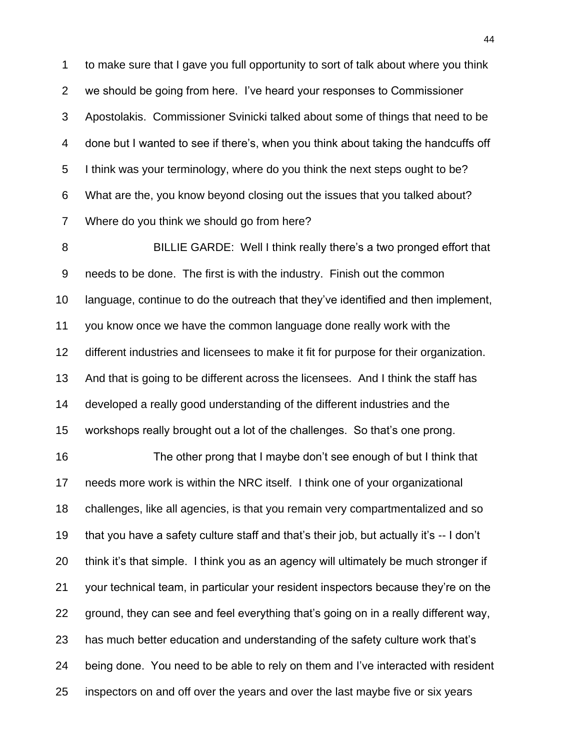to make sure that I gave you full opportunity to sort of talk about where you think we should be going from here. I"ve heard your responses to Commissioner Apostolakis. Commissioner Svinicki talked about some of things that need to be done but I wanted to see if there"s, when you think about taking the handcuffs off I think was your terminology, where do you think the next steps ought to be? What are the, you know beyond closing out the issues that you talked about? Where do you think we should go from here?

 BILLIE GARDE: Well I think really there"s a two pronged effort that needs to be done. The first is with the industry. Finish out the common language, continue to do the outreach that they"ve identified and then implement, you know once we have the common language done really work with the different industries and licensees to make it fit for purpose for their organization. And that is going to be different across the licensees. And I think the staff has developed a really good understanding of the different industries and the workshops really brought out a lot of the challenges. So that"s one prong.

 The other prong that I maybe don"t see enough of but I think that needs more work is within the NRC itself. I think one of your organizational challenges, like all agencies, is that you remain very compartmentalized and so that you have a safety culture staff and that"s their job, but actually it"s -- I don"t think it"s that simple. I think you as an agency will ultimately be much stronger if your technical team, in particular your resident inspectors because they"re on the ground, they can see and feel everything that"s going on in a really different way, has much better education and understanding of the safety culture work that"s being done. You need to be able to rely on them and I"ve interacted with resident inspectors on and off over the years and over the last maybe five or six years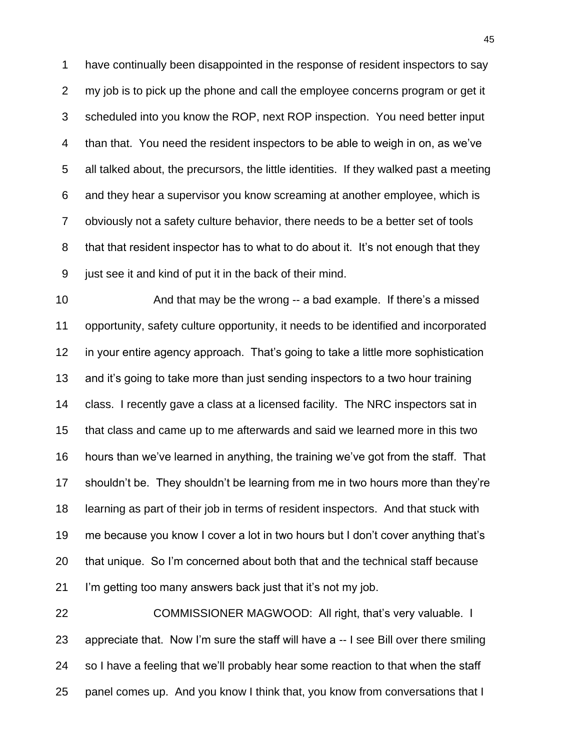have continually been disappointed in the response of resident inspectors to say my job is to pick up the phone and call the employee concerns program or get it scheduled into you know the ROP, next ROP inspection. You need better input than that. You need the resident inspectors to be able to weigh in on, as we"ve all talked about, the precursors, the little identities. If they walked past a meeting and they hear a supervisor you know screaming at another employee, which is obviously not a safety culture behavior, there needs to be a better set of tools that that resident inspector has to what to do about it. It"s not enough that they just see it and kind of put it in the back of their mind.

 And that may be the wrong -- a bad example. If there"s a missed opportunity, safety culture opportunity, it needs to be identified and incorporated in your entire agency approach. That"s going to take a little more sophistication and it"s going to take more than just sending inspectors to a two hour training class. I recently gave a class at a licensed facility. The NRC inspectors sat in that class and came up to me afterwards and said we learned more in this two hours than we"ve learned in anything, the training we"ve got from the staff. That shouldn"t be. They shouldn"t be learning from me in two hours more than they"re learning as part of their job in terms of resident inspectors. And that stuck with me because you know I cover a lot in two hours but I don"t cover anything that"s that unique. So I"m concerned about both that and the technical staff because I"m getting too many answers back just that it"s not my job.

 COMMISSIONER MAGWOOD: All right, that"s very valuable. I appreciate that. Now I"m sure the staff will have a -- I see Bill over there smiling so I have a feeling that we"ll probably hear some reaction to that when the staff panel comes up. And you know I think that, you know from conversations that I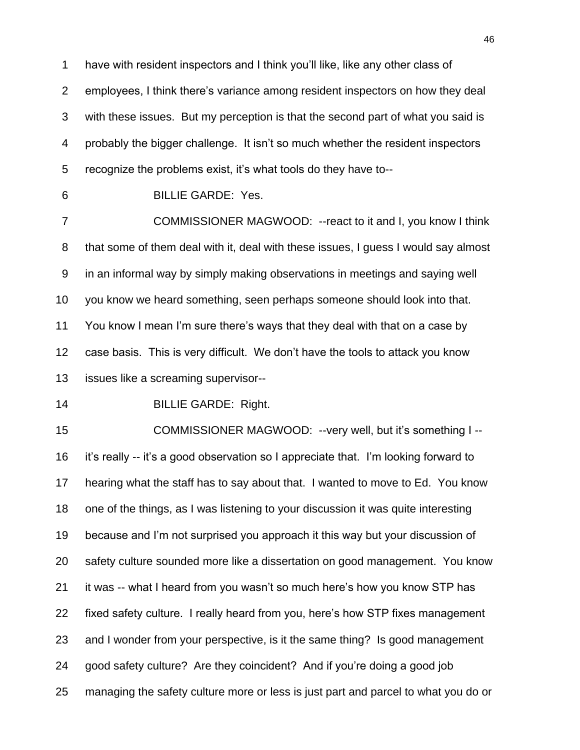have with resident inspectors and I think you"ll like, like any other class of employees, I think there"s variance among resident inspectors on how they deal with these issues. But my perception is that the second part of what you said is probably the bigger challenge. It isn"t so much whether the resident inspectors recognize the problems exist, it"s what tools do they have to--

BILLIE GARDE: Yes.

 COMMISSIONER MAGWOOD: --react to it and I, you know I think that some of them deal with it, deal with these issues, I guess I would say almost in an informal way by simply making observations in meetings and saying well you know we heard something, seen perhaps someone should look into that. You know I mean I"m sure there"s ways that they deal with that on a case by case basis. This is very difficult. We don"t have the tools to attack you know issues like a screaming supervisor--

BILLIE GARDE: Right.

 COMMISSIONER MAGWOOD: --very well, but it"s something I -- it"s really -- it"s a good observation so I appreciate that. I"m looking forward to hearing what the staff has to say about that. I wanted to move to Ed. You know one of the things, as I was listening to your discussion it was quite interesting because and I"m not surprised you approach it this way but your discussion of safety culture sounded more like a dissertation on good management. You know it was -- what I heard from you wasn"t so much here"s how you know STP has fixed safety culture. I really heard from you, here"s how STP fixes management and I wonder from your perspective, is it the same thing? Is good management good safety culture? Are they coincident? And if you"re doing a good job managing the safety culture more or less is just part and parcel to what you do or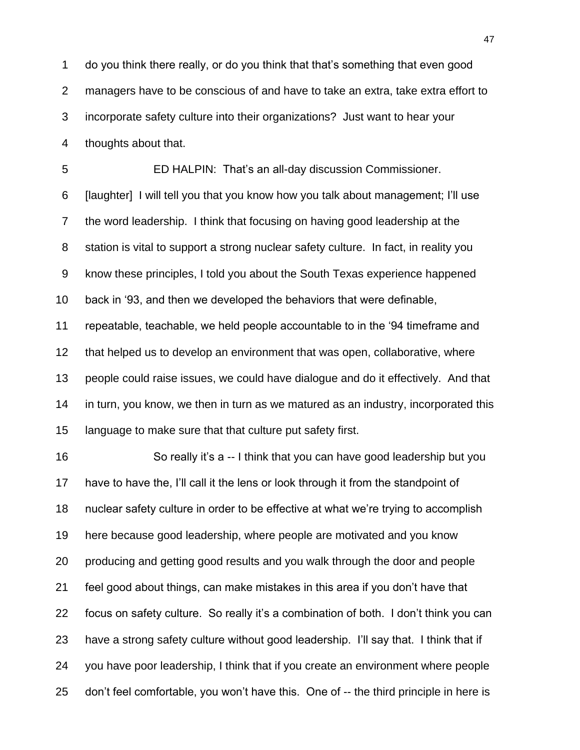do you think there really, or do you think that that"s something that even good managers have to be conscious of and have to take an extra, take extra effort to incorporate safety culture into their organizations? Just want to hear your thoughts about that.

 ED HALPIN: That"s an all-day discussion Commissioner. [laughter] I will tell you that you know how you talk about management; I"ll use the word leadership. I think that focusing on having good leadership at the station is vital to support a strong nuclear safety culture. In fact, in reality you know these principles, I told you about the South Texas experience happened back in "93, and then we developed the behaviors that were definable, repeatable, teachable, we held people accountable to in the "94 timeframe and that helped us to develop an environment that was open, collaborative, where people could raise issues, we could have dialogue and do it effectively. And that in turn, you know, we then in turn as we matured as an industry, incorporated this language to make sure that that culture put safety first.

 So really it"s a -- I think that you can have good leadership but you have to have the, I"ll call it the lens or look through it from the standpoint of nuclear safety culture in order to be effective at what we"re trying to accomplish here because good leadership, where people are motivated and you know producing and getting good results and you walk through the door and people feel good about things, can make mistakes in this area if you don"t have that focus on safety culture. So really it"s a combination of both. I don"t think you can have a strong safety culture without good leadership. I"ll say that. I think that if you have poor leadership, I think that if you create an environment where people don"t feel comfortable, you won"t have this. One of -- the third principle in here is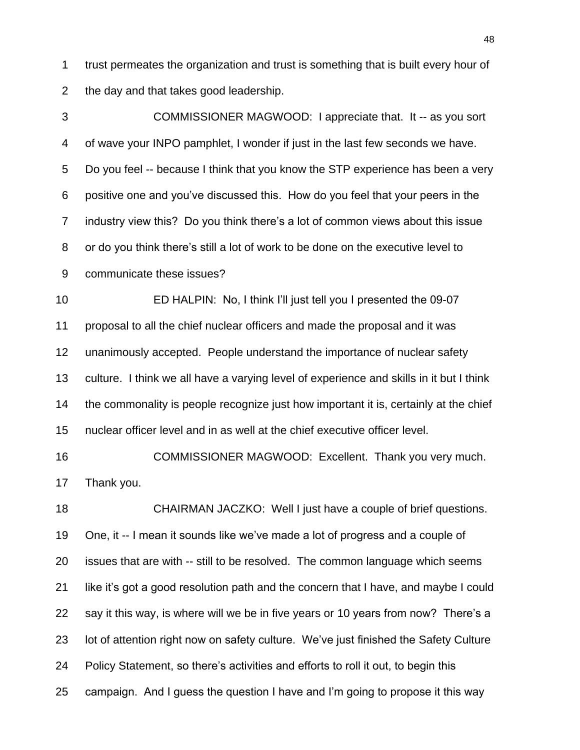trust permeates the organization and trust is something that is built every hour of the day and that takes good leadership.

 COMMISSIONER MAGWOOD: I appreciate that. It -- as you sort of wave your INPO pamphlet, I wonder if just in the last few seconds we have. Do you feel -- because I think that you know the STP experience has been a very positive one and you"ve discussed this. How do you feel that your peers in the industry view this? Do you think there"s a lot of common views about this issue or do you think there"s still a lot of work to be done on the executive level to communicate these issues? ED HALPIN: No, I think I"ll just tell you I presented the 09-07 proposal to all the chief nuclear officers and made the proposal and it was unanimously accepted. People understand the importance of nuclear safety culture. I think we all have a varying level of experience and skills in it but I think the commonality is people recognize just how important it is, certainly at the chief nuclear officer level and in as well at the chief executive officer level.

 COMMISSIONER MAGWOOD: Excellent. Thank you very much. Thank you.

 CHAIRMAN JACZKO: Well I just have a couple of brief questions. One, it -- I mean it sounds like we"ve made a lot of progress and a couple of issues that are with -- still to be resolved. The common language which seems like it"s got a good resolution path and the concern that I have, and maybe I could say it this way, is where will we be in five years or 10 years from now? There"s a lot of attention right now on safety culture. We"ve just finished the Safety Culture Policy Statement, so there"s activities and efforts to roll it out, to begin this campaign. And I guess the question I have and I"m going to propose it this way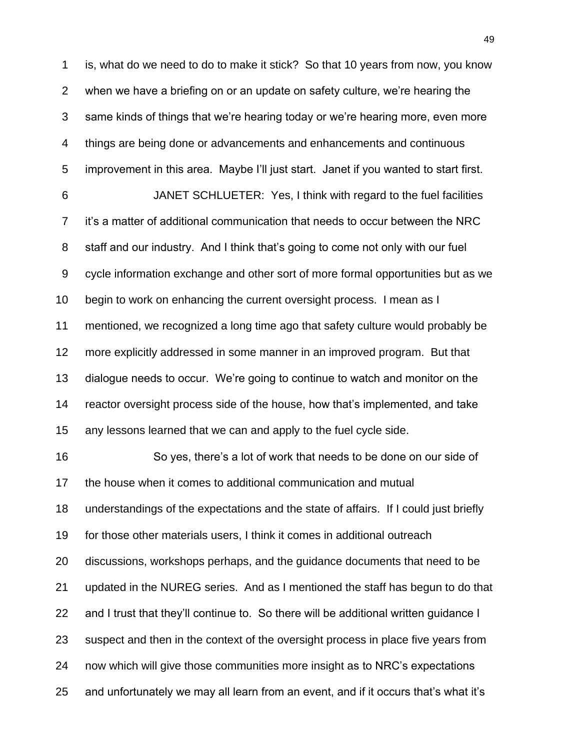is, what do we need to do to make it stick? So that 10 years from now, you know when we have a briefing on or an update on safety culture, we"re hearing the same kinds of things that we"re hearing today or we"re hearing more, even more things are being done or advancements and enhancements and continuous improvement in this area. Maybe I"ll just start. Janet if you wanted to start first. JANET SCHLUETER: Yes, I think with regard to the fuel facilities it"s a matter of additional communication that needs to occur between the NRC 8 staff and our industry. And I think that's going to come not only with our fuel cycle information exchange and other sort of more formal opportunities but as we begin to work on enhancing the current oversight process. I mean as I mentioned, we recognized a long time ago that safety culture would probably be more explicitly addressed in some manner in an improved program. But that dialogue needs to occur. We"re going to continue to watch and monitor on the reactor oversight process side of the house, how that"s implemented, and take any lessons learned that we can and apply to the fuel cycle side. So yes, there"s a lot of work that needs to be done on our side of the house when it comes to additional communication and mutual understandings of the expectations and the state of affairs. If I could just briefly for those other materials users, I think it comes in additional outreach discussions, workshops perhaps, and the guidance documents that need to be updated in the NUREG series. And as I mentioned the staff has begun to do that and I trust that they"ll continue to. So there will be additional written guidance I suspect and then in the context of the oversight process in place five years from now which will give those communities more insight as to NRC"s expectations and unfortunately we may all learn from an event, and if it occurs that"s what it"s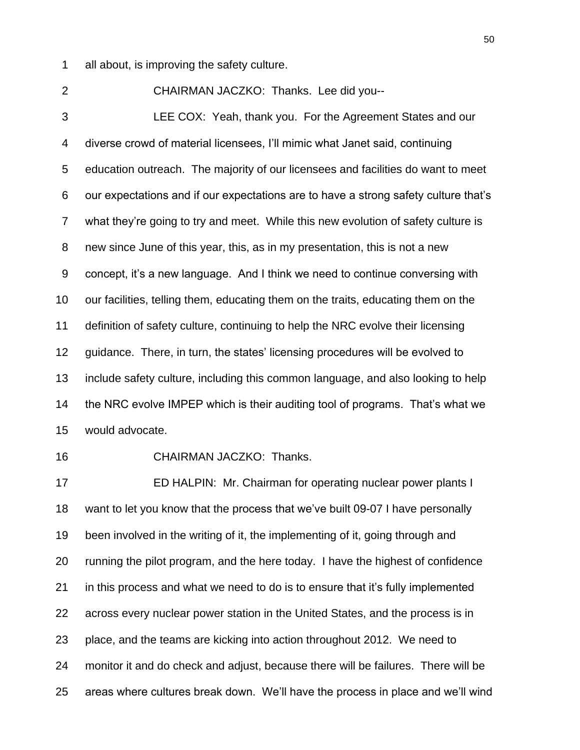all about, is improving the safety culture.

 CHAIRMAN JACZKO: Thanks. Lee did you-- LEE COX: Yeah, thank you. For the Agreement States and our diverse crowd of material licensees, I"ll mimic what Janet said, continuing education outreach. The majority of our licensees and facilities do want to meet our expectations and if our expectations are to have a strong safety culture that"s what they"re going to try and meet. While this new evolution of safety culture is new since June of this year, this, as in my presentation, this is not a new concept, it"s a new language. And I think we need to continue conversing with our facilities, telling them, educating them on the traits, educating them on the definition of safety culture, continuing to help the NRC evolve their licensing 12 guidance. There, in turn, the states' licensing procedures will be evolved to include safety culture, including this common language, and also looking to help the NRC evolve IMPEP which is their auditing tool of programs. That"s what we would advocate.

CHAIRMAN JACZKO: Thanks.

 ED HALPIN: Mr. Chairman for operating nuclear power plants I want to let you know that the process that we"ve built 09-07 I have personally been involved in the writing of it, the implementing of it, going through and running the pilot program, and the here today. I have the highest of confidence in this process and what we need to do is to ensure that it"s fully implemented across every nuclear power station in the United States, and the process is in place, and the teams are kicking into action throughout 2012. We need to monitor it and do check and adjust, because there will be failures. There will be areas where cultures break down. We"ll have the process in place and we"ll wind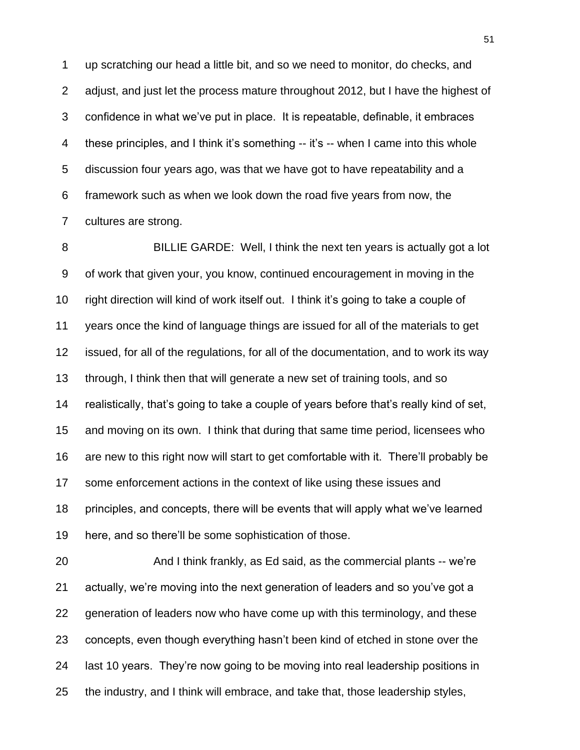up scratching our head a little bit, and so we need to monitor, do checks, and adjust, and just let the process mature throughout 2012, but I have the highest of confidence in what we"ve put in place. It is repeatable, definable, it embraces these principles, and I think it"s something -- it"s -- when I came into this whole discussion four years ago, was that we have got to have repeatability and a framework such as when we look down the road five years from now, the cultures are strong.

 BILLIE GARDE: Well, I think the next ten years is actually got a lot of work that given your, you know, continued encouragement in moving in the right direction will kind of work itself out. I think it"s going to take a couple of years once the kind of language things are issued for all of the materials to get issued, for all of the regulations, for all of the documentation, and to work its way through, I think then that will generate a new set of training tools, and so realistically, that"s going to take a couple of years before that"s really kind of set, and moving on its own. I think that during that same time period, licensees who are new to this right now will start to get comfortable with it. There"ll probably be 17 some enforcement actions in the context of like using these issues and principles, and concepts, there will be events that will apply what we"ve learned here, and so there"ll be some sophistication of those.

 And I think frankly, as Ed said, as the commercial plants -- we"re actually, we"re moving into the next generation of leaders and so you"ve got a generation of leaders now who have come up with this terminology, and these concepts, even though everything hasn"t been kind of etched in stone over the last 10 years. They"re now going to be moving into real leadership positions in the industry, and I think will embrace, and take that, those leadership styles,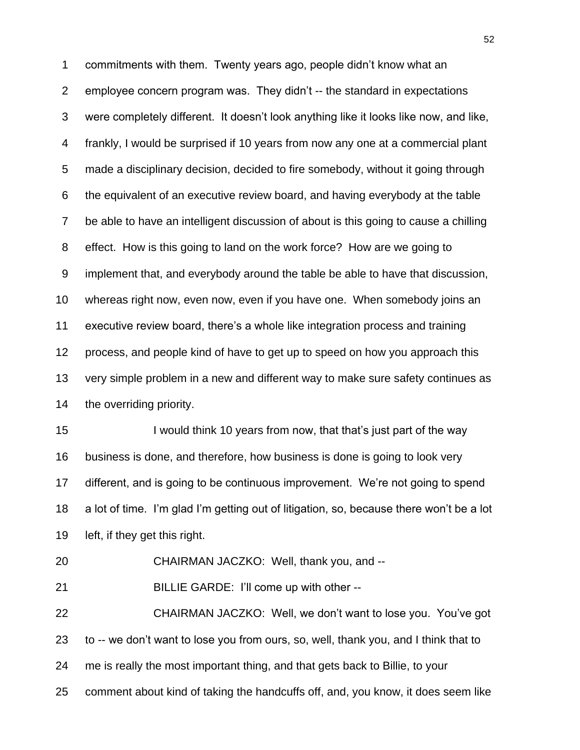commitments with them. Twenty years ago, people didn"t know what an employee concern program was. They didn"t -- the standard in expectations were completely different. It doesn"t look anything like it looks like now, and like, frankly, I would be surprised if 10 years from now any one at a commercial plant made a disciplinary decision, decided to fire somebody, without it going through the equivalent of an executive review board, and having everybody at the table be able to have an intelligent discussion of about is this going to cause a chilling effect. How is this going to land on the work force? How are we going to implement that, and everybody around the table be able to have that discussion, whereas right now, even now, even if you have one. When somebody joins an executive review board, there"s a whole like integration process and training process, and people kind of have to get up to speed on how you approach this very simple problem in a new and different way to make sure safety continues as 14 the overriding priority.

15 I would think 10 years from now, that that's just part of the way business is done, and therefore, how business is done is going to look very different, and is going to be continuous improvement. We"re not going to spend a lot of time. I"m glad I"m getting out of litigation, so, because there won"t be a lot left, if they get this right.

CHAIRMAN JACZKO: Well, thank you, and --

BILLIE GARDE: I"ll come up with other --

 CHAIRMAN JACZKO: Well, we don"t want to lose you. You"ve got to -- we don"t want to lose you from ours, so, well, thank you, and I think that to me is really the most important thing, and that gets back to Billie, to your comment about kind of taking the handcuffs off, and, you know, it does seem like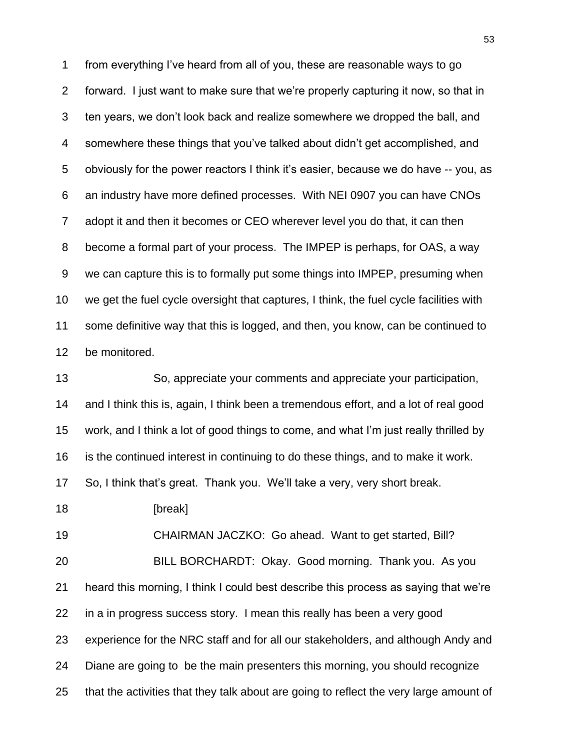from everything I"ve heard from all of you, these are reasonable ways to go forward. I just want to make sure that we"re properly capturing it now, so that in ten years, we don"t look back and realize somewhere we dropped the ball, and somewhere these things that you"ve talked about didn"t get accomplished, and obviously for the power reactors I think it"s easier, because we do have -- you, as an industry have more defined processes. With NEI 0907 you can have CNOs adopt it and then it becomes or CEO wherever level you do that, it can then become a formal part of your process. The IMPEP is perhaps, for OAS, a way we can capture this is to formally put some things into IMPEP, presuming when we get the fuel cycle oversight that captures, I think, the fuel cycle facilities with some definitive way that this is logged, and then, you know, can be continued to be monitored.

 So, appreciate your comments and appreciate your participation, and I think this is, again, I think been a tremendous effort, and a lot of real good work, and I think a lot of good things to come, and what I"m just really thrilled by is the continued interest in continuing to do these things, and to make it work. So, I think that"s great. Thank you. We"ll take a very, very short break.

**[break]** 

 CHAIRMAN JACZKO: Go ahead. Want to get started, Bill? BILL BORCHARDT: Okay. Good morning. Thank you. As you

in a in progress success story. I mean this really has been a very good

experience for the NRC staff and for all our stakeholders, and although Andy and

heard this morning, I think I could best describe this process as saying that we"re

Diane are going to be the main presenters this morning, you should recognize

that the activities that they talk about are going to reflect the very large amount of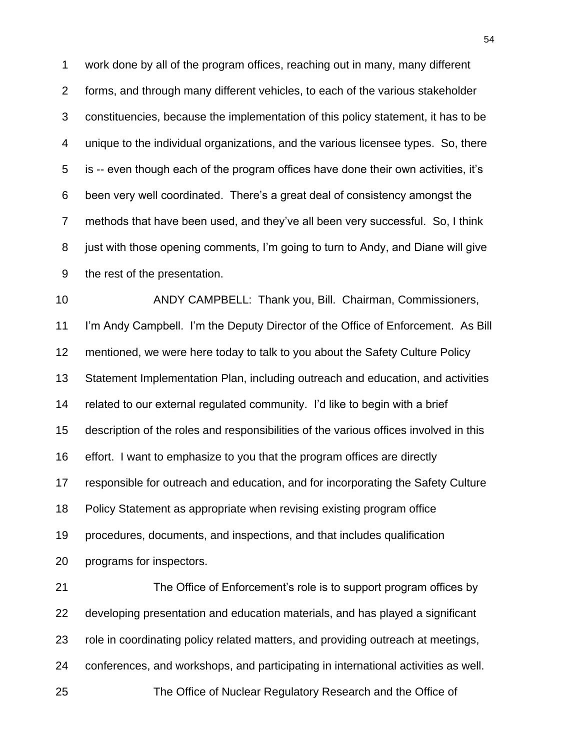work done by all of the program offices, reaching out in many, many different forms, and through many different vehicles, to each of the various stakeholder constituencies, because the implementation of this policy statement, it has to be unique to the individual organizations, and the various licensee types. So, there is -- even though each of the program offices have done their own activities, it"s been very well coordinated. There"s a great deal of consistency amongst the methods that have been used, and they"ve all been very successful. So, I think just with those opening comments, I"m going to turn to Andy, and Diane will give the rest of the presentation.

 ANDY CAMPBELL: Thank you, Bill. Chairman, Commissioners, 11 I'm Andy Campbell. I'm the Deputy Director of the Office of Enforcement. As Bill mentioned, we were here today to talk to you about the Safety Culture Policy Statement Implementation Plan, including outreach and education, and activities related to our external regulated community. I"d like to begin with a brief description of the roles and responsibilities of the various offices involved in this effort. I want to emphasize to you that the program offices are directly responsible for outreach and education, and for incorporating the Safety Culture Policy Statement as appropriate when revising existing program office procedures, documents, and inspections, and that includes qualification programs for inspectors.

 The Office of Enforcement"s role is to support program offices by developing presentation and education materials, and has played a significant role in coordinating policy related matters, and providing outreach at meetings, conferences, and workshops, and participating in international activities as well. The Office of Nuclear Regulatory Research and the Office of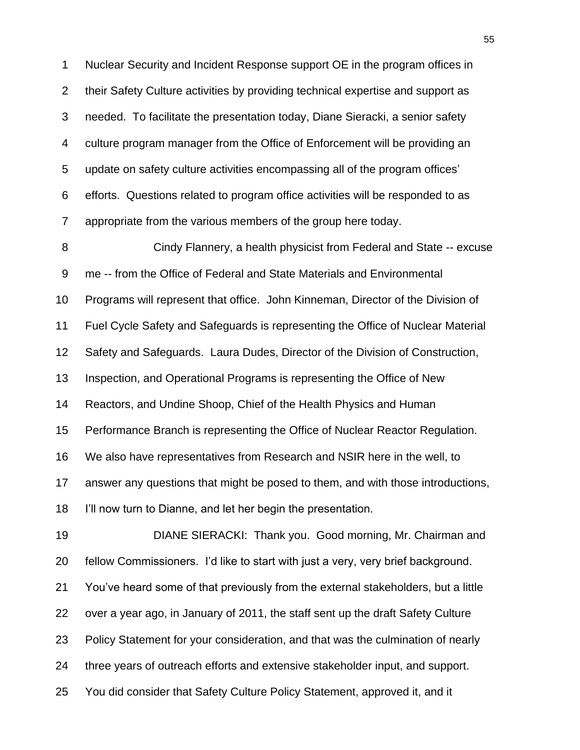Nuclear Security and Incident Response support OE in the program offices in their Safety Culture activities by providing technical expertise and support as needed. To facilitate the presentation today, Diane Sieracki, a senior safety culture program manager from the Office of Enforcement will be providing an update on safety culture activities encompassing all of the program offices" efforts. Questions related to program office activities will be responded to as appropriate from the various members of the group here today.

 Cindy Flannery, a health physicist from Federal and State -- excuse me -- from the Office of Federal and State Materials and Environmental Programs will represent that office. John Kinneman, Director of the Division of Fuel Cycle Safety and Safeguards is representing the Office of Nuclear Material Safety and Safeguards. Laura Dudes, Director of the Division of Construction, Inspection, and Operational Programs is representing the Office of New Reactors, and Undine Shoop, Chief of the Health Physics and Human Performance Branch is representing the Office of Nuclear Reactor Regulation. We also have representatives from Research and NSIR here in the well, to answer any questions that might be posed to them, and with those introductions, I"ll now turn to Dianne, and let her begin the presentation.

 DIANE SIERACKI: Thank you. Good morning, Mr. Chairman and fellow Commissioners. I"d like to start with just a very, very brief background. You"ve heard some of that previously from the external stakeholders, but a little over a year ago, in January of 2011, the staff sent up the draft Safety Culture Policy Statement for your consideration, and that was the culmination of nearly three years of outreach efforts and extensive stakeholder input, and support. You did consider that Safety Culture Policy Statement, approved it, and it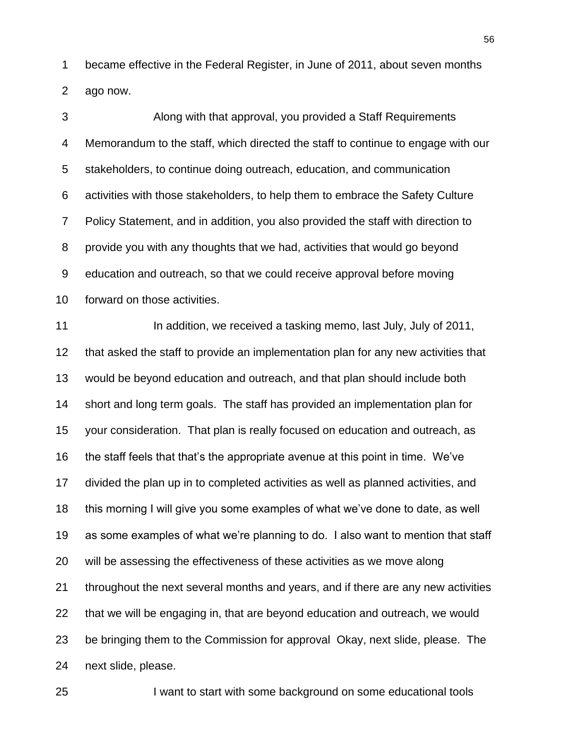became effective in the Federal Register, in June of 2011, about seven months ago now.

 Along with that approval, you provided a Staff Requirements Memorandum to the staff, which directed the staff to continue to engage with our stakeholders, to continue doing outreach, education, and communication activities with those stakeholders, to help them to embrace the Safety Culture Policy Statement, and in addition, you also provided the staff with direction to provide you with any thoughts that we had, activities that would go beyond education and outreach, so that we could receive approval before moving forward on those activities.

11 In addition, we received a tasking memo, last July, July of 2011, that asked the staff to provide an implementation plan for any new activities that would be beyond education and outreach, and that plan should include both short and long term goals. The staff has provided an implementation plan for your consideration. That plan is really focused on education and outreach, as the staff feels that that"s the appropriate avenue at this point in time. We"ve divided the plan up in to completed activities as well as planned activities, and this morning I will give you some examples of what we"ve done to date, as well as some examples of what we"re planning to do. I also want to mention that staff will be assessing the effectiveness of these activities as we move along throughout the next several months and years, and if there are any new activities that we will be engaging in, that are beyond education and outreach, we would be bringing them to the Commission for approval Okay, next slide, please. The next slide, please.

I want to start with some background on some educational tools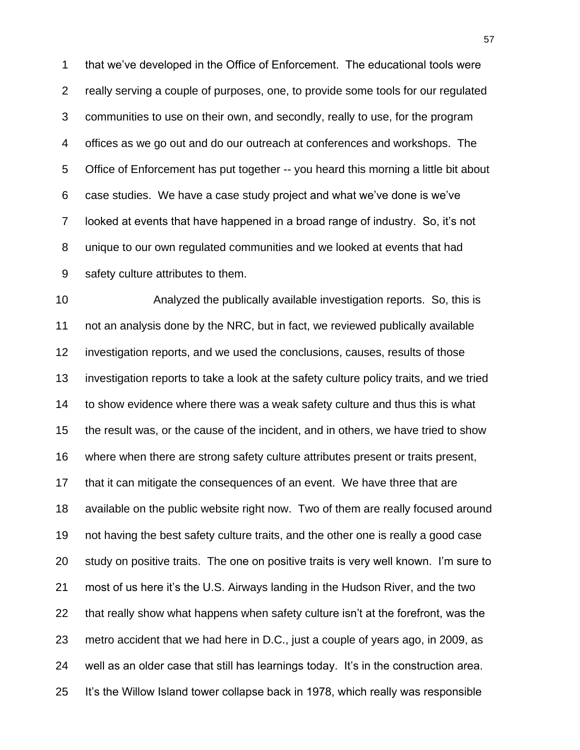that we"ve developed in the Office of Enforcement. The educational tools were really serving a couple of purposes, one, to provide some tools for our regulated communities to use on their own, and secondly, really to use, for the program offices as we go out and do our outreach at conferences and workshops. The Office of Enforcement has put together -- you heard this morning a little bit about case studies. We have a case study project and what we"ve done is we"ve looked at events that have happened in a broad range of industry. So, it"s not unique to our own regulated communities and we looked at events that had safety culture attributes to them.

 Analyzed the publically available investigation reports. So, this is not an analysis done by the NRC, but in fact, we reviewed publically available investigation reports, and we used the conclusions, causes, results of those investigation reports to take a look at the safety culture policy traits, and we tried to show evidence where there was a weak safety culture and thus this is what the result was, or the cause of the incident, and in others, we have tried to show where when there are strong safety culture attributes present or traits present, that it can mitigate the consequences of an event. We have three that are available on the public website right now. Two of them are really focused around not having the best safety culture traits, and the other one is really a good case study on positive traits. The one on positive traits is very well known. I"m sure to most of us here it"s the U.S. Airways landing in the Hudson River, and the two that really show what happens when safety culture isn"t at the forefront, was the metro accident that we had here in D.C., just a couple of years ago, in 2009, as well as an older case that still has learnings today. It"s in the construction area. It"s the Willow Island tower collapse back in 1978, which really was responsible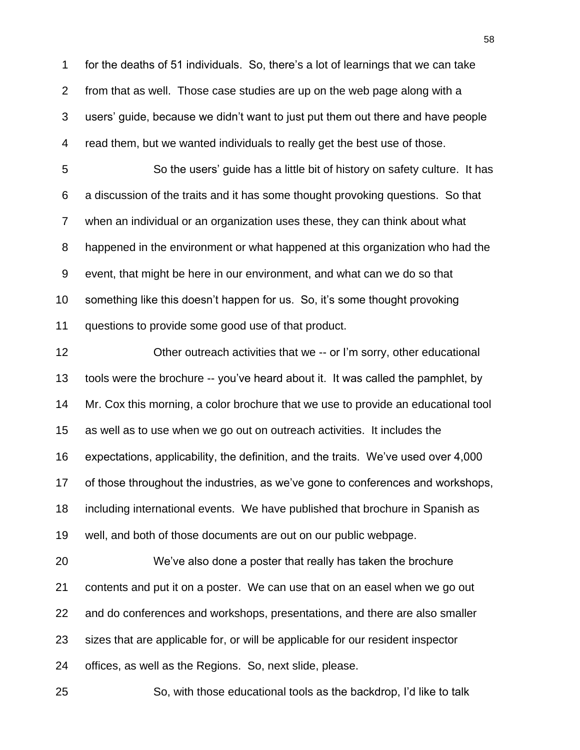for the deaths of 51 individuals. So, there"s a lot of learnings that we can take from that as well. Those case studies are up on the web page along with a users" guide, because we didn"t want to just put them out there and have people read them, but we wanted individuals to really get the best use of those.

 So the users" guide has a little bit of history on safety culture. It has a discussion of the traits and it has some thought provoking questions. So that when an individual or an organization uses these, they can think about what happened in the environment or what happened at this organization who had the event, that might be here in our environment, and what can we do so that something like this doesn"t happen for us. So, it"s some thought provoking questions to provide some good use of that product.

 Other outreach activities that we -- or I"m sorry, other educational tools were the brochure -- you"ve heard about it. It was called the pamphlet, by Mr. Cox this morning, a color brochure that we use to provide an educational tool as well as to use when we go out on outreach activities. It includes the expectations, applicability, the definition, and the traits. We"ve used over 4,000 of those throughout the industries, as we"ve gone to conferences and workshops, including international events. We have published that brochure in Spanish as well, and both of those documents are out on our public webpage. We"ve also done a poster that really has taken the brochure contents and put it on a poster. We can use that on an easel when we go out and do conferences and workshops, presentations, and there are also smaller

sizes that are applicable for, or will be applicable for our resident inspector

offices, as well as the Regions. So, next slide, please.

So, with those educational tools as the backdrop, I"d like to talk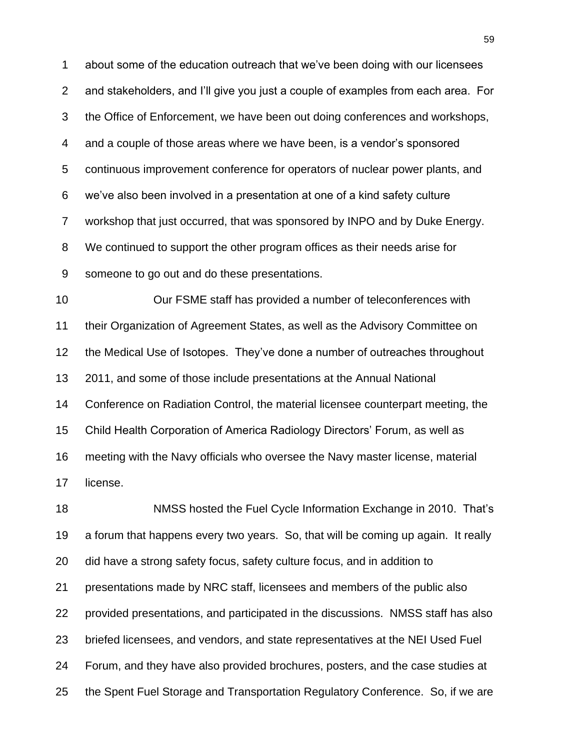about some of the education outreach that we"ve been doing with our licensees and stakeholders, and I"ll give you just a couple of examples from each area. For the Office of Enforcement, we have been out doing conferences and workshops, and a couple of those areas where we have been, is a vendor"s sponsored continuous improvement conference for operators of nuclear power plants, and we"ve also been involved in a presentation at one of a kind safety culture workshop that just occurred, that was sponsored by INPO and by Duke Energy. We continued to support the other program offices as their needs arise for someone to go out and do these presentations.

 Our FSME staff has provided a number of teleconferences with their Organization of Agreement States, as well as the Advisory Committee on the Medical Use of Isotopes. They"ve done a number of outreaches throughout 2011, and some of those include presentations at the Annual National Conference on Radiation Control, the material licensee counterpart meeting, the Child Health Corporation of America Radiology Directors" Forum, as well as meeting with the Navy officials who oversee the Navy master license, material license.

 NMSS hosted the Fuel Cycle Information Exchange in 2010. That"s a forum that happens every two years. So, that will be coming up again. It really did have a strong safety focus, safety culture focus, and in addition to presentations made by NRC staff, licensees and members of the public also provided presentations, and participated in the discussions. NMSS staff has also briefed licensees, and vendors, and state representatives at the NEI Used Fuel Forum, and they have also provided brochures, posters, and the case studies at the Spent Fuel Storage and Transportation Regulatory Conference. So, if we are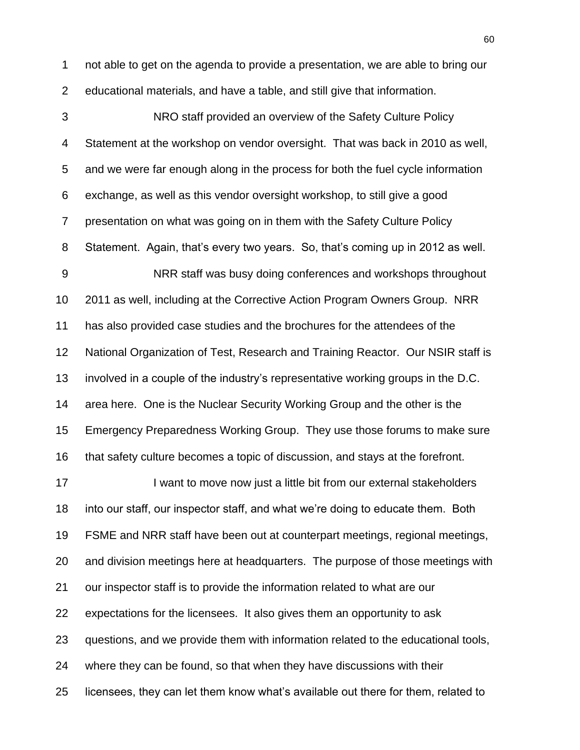not able to get on the agenda to provide a presentation, we are able to bring our educational materials, and have a table, and still give that information.

 NRO staff provided an overview of the Safety Culture Policy Statement at the workshop on vendor oversight. That was back in 2010 as well, and we were far enough along in the process for both the fuel cycle information exchange, as well as this vendor oversight workshop, to still give a good presentation on what was going on in them with the Safety Culture Policy Statement. Again, that"s every two years. So, that"s coming up in 2012 as well. NRR staff was busy doing conferences and workshops throughout 2011 as well, including at the Corrective Action Program Owners Group. NRR has also provided case studies and the brochures for the attendees of the National Organization of Test, Research and Training Reactor. Our NSIR staff is involved in a couple of the industry"s representative working groups in the D.C. area here. One is the Nuclear Security Working Group and the other is the Emergency Preparedness Working Group. They use those forums to make sure that safety culture becomes a topic of discussion, and stays at the forefront. 17 I want to move now just a little bit from our external stakeholders into our staff, our inspector staff, and what we"re doing to educate them. Both FSME and NRR staff have been out at counterpart meetings, regional meetings, and division meetings here at headquarters. The purpose of those meetings with our inspector staff is to provide the information related to what are our expectations for the licensees. It also gives them an opportunity to ask questions, and we provide them with information related to the educational tools, where they can be found, so that when they have discussions with their licensees, they can let them know what"s available out there for them, related to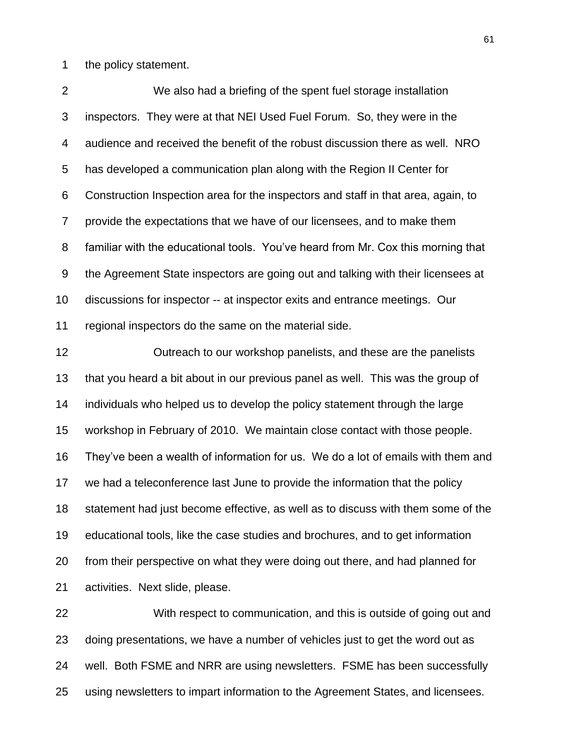the policy statement.

 We also had a briefing of the spent fuel storage installation inspectors. They were at that NEI Used Fuel Forum. So, they were in the audience and received the benefit of the robust discussion there as well. NRO has developed a communication plan along with the Region II Center for Construction Inspection area for the inspectors and staff in that area, again, to provide the expectations that we have of our licensees, and to make them familiar with the educational tools. You"ve heard from Mr. Cox this morning that the Agreement State inspectors are going out and talking with their licensees at discussions for inspector -- at inspector exits and entrance meetings. Our regional inspectors do the same on the material side.

 Outreach to our workshop panelists, and these are the panelists that you heard a bit about in our previous panel as well. This was the group of individuals who helped us to develop the policy statement through the large workshop in February of 2010. We maintain close contact with those people. They"ve been a wealth of information for us. We do a lot of emails with them and we had a teleconference last June to provide the information that the policy statement had just become effective, as well as to discuss with them some of the educational tools, like the case studies and brochures, and to get information from their perspective on what they were doing out there, and had planned for activities. Next slide, please.

 With respect to communication, and this is outside of going out and doing presentations, we have a number of vehicles just to get the word out as well. Both FSME and NRR are using newsletters. FSME has been successfully using newsletters to impart information to the Agreement States, and licensees.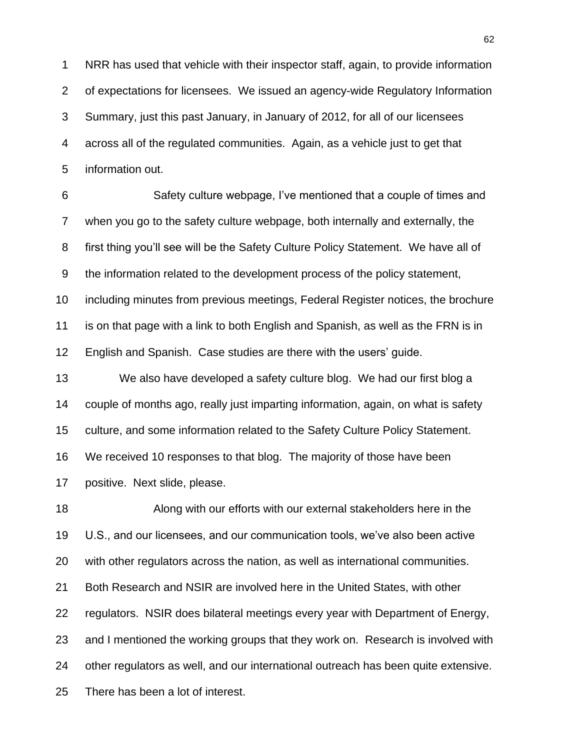NRR has used that vehicle with their inspector staff, again, to provide information of expectations for licensees. We issued an agency-wide Regulatory Information Summary, just this past January, in January of 2012, for all of our licensees across all of the regulated communities. Again, as a vehicle just to get that information out.

 Safety culture webpage, I"ve mentioned that a couple of times and when you go to the safety culture webpage, both internally and externally, the first thing you"ll see will be the Safety Culture Policy Statement. We have all of the information related to the development process of the policy statement, including minutes from previous meetings, Federal Register notices, the brochure is on that page with a link to both English and Spanish, as well as the FRN is in 12 English and Spanish. Case studies are there with the users' guide.

 We also have developed a safety culture blog. We had our first blog a couple of months ago, really just imparting information, again, on what is safety culture, and some information related to the Safety Culture Policy Statement. We received 10 responses to that blog. The majority of those have been positive. Next slide, please.

 Along with our efforts with our external stakeholders here in the U.S., and our licensees, and our communication tools, we"ve also been active with other regulators across the nation, as well as international communities. Both Research and NSIR are involved here in the United States, with other regulators. NSIR does bilateral meetings every year with Department of Energy, and I mentioned the working groups that they work on. Research is involved with other regulators as well, and our international outreach has been quite extensive. There has been a lot of interest.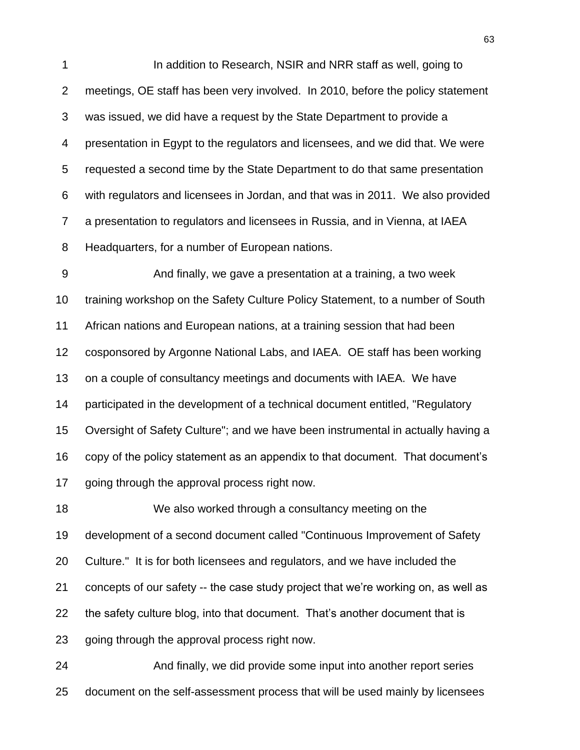In addition to Research, NSIR and NRR staff as well, going to meetings, OE staff has been very involved. In 2010, before the policy statement was issued, we did have a request by the State Department to provide a presentation in Egypt to the regulators and licensees, and we did that. We were requested a second time by the State Department to do that same presentation with regulators and licensees in Jordan, and that was in 2011. We also provided a presentation to regulators and licensees in Russia, and in Vienna, at IAEA Headquarters, for a number of European nations.

 And finally, we gave a presentation at a training, a two week training workshop on the Safety Culture Policy Statement, to a number of South African nations and European nations, at a training session that had been cosponsored by Argonne National Labs, and IAEA. OE staff has been working on a couple of consultancy meetings and documents with IAEA. We have participated in the development of a technical document entitled, "Regulatory Oversight of Safety Culture"; and we have been instrumental in actually having a copy of the policy statement as an appendix to that document. That document"s going through the approval process right now.

 We also worked through a consultancy meeting on the development of a second document called "Continuous Improvement of Safety Culture." It is for both licensees and regulators, and we have included the concepts of our safety -- the case study project that we"re working on, as well as the safety culture blog, into that document. That"s another document that is going through the approval process right now.

 And finally, we did provide some input into another report series document on the self-assessment process that will be used mainly by licensees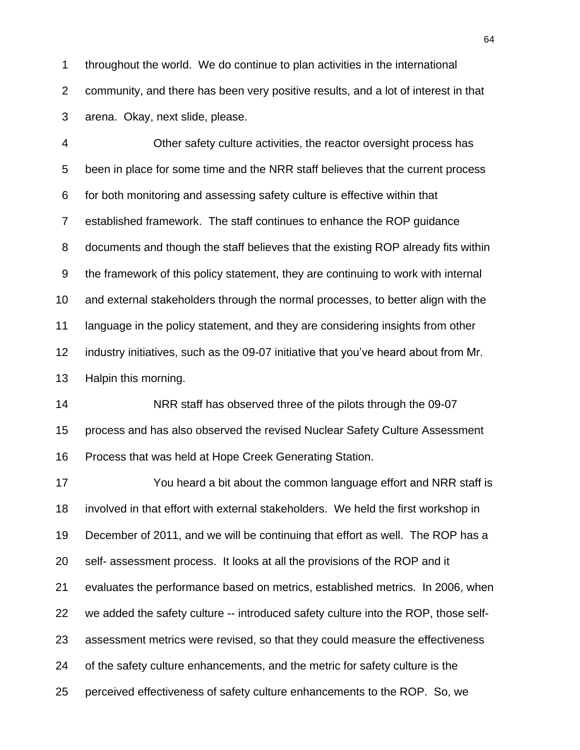throughout the world. We do continue to plan activities in the international community, and there has been very positive results, and a lot of interest in that arena. Okay, next slide, please.

 Other safety culture activities, the reactor oversight process has been in place for some time and the NRR staff believes that the current process for both monitoring and assessing safety culture is effective within that established framework. The staff continues to enhance the ROP guidance documents and though the staff believes that the existing ROP already fits within the framework of this policy statement, they are continuing to work with internal and external stakeholders through the normal processes, to better align with the language in the policy statement, and they are considering insights from other industry initiatives, such as the 09-07 initiative that you"ve heard about from Mr. Halpin this morning.

 NRR staff has observed three of the pilots through the 09-07 process and has also observed the revised Nuclear Safety Culture Assessment Process that was held at Hope Creek Generating Station.

 You heard a bit about the common language effort and NRR staff is involved in that effort with external stakeholders. We held the first workshop in December of 2011, and we will be continuing that effort as well. The ROP has a self- assessment process. It looks at all the provisions of the ROP and it evaluates the performance based on metrics, established metrics. In 2006, when we added the safety culture -- introduced safety culture into the ROP, those self- assessment metrics were revised, so that they could measure the effectiveness of the safety culture enhancements, and the metric for safety culture is the perceived effectiveness of safety culture enhancements to the ROP. So, we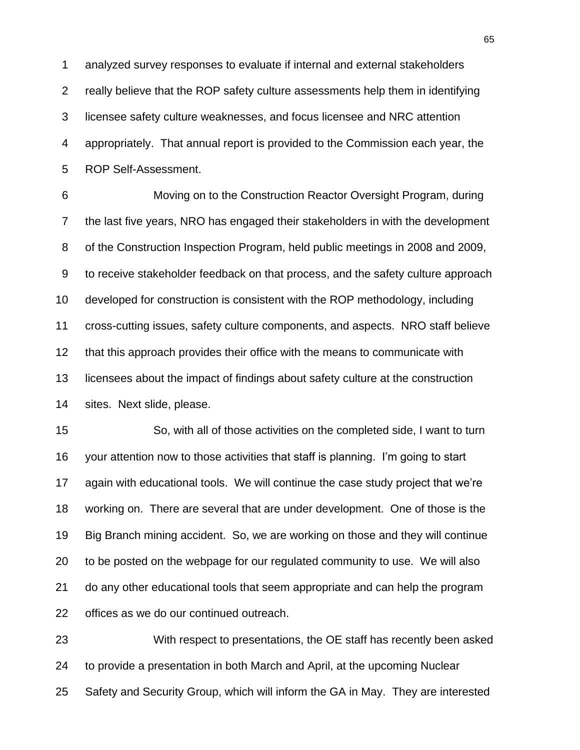analyzed survey responses to evaluate if internal and external stakeholders really believe that the ROP safety culture assessments help them in identifying licensee safety culture weaknesses, and focus licensee and NRC attention appropriately. That annual report is provided to the Commission each year, the ROP Self-Assessment.

 Moving on to the Construction Reactor Oversight Program, during the last five years, NRO has engaged their stakeholders in with the development of the Construction Inspection Program, held public meetings in 2008 and 2009, to receive stakeholder feedback on that process, and the safety culture approach developed for construction is consistent with the ROP methodology, including cross-cutting issues, safety culture components, and aspects. NRO staff believe that this approach provides their office with the means to communicate with licensees about the impact of findings about safety culture at the construction sites. Next slide, please.

 So, with all of those activities on the completed side, I want to turn your attention now to those activities that staff is planning. I"m going to start again with educational tools. We will continue the case study project that we"re working on. There are several that are under development. One of those is the Big Branch mining accident. So, we are working on those and they will continue to be posted on the webpage for our regulated community to use. We will also do any other educational tools that seem appropriate and can help the program offices as we do our continued outreach.

 With respect to presentations, the OE staff has recently been asked to provide a presentation in both March and April, at the upcoming Nuclear Safety and Security Group, which will inform the GA in May. They are interested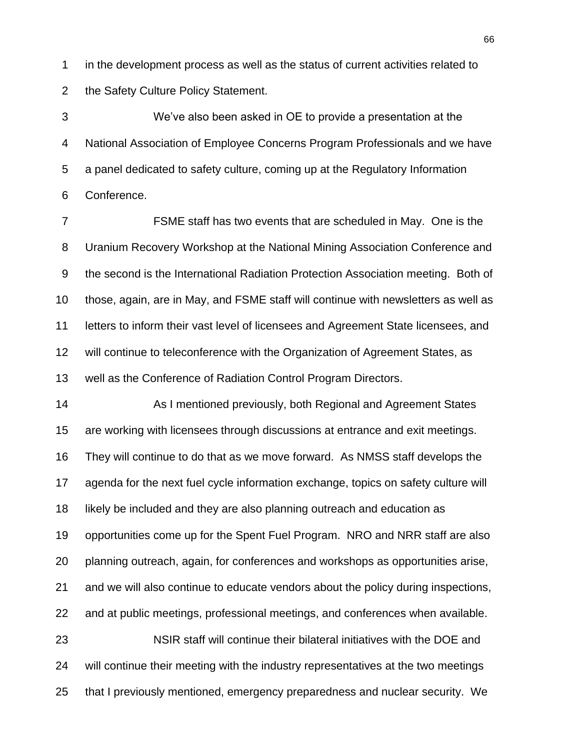in the development process as well as the status of current activities related to the Safety Culture Policy Statement.

 We"ve also been asked in OE to provide a presentation at the National Association of Employee Concerns Program Professionals and we have a panel dedicated to safety culture, coming up at the Regulatory Information Conference.

 FSME staff has two events that are scheduled in May. One is the Uranium Recovery Workshop at the National Mining Association Conference and the second is the International Radiation Protection Association meeting. Both of those, again, are in May, and FSME staff will continue with newsletters as well as letters to inform their vast level of licensees and Agreement State licensees, and will continue to teleconference with the Organization of Agreement States, as well as the Conference of Radiation Control Program Directors.

**As I mentioned previously, both Regional and Agreement States**  are working with licensees through discussions at entrance and exit meetings. They will continue to do that as we move forward. As NMSS staff develops the agenda for the next fuel cycle information exchange, topics on safety culture will likely be included and they are also planning outreach and education as opportunities come up for the Spent Fuel Program. NRO and NRR staff are also planning outreach, again, for conferences and workshops as opportunities arise, and we will also continue to educate vendors about the policy during inspections, and at public meetings, professional meetings, and conferences when available. NSIR staff will continue their bilateral initiatives with the DOE and will continue their meeting with the industry representatives at the two meetings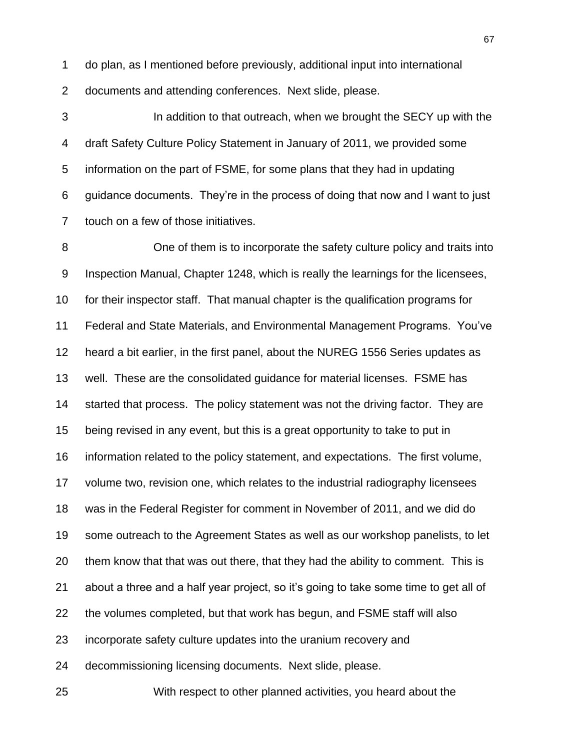do plan, as I mentioned before previously, additional input into international documents and attending conferences. Next slide, please.

 In addition to that outreach, when we brought the SECY up with the draft Safety Culture Policy Statement in January of 2011, we provided some information on the part of FSME, for some plans that they had in updating guidance documents. They"re in the process of doing that now and I want to just touch on a few of those initiatives.

 One of them is to incorporate the safety culture policy and traits into Inspection Manual, Chapter 1248, which is really the learnings for the licensees, for their inspector staff. That manual chapter is the qualification programs for Federal and State Materials, and Environmental Management Programs. You"ve heard a bit earlier, in the first panel, about the NUREG 1556 Series updates as well. These are the consolidated guidance for material licenses. FSME has started that process. The policy statement was not the driving factor. They are being revised in any event, but this is a great opportunity to take to put in information related to the policy statement, and expectations. The first volume, volume two, revision one, which relates to the industrial radiography licensees was in the Federal Register for comment in November of 2011, and we did do some outreach to the Agreement States as well as our workshop panelists, to let them know that that was out there, that they had the ability to comment. This is about a three and a half year project, so it"s going to take some time to get all of the volumes completed, but that work has begun, and FSME staff will also incorporate safety culture updates into the uranium recovery and decommissioning licensing documents. Next slide, please.

With respect to other planned activities, you heard about the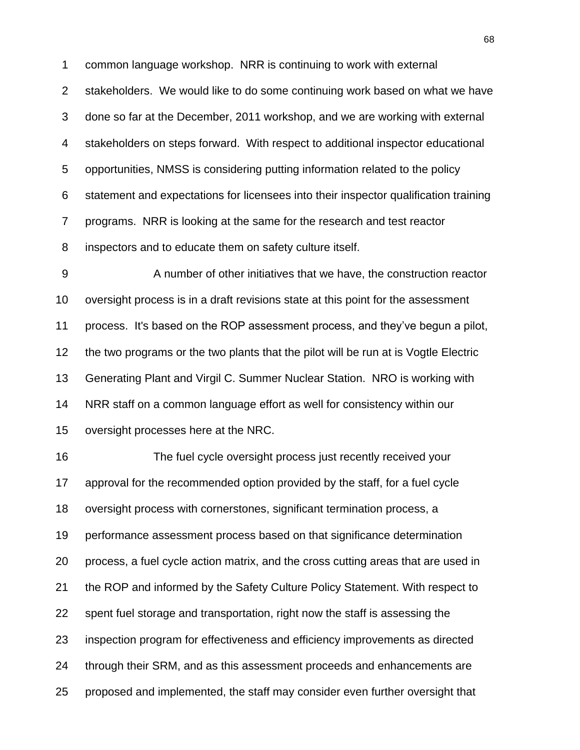common language workshop. NRR is continuing to work with external stakeholders. We would like to do some continuing work based on what we have done so far at the December, 2011 workshop, and we are working with external stakeholders on steps forward. With respect to additional inspector educational opportunities, NMSS is considering putting information related to the policy statement and expectations for licensees into their inspector qualification training programs. NRR is looking at the same for the research and test reactor inspectors and to educate them on safety culture itself.

 A number of other initiatives that we have, the construction reactor oversight process is in a draft revisions state at this point for the assessment process. It's based on the ROP assessment process, and they"ve begun a pilot, the two programs or the two plants that the pilot will be run at is Vogtle Electric Generating Plant and Virgil C. Summer Nuclear Station. NRO is working with NRR staff on a common language effort as well for consistency within our oversight processes here at the NRC.

 The fuel cycle oversight process just recently received your approval for the recommended option provided by the staff, for a fuel cycle oversight process with cornerstones, significant termination process, a performance assessment process based on that significance determination process, a fuel cycle action matrix, and the cross cutting areas that are used in the ROP and informed by the Safety Culture Policy Statement. With respect to spent fuel storage and transportation, right now the staff is assessing the inspection program for effectiveness and efficiency improvements as directed through their SRM, and as this assessment proceeds and enhancements are proposed and implemented, the staff may consider even further oversight that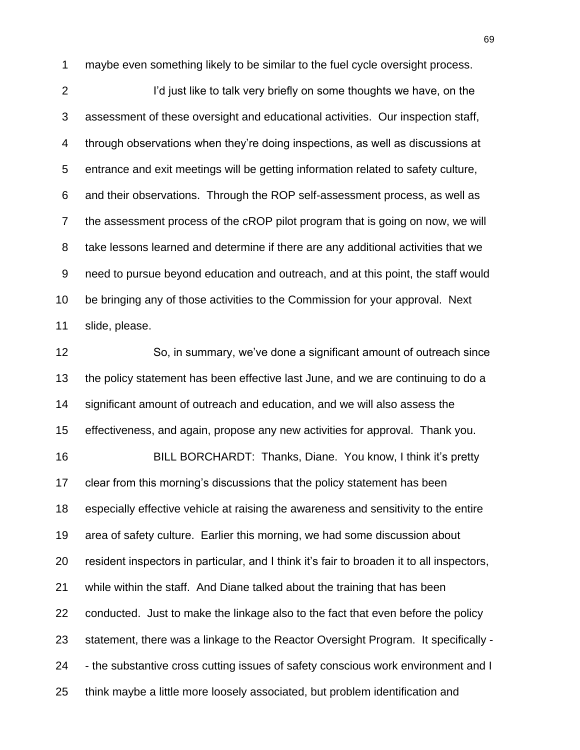maybe even something likely to be similar to the fuel cycle oversight process.

2 I'd just like to talk very briefly on some thoughts we have, on the assessment of these oversight and educational activities. Our inspection staff, through observations when they"re doing inspections, as well as discussions at entrance and exit meetings will be getting information related to safety culture, and their observations. Through the ROP self-assessment process, as well as the assessment process of the cROP pilot program that is going on now, we will take lessons learned and determine if there are any additional activities that we need to pursue beyond education and outreach, and at this point, the staff would be bringing any of those activities to the Commission for your approval. Next slide, please.

 So, in summary, we"ve done a significant amount of outreach since the policy statement has been effective last June, and we are continuing to do a significant amount of outreach and education, and we will also assess the effectiveness, and again, propose any new activities for approval. Thank you. BILL BORCHARDT: Thanks, Diane. You know, I think it"s pretty 17 clear from this morning's discussions that the policy statement has been especially effective vehicle at raising the awareness and sensitivity to the entire area of safety culture. Earlier this morning, we had some discussion about resident inspectors in particular, and I think it"s fair to broaden it to all inspectors, while within the staff. And Diane talked about the training that has been conducted. Just to make the linkage also to the fact that even before the policy statement, there was a linkage to the Reactor Oversight Program. It specifically - - the substantive cross cutting issues of safety conscious work environment and I think maybe a little more loosely associated, but problem identification and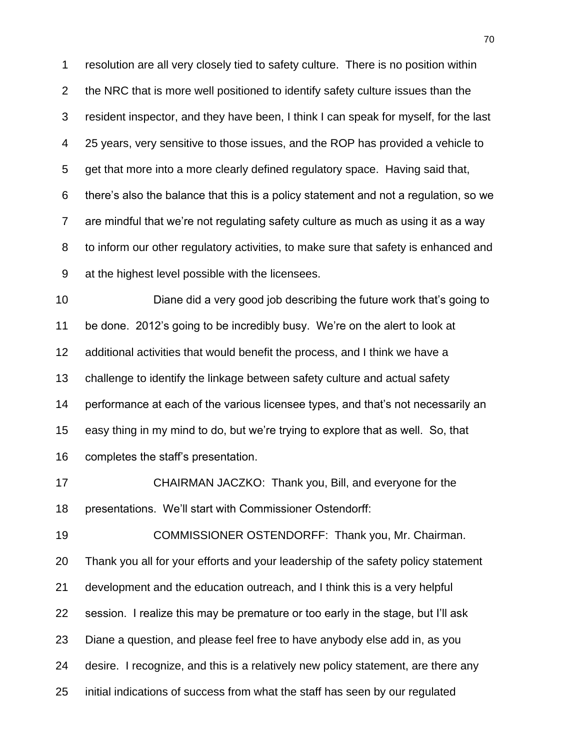resolution are all very closely tied to safety culture. There is no position within the NRC that is more well positioned to identify safety culture issues than the resident inspector, and they have been, I think I can speak for myself, for the last 25 years, very sensitive to those issues, and the ROP has provided a vehicle to get that more into a more clearly defined regulatory space. Having said that, there"s also the balance that this is a policy statement and not a regulation, so we are mindful that we"re not regulating safety culture as much as using it as a way to inform our other regulatory activities, to make sure that safety is enhanced and at the highest level possible with the licensees.

 Diane did a very good job describing the future work that"s going to be done. 2012"s going to be incredibly busy. We"re on the alert to look at additional activities that would benefit the process, and I think we have a challenge to identify the linkage between safety culture and actual safety performance at each of the various licensee types, and that"s not necessarily an easy thing in my mind to do, but we"re trying to explore that as well. So, that completes the staff"s presentation.

 CHAIRMAN JACZKO: Thank you, Bill, and everyone for the presentations. We"ll start with Commissioner Ostendorff:

 COMMISSIONER OSTENDORFF: Thank you, Mr. Chairman. Thank you all for your efforts and your leadership of the safety policy statement development and the education outreach, and I think this is a very helpful session. I realize this may be premature or too early in the stage, but I"ll ask Diane a question, and please feel free to have anybody else add in, as you desire. I recognize, and this is a relatively new policy statement, are there any initial indications of success from what the staff has seen by our regulated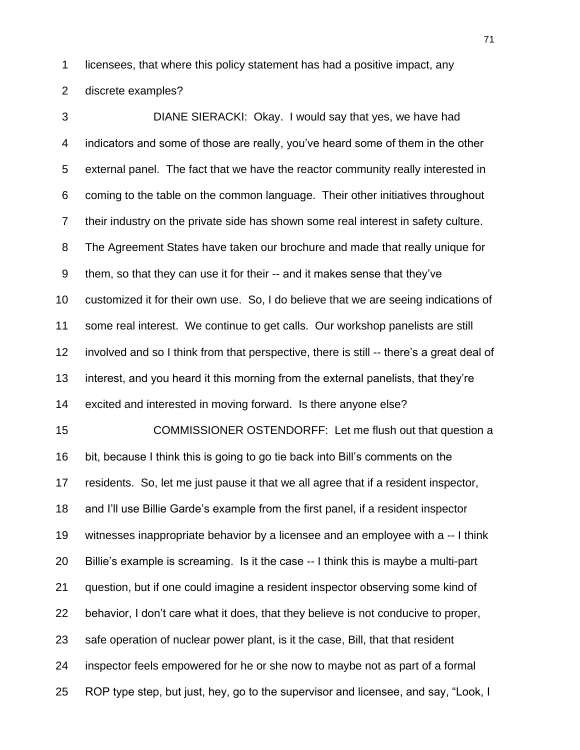licensees, that where this policy statement has had a positive impact, any

discrete examples?

 DIANE SIERACKI: Okay. I would say that yes, we have had indicators and some of those are really, you"ve heard some of them in the other external panel. The fact that we have the reactor community really interested in coming to the table on the common language. Their other initiatives throughout their industry on the private side has shown some real interest in safety culture. The Agreement States have taken our brochure and made that really unique for them, so that they can use it for their -- and it makes sense that they"ve customized it for their own use. So, I do believe that we are seeing indications of some real interest. We continue to get calls. Our workshop panelists are still involved and so I think from that perspective, there is still -- there"s a great deal of interest, and you heard it this morning from the external panelists, that they"re excited and interested in moving forward. Is there anyone else? COMMISSIONER OSTENDORFF: Let me flush out that question a bit, because I think this is going to go tie back into Bill"s comments on the residents. So, let me just pause it that we all agree that if a resident inspector, and I"ll use Billie Garde"s example from the first panel, if a resident inspector witnesses inappropriate behavior by a licensee and an employee with a -- I think Billie"s example is screaming. Is it the case -- I think this is maybe a multi-part question, but if one could imagine a resident inspector observing some kind of behavior, I don"t care what it does, that they believe is not conducive to proper, safe operation of nuclear power plant, is it the case, Bill, that that resident inspector feels empowered for he or she now to maybe not as part of a formal ROP type step, but just, hey, go to the supervisor and licensee, and say, "Look, I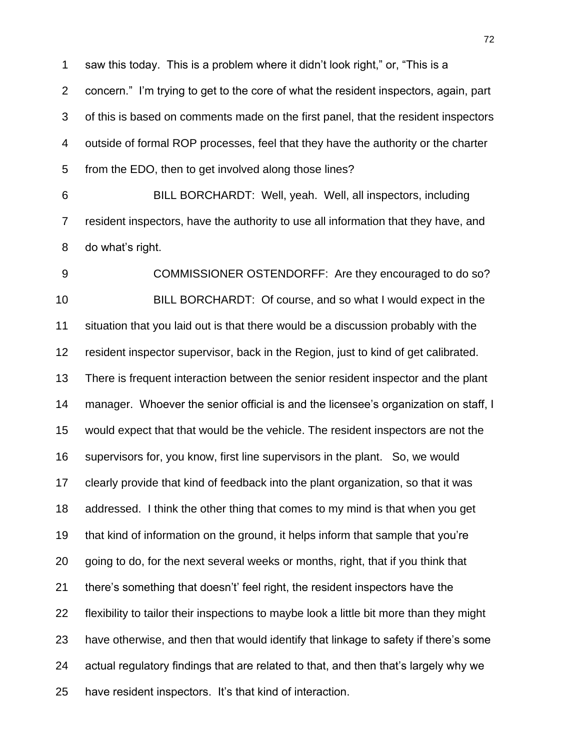saw this today. This is a problem where it didn"t look right," or, "This is a concern." I"m trying to get to the core of what the resident inspectors, again, part of this is based on comments made on the first panel, that the resident inspectors outside of formal ROP processes, feel that they have the authority or the charter from the EDO, then to get involved along those lines?

 BILL BORCHARDT: Well, yeah. Well, all inspectors, including resident inspectors, have the authority to use all information that they have, and do what"s right.

 COMMISSIONER OSTENDORFF: Are they encouraged to do so? BILL BORCHARDT: Of course, and so what I would expect in the situation that you laid out is that there would be a discussion probably with the resident inspector supervisor, back in the Region, just to kind of get calibrated. There is frequent interaction between the senior resident inspector and the plant 14 manager. Whoever the senior official is and the licensee's organization on staff, I would expect that that would be the vehicle. The resident inspectors are not the supervisors for, you know, first line supervisors in the plant. So, we would clearly provide that kind of feedback into the plant organization, so that it was addressed. I think the other thing that comes to my mind is that when you get that kind of information on the ground, it helps inform that sample that you"re going to do, for the next several weeks or months, right, that if you think that there"s something that doesn"t" feel right, the resident inspectors have the flexibility to tailor their inspections to maybe look a little bit more than they might have otherwise, and then that would identify that linkage to safety if there"s some actual regulatory findings that are related to that, and then that"s largely why we have resident inspectors. It"s that kind of interaction.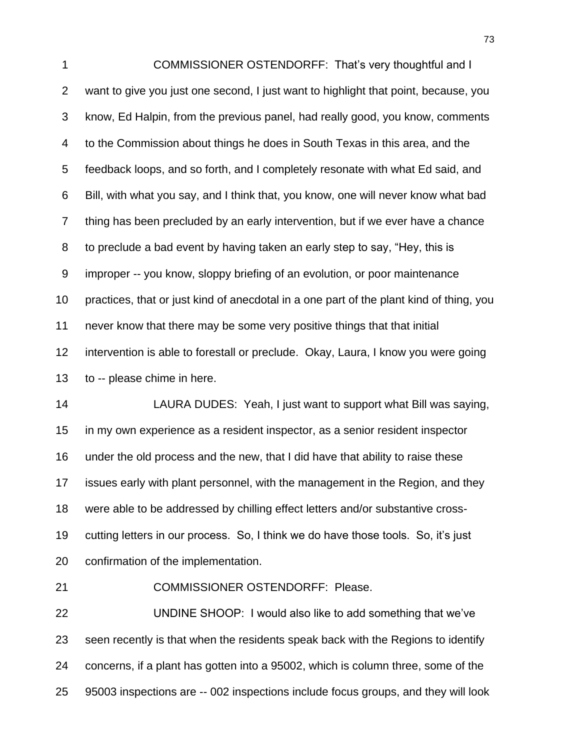COMMISSIONER OSTENDORFF: That"s very thoughtful and I want to give you just one second, I just want to highlight that point, because, you know, Ed Halpin, from the previous panel, had really good, you know, comments to the Commission about things he does in South Texas in this area, and the feedback loops, and so forth, and I completely resonate with what Ed said, and Bill, with what you say, and I think that, you know, one will never know what bad thing has been precluded by an early intervention, but if we ever have a chance to preclude a bad event by having taken an early step to say, "Hey, this is improper -- you know, sloppy briefing of an evolution, or poor maintenance practices, that or just kind of anecdotal in a one part of the plant kind of thing, you never know that there may be some very positive things that that initial intervention is able to forestall or preclude. Okay, Laura, I know you were going to -- please chime in here.

 LAURA DUDES: Yeah, I just want to support what Bill was saying, in my own experience as a resident inspector, as a senior resident inspector under the old process and the new, that I did have that ability to raise these issues early with plant personnel, with the management in the Region, and they were able to be addressed by chilling effect letters and/or substantive cross- cutting letters in our process. So, I think we do have those tools. So, it"s just confirmation of the implementation.

COMMISSIONER OSTENDORFF: Please.

 UNDINE SHOOP: I would also like to add something that we"ve seen recently is that when the residents speak back with the Regions to identify concerns, if a plant has gotten into a 95002, which is column three, some of the 95003 inspections are -- 002 inspections include focus groups, and they will look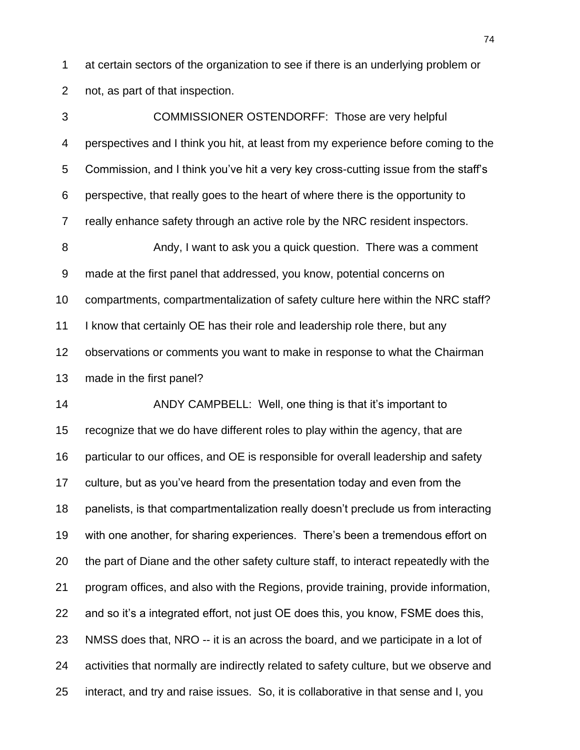at certain sectors of the organization to see if there is an underlying problem or not, as part of that inspection.

 COMMISSIONER OSTENDORFF: Those are very helpful perspectives and I think you hit, at least from my experience before coming to the Commission, and I think you"ve hit a very key cross-cutting issue from the staff"s perspective, that really goes to the heart of where there is the opportunity to really enhance safety through an active role by the NRC resident inspectors. 8 Andy, I want to ask you a quick question. There was a comment made at the first panel that addressed, you know, potential concerns on compartments, compartmentalization of safety culture here within the NRC staff? I know that certainly OE has their role and leadership role there, but any

observations or comments you want to make in response to what the Chairman

made in the first panel?

14 ANDY CAMPBELL: Well, one thing is that it's important to recognize that we do have different roles to play within the agency, that are particular to our offices, and OE is responsible for overall leadership and safety culture, but as you"ve heard from the presentation today and even from the panelists, is that compartmentalization really doesn"t preclude us from interacting with one another, for sharing experiences. There"s been a tremendous effort on the part of Diane and the other safety culture staff, to interact repeatedly with the program offices, and also with the Regions, provide training, provide information, and so it"s a integrated effort, not just OE does this, you know, FSME does this, NMSS does that, NRO -- it is an across the board, and we participate in a lot of activities that normally are indirectly related to safety culture, but we observe and interact, and try and raise issues. So, it is collaborative in that sense and I, you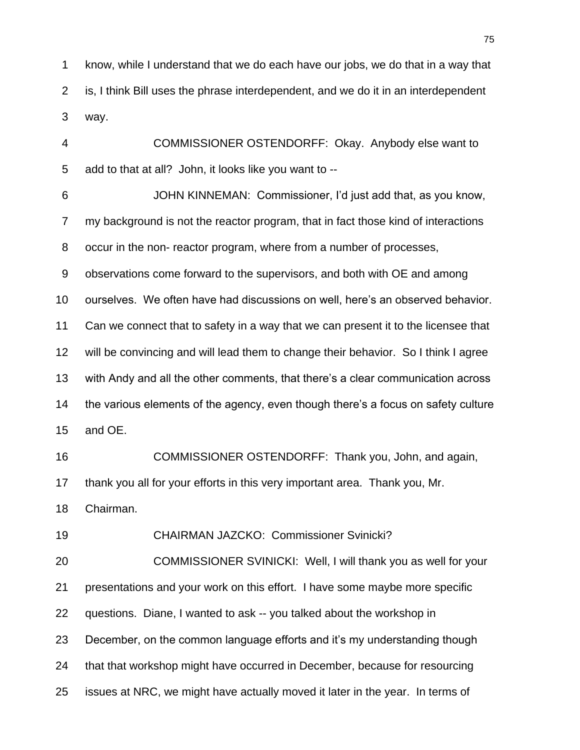know, while I understand that we do each have our jobs, we do that in a way that is, I think Bill uses the phrase interdependent, and we do it in an interdependent way.

 COMMISSIONER OSTENDORFF: Okay. Anybody else want to add to that at all? John, it looks like you want to --

 JOHN KINNEMAN: Commissioner, I"d just add that, as you know, my background is not the reactor program, that in fact those kind of interactions occur in the non- reactor program, where from a number of processes, observations come forward to the supervisors, and both with OE and among ourselves. We often have had discussions on well, here"s an observed behavior. Can we connect that to safety in a way that we can present it to the licensee that will be convincing and will lead them to change their behavior. So I think I agree with Andy and all the other comments, that there"s a clear communication across the various elements of the agency, even though there"s a focus on safety culture and OE. COMMISSIONER OSTENDORFF: Thank you, John, and again, thank you all for your efforts in this very important area. Thank you, Mr. Chairman. CHAIRMAN JAZCKO: Commissioner Svinicki? COMMISSIONER SVINICKI: Well, I will thank you as well for your presentations and your work on this effort. I have some maybe more specific

questions. Diane, I wanted to ask -- you talked about the workshop in

23 December, on the common language efforts and it's my understanding though

that that workshop might have occurred in December, because for resourcing

issues at NRC, we might have actually moved it later in the year. In terms of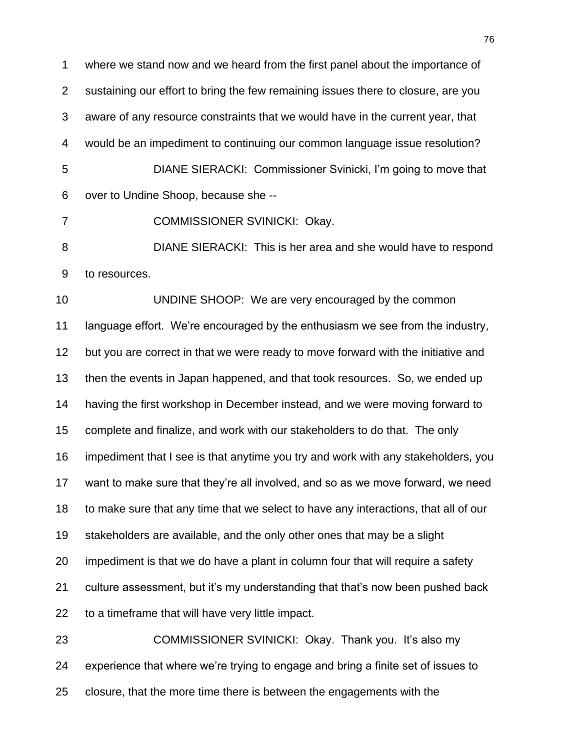where we stand now and we heard from the first panel about the importance of sustaining our effort to bring the few remaining issues there to closure, are you aware of any resource constraints that we would have in the current year, that would be an impediment to continuing our common language issue resolution? DIANE SIERACKI: Commissioner Svinicki, I"m going to move that over to Undine Shoop, because she --

COMMISSIONER SVINICKI: Okay.

 DIANE SIERACKI: This is her area and she would have to respond to resources.

 UNDINE SHOOP: We are very encouraged by the common language effort. We"re encouraged by the enthusiasm we see from the industry, but you are correct in that we were ready to move forward with the initiative and then the events in Japan happened, and that took resources. So, we ended up having the first workshop in December instead, and we were moving forward to complete and finalize, and work with our stakeholders to do that. The only impediment that I see is that anytime you try and work with any stakeholders, you want to make sure that they"re all involved, and so as we move forward, we need to make sure that any time that we select to have any interactions, that all of our stakeholders are available, and the only other ones that may be a slight impediment is that we do have a plant in column four that will require a safety culture assessment, but it"s my understanding that that"s now been pushed back to a timeframe that will have very little impact. COMMISSIONER SVINICKI: Okay. Thank you. It"s also my

 experience that where we"re trying to engage and bring a finite set of issues to closure, that the more time there is between the engagements with the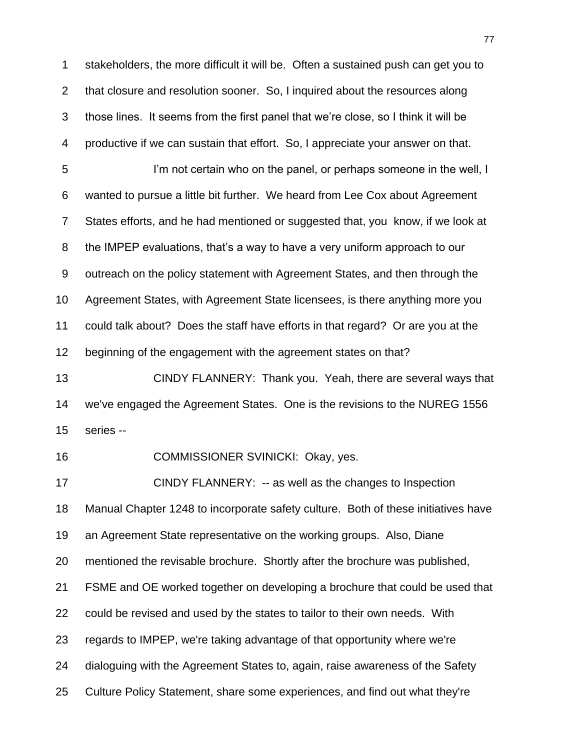stakeholders, the more difficult it will be. Often a sustained push can get you to that closure and resolution sooner. So, I inquired about the resources along those lines. It seems from the first panel that we"re close, so I think it will be productive if we can sustain that effort. So, I appreciate your answer on that.

5 I'm not certain who on the panel, or perhaps someone in the well, I wanted to pursue a little bit further. We heard from Lee Cox about Agreement States efforts, and he had mentioned or suggested that, you know, if we look at the IMPEP evaluations, that"s a way to have a very uniform approach to our outreach on the policy statement with Agreement States, and then through the Agreement States, with Agreement State licensees, is there anything more you could talk about? Does the staff have efforts in that regard? Or are you at the beginning of the engagement with the agreement states on that?

 CINDY FLANNERY: Thank you. Yeah, there are several ways that we've engaged the Agreement States. One is the revisions to the NUREG 1556 series --

COMMISSIONER SVINICKI: Okay, yes.

 CINDY FLANNERY: -- as well as the changes to Inspection Manual Chapter 1248 to incorporate safety culture. Both of these initiatives have an Agreement State representative on the working groups. Also, Diane mentioned the revisable brochure. Shortly after the brochure was published, FSME and OE worked together on developing a brochure that could be used that could be revised and used by the states to tailor to their own needs. With regards to IMPEP, we're taking advantage of that opportunity where we're dialoguing with the Agreement States to, again, raise awareness of the Safety Culture Policy Statement, share some experiences, and find out what they're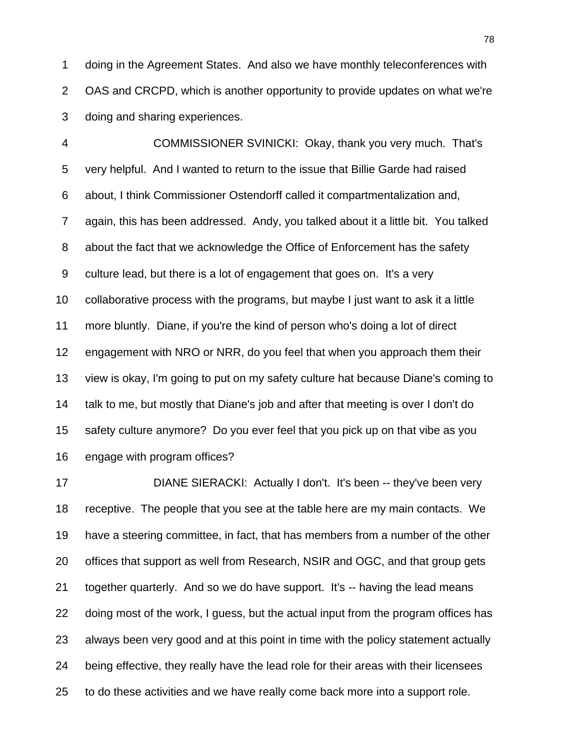doing in the Agreement States. And also we have monthly teleconferences with OAS and CRCPD, which is another opportunity to provide updates on what we're doing and sharing experiences.

 COMMISSIONER SVINICKI: Okay, thank you very much. That's very helpful. And I wanted to return to the issue that Billie Garde had raised about, I think Commissioner Ostendorff called it compartmentalization and, again, this has been addressed. Andy, you talked about it a little bit. You talked about the fact that we acknowledge the Office of Enforcement has the safety culture lead, but there is a lot of engagement that goes on. It's a very collaborative process with the programs, but maybe I just want to ask it a little more bluntly. Diane, if you're the kind of person who's doing a lot of direct engagement with NRO or NRR, do you feel that when you approach them their view is okay, I'm going to put on my safety culture hat because Diane's coming to talk to me, but mostly that Diane's job and after that meeting is over I don't do safety culture anymore? Do you ever feel that you pick up on that vibe as you engage with program offices?

 DIANE SIERACKI: Actually I don't. It's been -- they've been very receptive. The people that you see at the table here are my main contacts. We have a steering committee, in fact, that has members from a number of the other offices that support as well from Research, NSIR and OGC, and that group gets together quarterly. And so we do have support. It's -- having the lead means doing most of the work, I guess, but the actual input from the program offices has always been very good and at this point in time with the policy statement actually being effective, they really have the lead role for their areas with their licensees to do these activities and we have really come back more into a support role.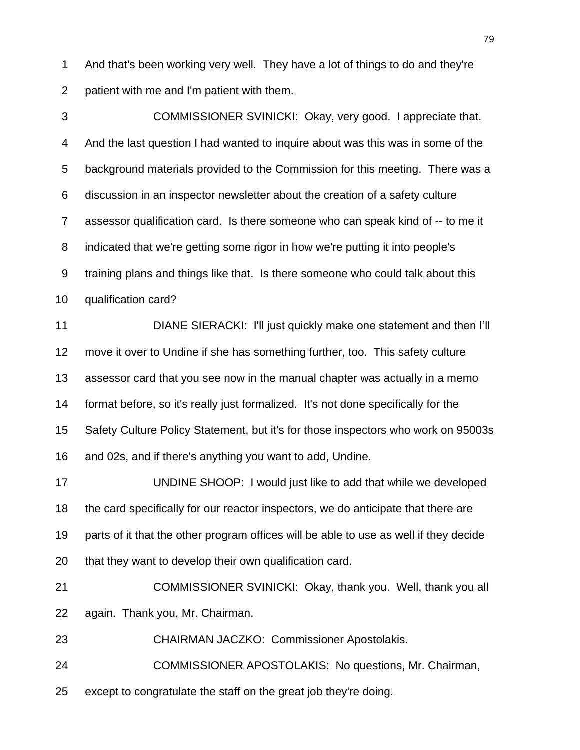And that's been working very well. They have a lot of things to do and they're patient with me and I'm patient with them.

 COMMISSIONER SVINICKI: Okay, very good. I appreciate that. And the last question I had wanted to inquire about was this was in some of the background materials provided to the Commission for this meeting. There was a discussion in an inspector newsletter about the creation of a safety culture assessor qualification card. Is there someone who can speak kind of -- to me it indicated that we're getting some rigor in how we're putting it into people's training plans and things like that. Is there someone who could talk about this qualification card? DIANE SIERACKI: I'll just quickly make one statement and then I"ll move it over to Undine if she has something further, too. This safety culture assessor card that you see now in the manual chapter was actually in a memo

 format before, so it's really just formalized. It's not done specifically for the Safety Culture Policy Statement, but it's for those inspectors who work on 95003s and 02s, and if there's anything you want to add, Undine.

 UNDINE SHOOP: I would just like to add that while we developed the card specifically for our reactor inspectors, we do anticipate that there are parts of it that the other program offices will be able to use as well if they decide that they want to develop their own qualification card.

 COMMISSIONER SVINICKI: Okay, thank you. Well, thank you all again. Thank you, Mr. Chairman.

CHAIRMAN JACZKO: Commissioner Apostolakis.

COMMISSIONER APOSTOLAKIS: No questions, Mr. Chairman,

except to congratulate the staff on the great job they're doing.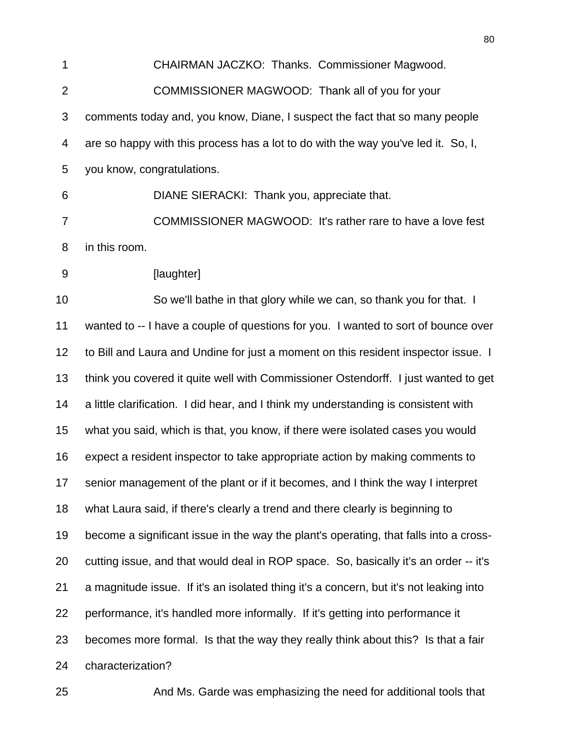CHAIRMAN JACZKO: Thanks. Commissioner Magwood. COMMISSIONER MAGWOOD: Thank all of you for your comments today and, you know, Diane, I suspect the fact that so many people are so happy with this process has a lot to do with the way you've led it. So, I, you know, congratulations. DIANE SIERACKI: Thank you, appreciate that.

 COMMISSIONER MAGWOOD: It's rather rare to have a love fest in this room.

**[laughter]** 

 So we'll bathe in that glory while we can, so thank you for that. I wanted to -- I have a couple of questions for you. I wanted to sort of bounce over to Bill and Laura and Undine for just a moment on this resident inspector issue. I think you covered it quite well with Commissioner Ostendorff. I just wanted to get a little clarification. I did hear, and I think my understanding is consistent with what you said, which is that, you know, if there were isolated cases you would expect a resident inspector to take appropriate action by making comments to senior management of the plant or if it becomes, and I think the way I interpret what Laura said, if there's clearly a trend and there clearly is beginning to become a significant issue in the way the plant's operating, that falls into a cross- cutting issue, and that would deal in ROP space. So, basically it's an order -- it's a magnitude issue. If it's an isolated thing it's a concern, but it's not leaking into performance, it's handled more informally. If it's getting into performance it becomes more formal. Is that the way they really think about this? Is that a fair characterization?

And Ms. Garde was emphasizing the need for additional tools that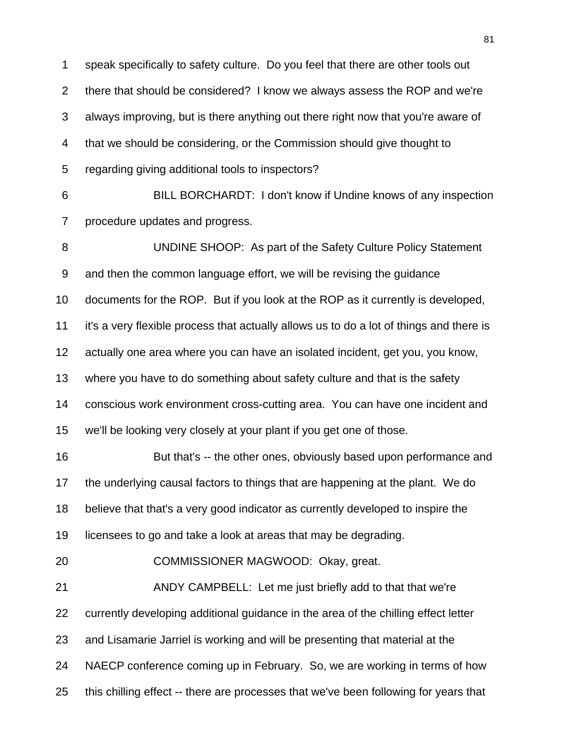speak specifically to safety culture. Do you feel that there are other tools out there that should be considered? I know we always assess the ROP and we're always improving, but is there anything out there right now that you're aware of that we should be considering, or the Commission should give thought to regarding giving additional tools to inspectors? BILL BORCHARDT: I don't know if Undine knows of any inspection procedure updates and progress. UNDINE SHOOP: As part of the Safety Culture Policy Statement and then the common language effort, we will be revising the guidance documents for the ROP. But if you look at the ROP as it currently is developed, it's a very flexible process that actually allows us to do a lot of things and there is actually one area where you can have an isolated incident, get you, you know, where you have to do something about safety culture and that is the safety conscious work environment cross-cutting area. You can have one incident and we'll be looking very closely at your plant if you get one of those. But that's -- the other ones, obviously based upon performance and the underlying causal factors to things that are happening at the plant. We do believe that that's a very good indicator as currently developed to inspire the licensees to go and take a look at areas that may be degrading. COMMISSIONER MAGWOOD: Okay, great. ANDY CAMPBELL: Let me just briefly add to that that we're currently developing additional guidance in the area of the chilling effect letter and Lisamarie Jarriel is working and will be presenting that material at the

- NAECP conference coming up in February. So, we are working in terms of how
- this chilling effect -- there are processes that we've been following for years that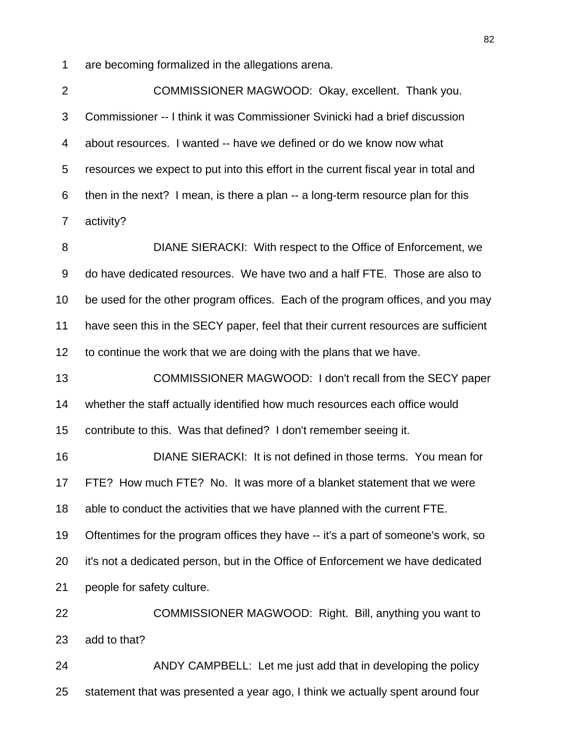are becoming formalized in the allegations arena.

 COMMISSIONER MAGWOOD: Okay, excellent. Thank you. Commissioner -- I think it was Commissioner Svinicki had a brief discussion about resources. I wanted -- have we defined or do we know now what resources we expect to put into this effort in the current fiscal year in total and then in the next? I mean, is there a plan -- a long-term resource plan for this activity?

 DIANE SIERACKI: With respect to the Office of Enforcement, we do have dedicated resources. We have two and a half FTE. Those are also to be used for the other program offices. Each of the program offices, and you may have seen this in the SECY paper, feel that their current resources are sufficient to continue the work that we are doing with the plans that we have.

 COMMISSIONER MAGWOOD: I don't recall from the SECY paper whether the staff actually identified how much resources each office would contribute to this. Was that defined? I don't remember seeing it.

 DIANE SIERACKI: It is not defined in those terms. You mean for FTE? How much FTE? No. It was more of a blanket statement that we were able to conduct the activities that we have planned with the current FTE. Oftentimes for the program offices they have -- it's a part of someone's work, so it's not a dedicated person, but in the Office of Enforcement we have dedicated people for safety culture.

 COMMISSIONER MAGWOOD: Right. Bill, anything you want to add to that?

 ANDY CAMPBELL: Let me just add that in developing the policy statement that was presented a year ago, I think we actually spent around four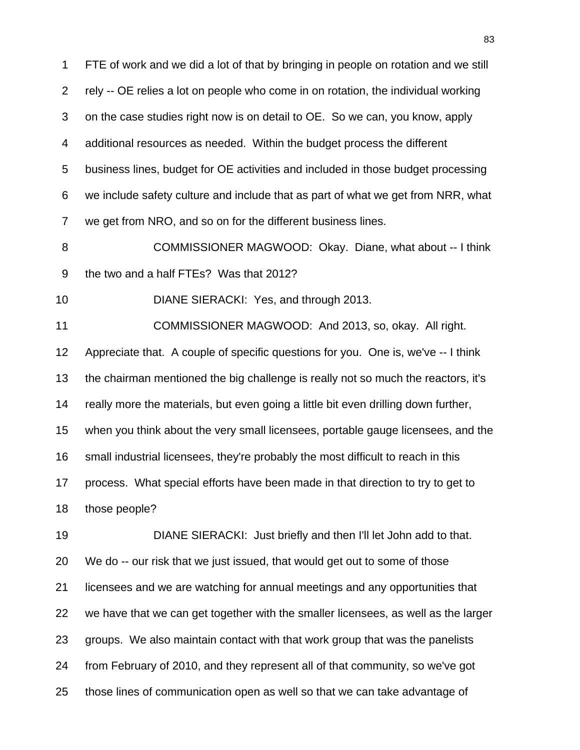FTE of work and we did a lot of that by bringing in people on rotation and we still rely -- OE relies a lot on people who come in on rotation, the individual working on the case studies right now is on detail to OE. So we can, you know, apply additional resources as needed. Within the budget process the different business lines, budget for OE activities and included in those budget processing we include safety culture and include that as part of what we get from NRR, what we get from NRO, and so on for the different business lines.

 COMMISSIONER MAGWOOD: Okay. Diane, what about -- I think the two and a half FTEs? Was that 2012?

DIANE SIERACKI: Yes, and through 2013.

 COMMISSIONER MAGWOOD: And 2013, so, okay. All right. Appreciate that. A couple of specific questions for you. One is, we've -- I think the chairman mentioned the big challenge is really not so much the reactors, it's really more the materials, but even going a little bit even drilling down further, when you think about the very small licensees, portable gauge licensees, and the small industrial licensees, they're probably the most difficult to reach in this process. What special efforts have been made in that direction to try to get to those people?

 DIANE SIERACKI: Just briefly and then I'll let John add to that. We do -- our risk that we just issued, that would get out to some of those licensees and we are watching for annual meetings and any opportunities that we have that we can get together with the smaller licensees, as well as the larger groups. We also maintain contact with that work group that was the panelists from February of 2010, and they represent all of that community, so we've got those lines of communication open as well so that we can take advantage of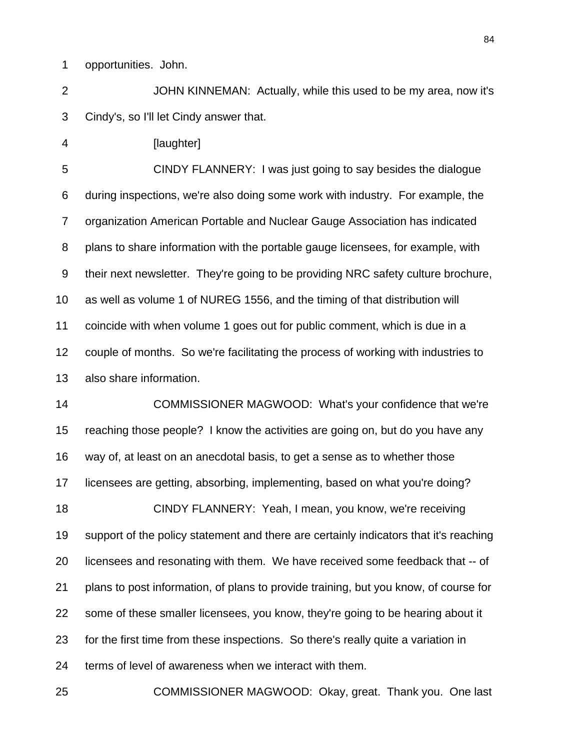opportunities. John.

 JOHN KINNEMAN: Actually, while this used to be my area, now it's Cindy's, so I'll let Cindy answer that.

**[laughter]** 

 CINDY FLANNERY: I was just going to say besides the dialogue during inspections, we're also doing some work with industry. For example, the organization American Portable and Nuclear Gauge Association has indicated plans to share information with the portable gauge licensees, for example, with their next newsletter. They're going to be providing NRC safety culture brochure, as well as volume 1 of NUREG 1556, and the timing of that distribution will coincide with when volume 1 goes out for public comment, which is due in a couple of months. So we're facilitating the process of working with industries to also share information.

 COMMISSIONER MAGWOOD: What's your confidence that we're reaching those people? I know the activities are going on, but do you have any way of, at least on an anecdotal basis, to get a sense as to whether those licensees are getting, absorbing, implementing, based on what you're doing? CINDY FLANNERY: Yeah, I mean, you know, we're receiving support of the policy statement and there are certainly indicators that it's reaching licensees and resonating with them. We have received some feedback that -- of plans to post information, of plans to provide training, but you know, of course for some of these smaller licensees, you know, they're going to be hearing about it for the first time from these inspections. So there's really quite a variation in terms of level of awareness when we interact with them.

COMMISSIONER MAGWOOD: Okay, great. Thank you. One last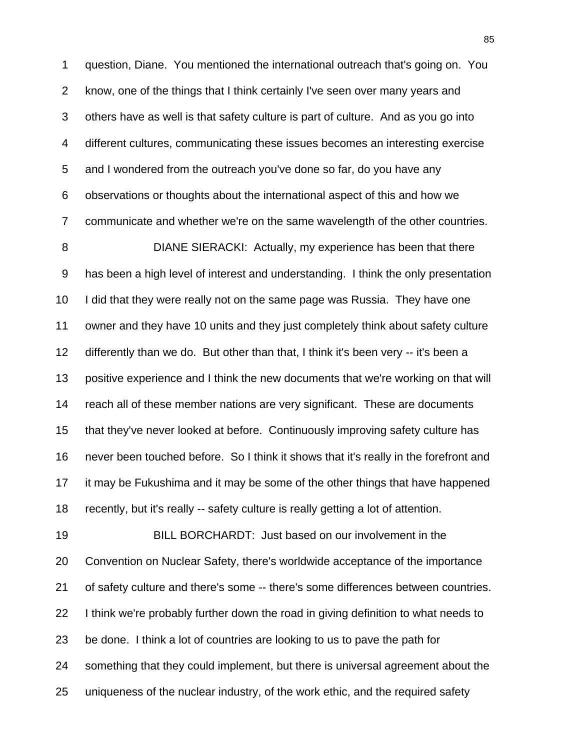question, Diane. You mentioned the international outreach that's going on. You know, one of the things that I think certainly I've seen over many years and others have as well is that safety culture is part of culture. And as you go into different cultures, communicating these issues becomes an interesting exercise and I wondered from the outreach you've done so far, do you have any observations or thoughts about the international aspect of this and how we communicate and whether we're on the same wavelength of the other countries.

 DIANE SIERACKI: Actually, my experience has been that there has been a high level of interest and understanding. I think the only presentation I did that they were really not on the same page was Russia. They have one owner and they have 10 units and they just completely think about safety culture differently than we do. But other than that, I think it's been very -- it's been a positive experience and I think the new documents that we're working on that will reach all of these member nations are very significant. These are documents that they've never looked at before. Continuously improving safety culture has never been touched before. So I think it shows that it's really in the forefront and it may be Fukushima and it may be some of the other things that have happened recently, but it's really -- safety culture is really getting a lot of attention.

 BILL BORCHARDT: Just based on our involvement in the Convention on Nuclear Safety, there's worldwide acceptance of the importance of safety culture and there's some -- there's some differences between countries. I think we're probably further down the road in giving definition to what needs to be done. I think a lot of countries are looking to us to pave the path for something that they could implement, but there is universal agreement about the uniqueness of the nuclear industry, of the work ethic, and the required safety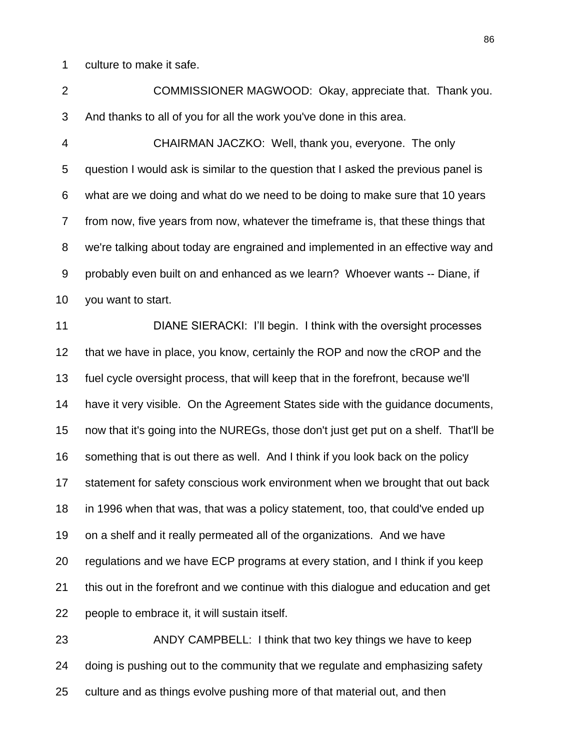culture to make it safe.

 COMMISSIONER MAGWOOD: Okay, appreciate that. Thank you. And thanks to all of you for all the work you've done in this area.

 CHAIRMAN JACZKO: Well, thank you, everyone. The only question I would ask is similar to the question that I asked the previous panel is what are we doing and what do we need to be doing to make sure that 10 years from now, five years from now, whatever the timeframe is, that these things that we're talking about today are engrained and implemented in an effective way and probably even built on and enhanced as we learn? Whoever wants -- Diane, if you want to start.

 DIANE SIERACKI: I"ll begin. I think with the oversight processes that we have in place, you know, certainly the ROP and now the cROP and the fuel cycle oversight process, that will keep that in the forefront, because we'll have it very visible. On the Agreement States side with the guidance documents, now that it's going into the NUREGs, those don't just get put on a shelf. That'll be something that is out there as well. And I think if you look back on the policy statement for safety conscious work environment when we brought that out back in 1996 when that was, that was a policy statement, too, that could've ended up on a shelf and it really permeated all of the organizations. And we have regulations and we have ECP programs at every station, and I think if you keep this out in the forefront and we continue with this dialogue and education and get people to embrace it, it will sustain itself.

 ANDY CAMPBELL: I think that two key things we have to keep doing is pushing out to the community that we regulate and emphasizing safety culture and as things evolve pushing more of that material out, and then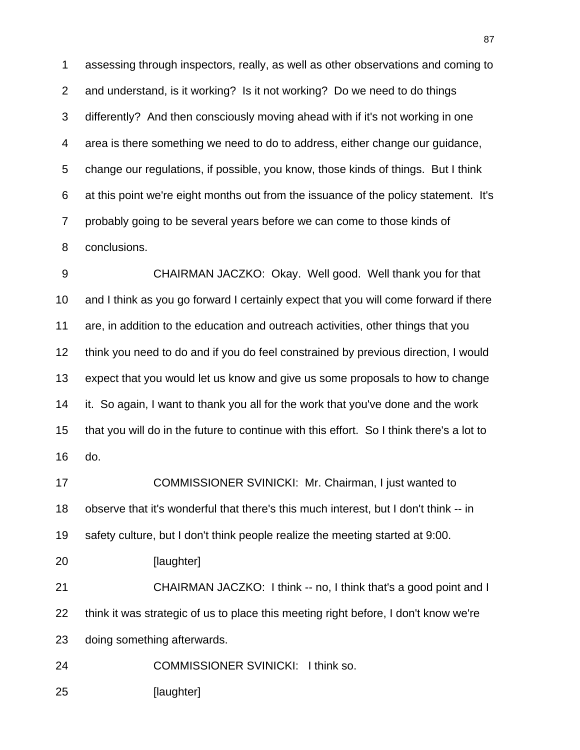assessing through inspectors, really, as well as other observations and coming to and understand, is it working? Is it not working? Do we need to do things differently? And then consciously moving ahead with if it's not working in one area is there something we need to do to address, either change our guidance, change our regulations, if possible, you know, those kinds of things. But I think at this point we're eight months out from the issuance of the policy statement. It's probably going to be several years before we can come to those kinds of conclusions.

 CHAIRMAN JACZKO: Okay. Well good. Well thank you for that and I think as you go forward I certainly expect that you will come forward if there are, in addition to the education and outreach activities, other things that you think you need to do and if you do feel constrained by previous direction, I would expect that you would let us know and give us some proposals to how to change it. So again, I want to thank you all for the work that you've done and the work that you will do in the future to continue with this effort. So I think there's a lot to do.

 COMMISSIONER SVINICKI: Mr. Chairman, I just wanted to observe that it's wonderful that there's this much interest, but I don't think -- in safety culture, but I don't think people realize the meeting started at 9:00.

20 [laughter]

 CHAIRMAN JACZKO: I think -- no, I think that's a good point and I think it was strategic of us to place this meeting right before, I don't know we're doing something afterwards.

COMMISSIONER SVINICKI: I think so.

[laughter]